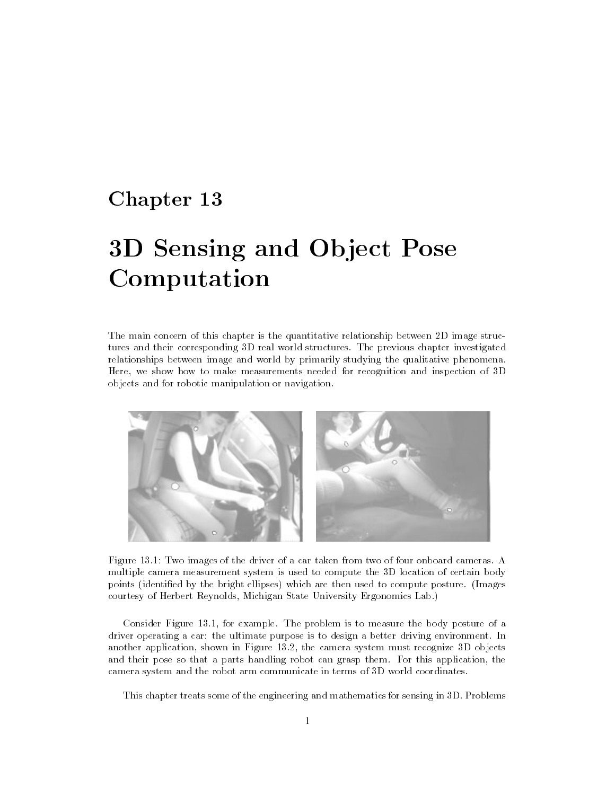# Chapter 13

# Computation

The main concern of this chapter is the quantitative relationship between 2D image structures and their corresponding 3D real world structures. The previous chapter investigated relationships between image and world by primarily studying the qualitative phenomena. Here, we show how to make measurements needed for recognition and inspection of 3D objects and for robotic manipulation or navigation.



Figure 13.1: Two images of the driver of a car taken from two of four onboard cameras. A multiple camera measurement system is used to compute the 3D location of certain body points (identied by the bright ellipses) which are then used to compute posture. (Images courtesy of Herbert Reynolds, Michigan State University Ergonomics Lab.)

Consider Figure 13.1, for example. The problem is to measure the body posture of a driver operating a car: the ultimate purpose is to design a better driving environment. In another application, shown in Figure 13.2, the camera system must recognize 3D objects and their pose so that a parts handling robot can grasp them. For this application, the camera system and the robot arm communicate in terms of 3D world coordinates.

This chapter treats some of the engineering and mathematics for sensing in 3D. Problems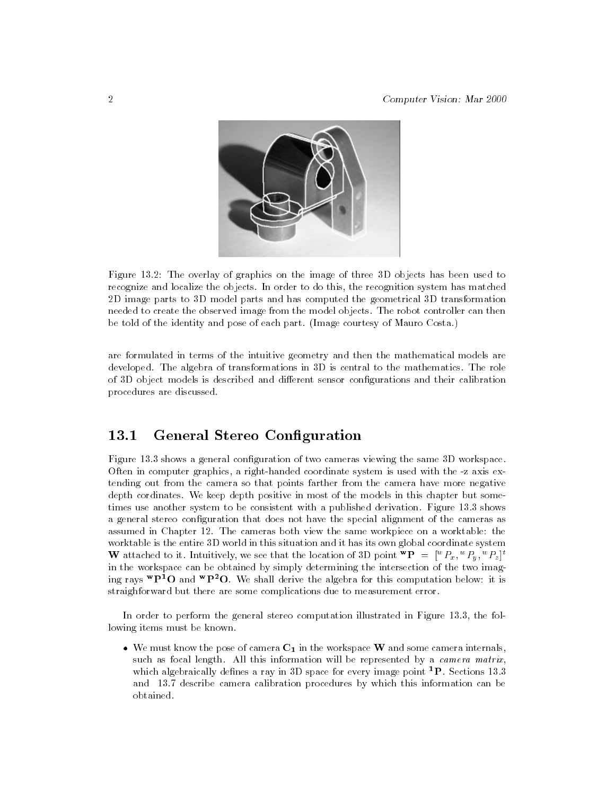

Figure 13.2: The overlay of graphics on the image of three 3D objects has been used to recognize and localize the objects. In order to do this, the recognition system has matched 2D image parts to 3D model parts and has computed the geometrical 3D transformation needed to create the observed image from the model objects. The robot controller can then be told of the identity and pose of each part. (Image courtesy of Mauro Costa.)

are formulated in terms of the intuitive geometry and then the mathematical models are developed. The algebra of transformations in 3D is central to the mathematics. The role of 3D object models is described and different sensor configurations and their calibration procedures are discussed.

# 13.1 General Stereo Conguration

Figure 13.3 shows a general configuration of two cameras viewing the same 3D workspace. Often in computer graphics, a right-handed coordinate system is used with the -z axis extending out from the camera so that points farther from the camera have more negative depth cordinates. We keep depth positive in most of the models in this chapter but sometimes use another system to be consistent with a published derivation. Figure 13.3 shows a general stereo configuration that does not have the special alignment of the cameras as assumed in Chapter 12. The cameras both view the same workpiece on a worktable: the worktable is the entire 3D world in this situation and it has its own global coordinate system W attached to it. Intuitively, we see that the location of 3D point " $P = \lceil {^\omega F_x}, {^\omega F_y}, {^\omega F_z} \rceil$ " in the workspace can be obtained by simply determining the intersection of the two imaging rays  ${}^{\mathbf{w}}\mathbf{P}^1\mathbf{O}$  and  ${}^{\mathbf{w}}\mathbf{P}^2\mathbf{O}$ . We shall derive the algebra for this computation below: it is straighforward but there are some complications due to measurement error.

In order to perform the general stereo computation illustrated in Figure 13.3, the following items must be known.

 $\bullet$  We must know the pose of camera  $C_1$  in the workspace W and some camera internals, such as focal length. All this information will be represented by a *camera matrix*, which algebraically defines a ray in 3D space for every image point  ${}^{1}P$ . Sections 13.3 and 13.7 describe camera calibration procedures by which this information can be obtained.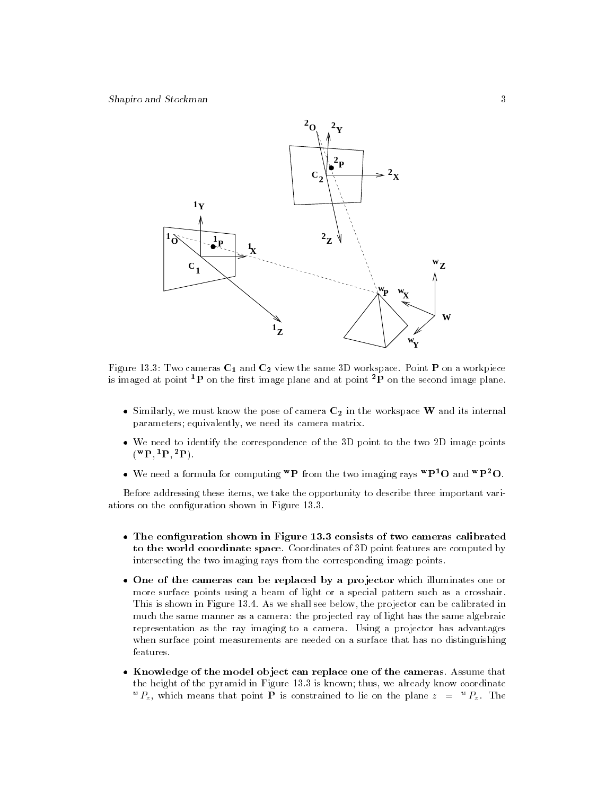

Figure 13.3: Two cameras  $C_1$  and  $C_2$  view the same 3D workspace. Point **P** on a workpiece is imaged at point <sup>1</sup>P on the first image plane and at point <sup>2</sup>P on the second image plane.

- $\bullet$  Similarly, we must know the pose of camera  $C_2$  in the workspace W and its internal parameters; equivalently, we need its camera matrix.
- We need to identify the correspondence of the 3D point to the two 2D image points  $({}^{\mathbf{w}}\mathbf{P}, {}^{1}\mathbf{P}, {}^{2}\mathbf{P}).$
- We need a formula for computing  ${}^{\mathbf{w}}\mathbf{P}$  from the two imaging rays  ${}^{\mathbf{w}}\mathbf{P}^1\mathbf{O}$  and  ${}^{\mathbf{w}}\mathbf{P}^2\mathbf{O}$ .

Before addressing these items, we take the opportunity to describe three important variations on the conguration shown in Figure 13.3.

- The configuration shown in Figure 13.3 consists of two cameras calibrated to the world coordinate space. Coordinates of 3D point features are computed by intersecting the two imaging rays from the corresponding image points.
- One of the cameras can be replaced by a projector which illuminates one or more surface points using a beam of light or a special pattern such as a crosshair. This is shown in Figure 13.4. As we shall see below, the projector can be calibrated in much the same manner as a camera: the projected ray of light has the same algebraic representation as the ray imaging to a camera. Using a projector has advantages when surface point measurements are needed on a surface that has no distinguishing features.
- Knowledge of the model object can replace one of the cameras. Assume that the height of the pyramid in Figure 13.3 is known; thus, we already know coordinate  ${}^{\circ}P_z$ , which means that point **P** is constrained to lie on the plane  $z = {}^{\circ}P_z$ . The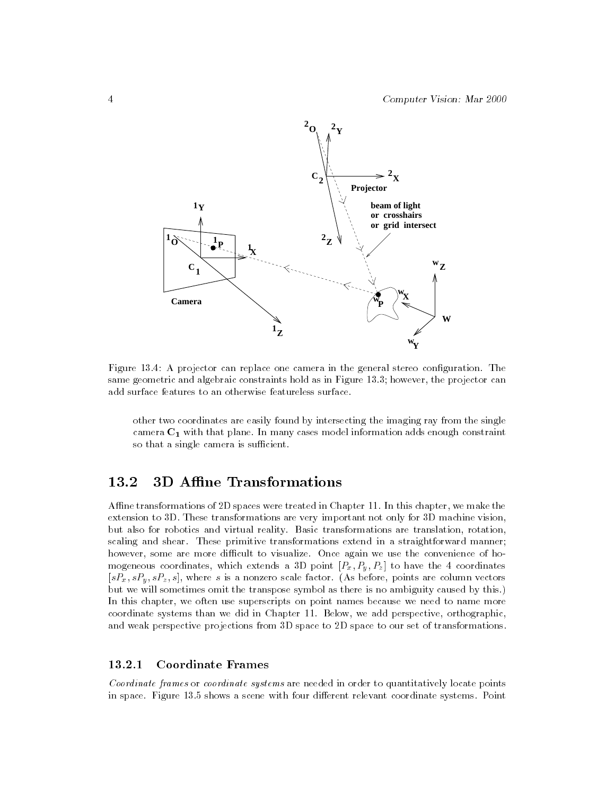

Figure 13.4: A projector can replace one camera in the general stereo configuration. The same geometric and algebraic constraints hold as in Figure 13.3; however, the projector can add surface features to an otherwise featureless surface.

other two coordinates are easily found by intersecting the imaging ray from the single camera  $C_1$  with that plane. In many cases model information adds enough constraint so that a single camera is sufficient.

#### 3D Affine Transformations  $13.2$

Affine transformations of 2D spaces were treated in Chapter 11. In this chapter, we make the extension to 3D. These transformations are very important not only for 3D machine vision, but also for robotics and virtual reality. Basic transformations are translation, rotation, scaling and shear. These primitive transformations extend in a straightforward manner; however, some are more difficult to visualize. Once again we use the convenience of homogeneous coordinates, which extends a 3D point  $\mathbb{P}$  point  $\mathbb{P}$  and 4 coordinates a 3D point  $\mathbb{P}$  coordinates a 3D point  $\mathbb{P}$  and 4 coordinates a 3D point  $\mathbb{P}$  and 4 coordinates a 4 coordinates a 4 coo  $\begin{array}{ccc} \text{P}_3\text{P}_4\text{P}_5\text{P}_6\text{P}_7\text{P}_8\text{P}_8\text{P}_8\text{P}_8\text{P}_8\text{P}_8\text{P}_8\text{P}_8\text{P}_8\text{P}_8\text{P}_8\text{P}_8\text{P}_8\text{P}_8\text{P}_8\text{P}_8\text{P}_8\text{P}_8\text{P}_8\text{P}_8\text{P}_8\text{P}_8\text{P}_8\text{P}_8\text{P}_8\text{P}_8\text{P}_8\text{P}_8\text{P}_8\text{P}_8\text{$ but we will sometimes omit the transpose symbol as there is no ambiguity caused by this.) In this chapter, we often use superscripts on point names because we need to name more coordinate systems than we did in Chapter 11. Below, we add perspective, orthographic, and weak perspective projections from 3D space to 2D space to our set of transformations.

#### **Coordinate Frames** 13.2.1

Coordinate frames or coordinate systems are needed in order to quantitatively locate points in space. Figure 13.5 shows a scene with four different relevant coordinate systems. Point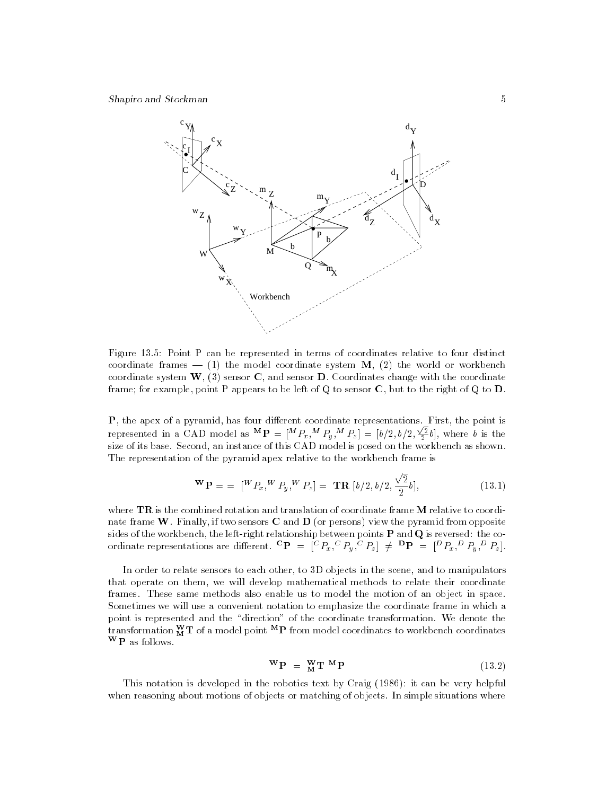

Figure 13.5: Point P can be represented in terms of coordinates relative to four distinct coordinate frames  $-$  (1) the model coordinate system M, (2) the world or workbench coordinate system  $W<sub>1</sub>$ , (3) sensor C, and sensor D. Coordinates change with the coordinate frame; for example, point P appears to be left of Q to sensor  $C$ , but to the right of Q to  $D$ .

P, the apex of a pyramid, has four dierent coordinate representations. First, the point is represented in a CAD model as  ${}^{\mathbf{M}}\mathbf{P} = [{}^M P_x, {}^M P_y, {}^M P_z] = [b/2, b/2, \frac{\sqrt{2}}{2}b]$ , where b is the size of its base. Second, an instance of this CAD model is posed on the workbench as shown. The representation of the pyramid apex relative to the workbench frame is

$$
\mathbf{W}\mathbf{P} = \begin{bmatrix} W P_x, W P_y, W P_z \end{bmatrix} = \mathbf{T}\mathbf{R} \begin{bmatrix} b/2, b/2, \frac{\sqrt{2}}{2}b \end{bmatrix}, \tag{13.1}
$$

where  $TR$  is the combined rotation and translation of coordinate frame M relative to coordinate frame W. Finally, if two sensors  $C$  and  $D$  (or persons) view the pyramid from opposite sides of the workbench, the left-right relationship between points P and Q is reversed: the coordinate representations are different.  $\mathbf{P} = |\mathbf{P}_{x_1}, \mathbf{P}_{y_1}, \mathbf{P}_{z_2}| \neq \mathbf{P}_{\mathbf{P}} = |\mathbf{P}_{x_3}, \mathbf{P}_{y_4}, \mathbf{P}_{z_2}|$ .

In order to relate sensors to each other, to 3D objects in the scene, and to manipulators that operate on them, we will develop mathematical methods to relate their coordinate frames. These same methods also enable us to model the motion of an object in space. Sometimes we will use a convenient notation to emphasize the coordinate frame in which a point is represented and the "direction" of the coordinate transformation. We denote the transformation  $\rm \dot{M}$  1 of a model point  $\rm \ddot{\rm \ddot{\rm \ddot{\rm\cdots}}}$  from model coordinates to workbench coordinates WP as follows.

$$
\mathbf{W}\mathbf{P} = \mathbf{W}\mathbf{T}\mathbf{M}\mathbf{P} \tag{13.2}
$$

This notation is developed in the robotics text by Craig (1986): it can be very helpful when reasoning about motions of objects or matching of objects. In simple situations where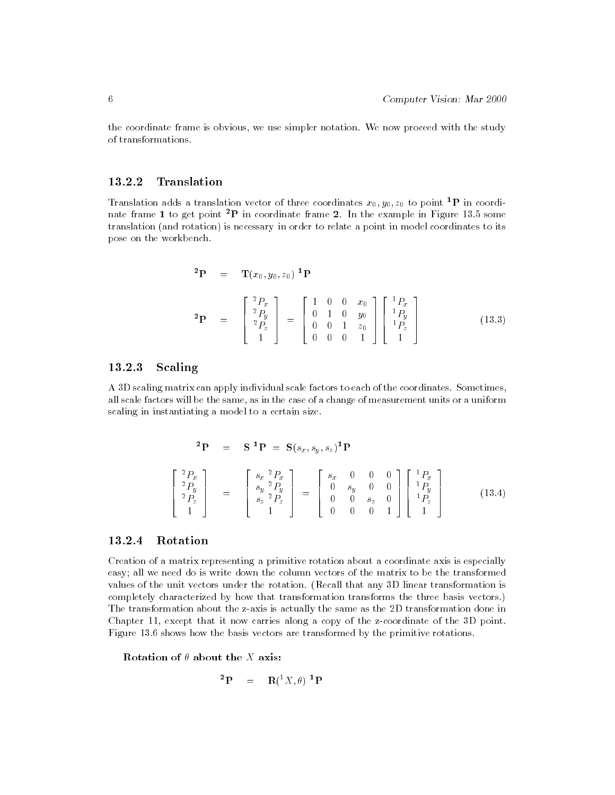the coordinate frame is obvious, we use simpler notation. We now proceed with the study of transformations.

#### 13.2.2 **Translation**

Translation adds a translation vector of three coordinates  $x_0, y_0, z_0$  to point <sup>1</sup>P in coordinate frame 1 to get point <sup>2</sup>P in coordinate frame 2. In the example in Figure 13.5 some translation (and rotation) is necessary in order to relate a point in model coordinates to its pose on the workbench.

$$
\begin{array}{rcl}\n\mathbf{^2P} & = & \mathbf{T}(x_0, y_0, z_0) \mathbf{^1P} \\
\mathbf{^2P} & = & \begin{bmatrix} \frac{2P_x}{2P_y} \\ \frac{2P_y}{P_z} \\ 1 \end{bmatrix} = \begin{bmatrix} 1 & 0 & 0 & x_0 \\ 0 & 1 & 0 & y_0 \\ 0 & 0 & 1 & z_0 \\ 0 & 0 & 0 & 1 \end{bmatrix} \begin{bmatrix} \frac{1P_x}{P_y} \\ \frac{1P_y}{P_z} \\ 1 \end{bmatrix} \tag{13.3}\n\end{array}
$$

## 13.2.3 Scaling

A 3D scaling matrix can apply individual scale factors to each of the coordinates. Sometimes, all scale factors will be the same, as in the case of a change of measurement units or a uniform scaling in instantiating a model to a certain size.

$$
\begin{array}{rcl}\n\mathbf{^{2}P} & = & \mathbf{S}^{1}\mathbf{P} = \mathbf{S}(s_x, s_y, s_z)^{1}\mathbf{P} \\
\begin{bmatrix}\n\frac{^{2}P_{x}}{^{2}P_{y}} \\
\frac{^{2}P_{y}}{^{2}P_{z}} \\
1\n\end{bmatrix} & = & \begin{bmatrix}\n\frac{s_x}{^{2}P_{x}} \\
\frac{s_y}{^{2}P_{y}} \\
\frac{s_z}{^{2}P_{z}} \\
1\n\end{bmatrix} = \begin{bmatrix}\n\frac{s_x}{^{2}0} & 0 & 0 & 0 \\
0 & \frac{s_y}{^{2}0} & 0 & 0 \\
0 & 0 & 0 & 1\n\end{bmatrix} \begin{bmatrix}\n\frac{^{1}P_{x}}{^{1}P_{y}} \\
\frac{^{1}P_{y}}{^{1}P_{z}} \\
1\n\end{bmatrix}\n\end{array} \tag{13.4}
$$

#### Rotation 13.2.4

Creation of a matrix representing a primitive rotation about a coordinate axis is especially easy; all we need do is write down the column vectors of the matrix to be the transformed values of the unit vectors under the rotation. (Recall that any 3D linear transformation is completely characterized by how that transformation transforms the three basis vectors.) The transformation about the z-axis is actually the same as the 2D transformation done in Chapter 11, except that it now carries along a copy of the z-coordinate of the 3D point. Figure 13.6 shows how the basis vectors are transformed by the primitive rotations.

Rotation of  $\theta$  about the X axis:

$$
{}^{2}\mathbf{P} = \mathbf{R}({}^{1}X,\theta) \ {}^{1}\mathbf{P}
$$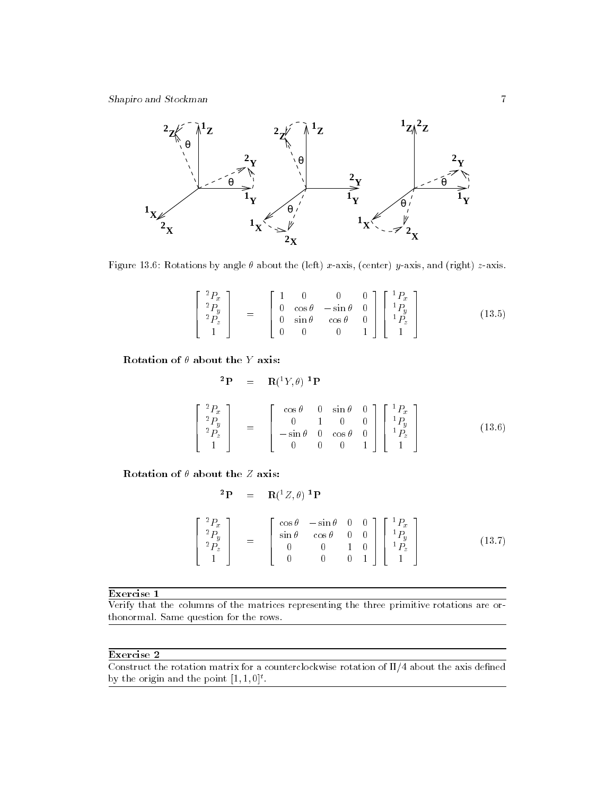

Figure 13.6: Rotations by angle  $\theta$  about the (left) x-axis, (center) y-axis, and (right) z-axis.

$$
\begin{bmatrix} {}^{2}P_{x} \\ {}^{2}P_{y} \\ {}^{2}P_{z} \\ 1 \end{bmatrix} = \begin{bmatrix} 1 & 0 & 0 & 0 \\ 0 & \cos \theta & -\sin \theta & 0 \\ 0 & \sin \theta & \cos \theta & 0 \\ 0 & 0 & 0 & 1 \end{bmatrix} \begin{bmatrix} {}^{1}P_{x} \\ {}^{1}P_{y} \\ {}^{1}P_{z} \\ 1 \end{bmatrix}
$$
(13.5)

Rotation of  $\theta$  about the Y axis:

$$
\begin{array}{rcl}\n\mathbf{^{2}P} & = & \mathbf{R}({}^{1}Y,\theta) \mathbf{^{1}P} \\
\begin{bmatrix}\n\frac{^{2}P_{x}}{^{2}P_{y}} \\
\frac{^{2}P_{y}}{^{1}}\n\end{bmatrix} & = & \begin{bmatrix}\n\cos\theta & 0 & \sin\theta & 0 \\
0 & 1 & 0 & 0 \\
-\sin\theta & 0 & \cos\theta & 0 \\
0 & 0 & 0 & 1\n\end{bmatrix}\n\begin{bmatrix}\n\frac{^{1}P_{x}}{^{1}P_{y}} \\
\frac{^{1}P_{y}}{^{1}P_{z}}\n\end{bmatrix}\n\end{array} \tag{13.6}
$$

Rotation of  $\theta$  about the  $Z$  axis:

$$
\begin{array}{rcl}\n\mathbf{^{2}P} & = & \mathbf{R}({}^{1}Z,\theta) \mathbf{^{1}P} \\
\begin{bmatrix}\n\frac{^{2}P_{x}}{^{2}P_{y}} \\
\frac{^{2}P_{y}}{^{1}}\n\end{bmatrix} & = & \begin{bmatrix}\n\cos\theta & -\sin\theta & 0 & 0 \\
\sin\theta & \cos\theta & 0 & 0 \\
0 & 0 & 1 & 0 \\
0 & 0 & 0 & 1\n\end{bmatrix}\n\begin{bmatrix}\n\frac{^{1}P_{x}}{^{1}P_{y}} \\
\frac{^{1}P_{y}}{^{1}P_{z}}\n\end{bmatrix}\n\end{array} \tag{13.7}
$$

Exercise 1

Verify that the columns of the matrices representing the three primitive rotations are orthonormal. Same question for the rows.

# Exercise 2

Construct the rotation matrix for a counterclockwise rotation of  $\Pi/4$  about the axis defined by the origin and the point  $[1, 1, 0]^{\ast}$ .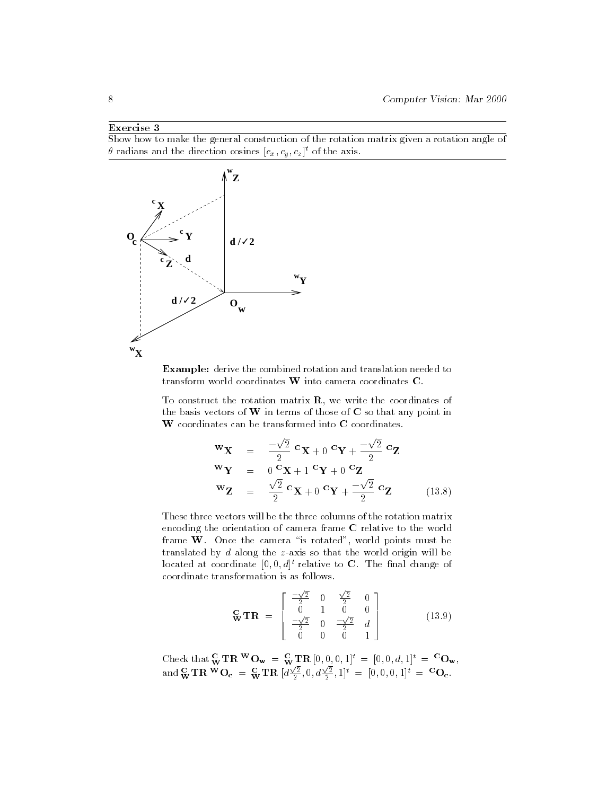Show how to make the general construction of the rotation matrix given a rotation angle of  $\theta$  radians and the direction cosines  $[c_x, c_y, c_z]^\ast$  of the axis.



Example: derive the combined rotation and translation needed to transform world coordinates W into camera coordinates C.

To construct the rotation matrix  $\mathbf{R}$ , we write the coordinates of the basis vectors of  $W$  in terms of those of  $C$  so that any point in W coordinates can be transformed into C coordinates.

$$
\mathbf{w}_{\mathbf{X}} = \frac{-\sqrt{2}}{2} \mathbf{c}_{\mathbf{X}+0} \mathbf{c}_{\mathbf{Y}+} -\frac{\sqrt{2}}{2} \mathbf{c}_{\mathbf{Z}}
$$
  
\n
$$
\mathbf{w}_{\mathbf{Y}} = 0 \mathbf{c}_{\mathbf{X}+1} \mathbf{c}_{\mathbf{Y}+0} \mathbf{c}_{\mathbf{Z}}
$$
  
\n
$$
\mathbf{w}_{\mathbf{Z}} = \frac{\sqrt{2}}{2} \mathbf{c}_{\mathbf{X}+0} \mathbf{c}_{\mathbf{Y}+} -\frac{\sqrt{2}}{2} \mathbf{c}_{\mathbf{Z}}
$$
(13.8)

These three vectors will be the three columns of the rotation matrix encoding the orientation of camera frame C relative to the world frame  $W$ . Once the camera "is rotated", world points must be translated by d along the z-axis so that the world origin will be located at coordinate  $[0,0,d]^t$  relative to C. The final change of coordinate transformation is as follows.

$$
\mathbf{G} \mathbf{T} \mathbf{R} = \begin{bmatrix} \frac{-\sqrt{2}}{2} & 0 & \frac{\sqrt{2}}{2} & 0\\ 0 & 1 & 0 & 0\\ \frac{-\sqrt{2}}{2} & 0 & \frac{-\sqrt{2}}{2} & d\\ 0 & 0 & 0 & 1 \end{bmatrix}
$$
(13.9)

Check that  $\mathbf{\tilde{w}}$   $\mathbf{H}$   $\mathbf{K}$   $\mathbf{U}_{\mathbf{w}}$  =  $\mathbf{\tilde{w}}$   $\mathbf{H}$   $\mathbf{K}$  [0, 0, 0, 1] $\mathbf{V}$  = [0, 0, d, 1] $\mathbf{V}$  =  $\mathbf{U}_{\mathbf{w}}$ ,  ${\rm and} \, \frac{\bf C}{{\bf W}} {\bf TR} \, {\bf W} {\bf O}_{\bf c} \; = \; \frac{\bf C}{{\bf W}} {\bf TR} \; [d\frac{\sqrt{2}}{2}, 0, d\frac{\sqrt{2}}{2}, 1]^t \; = \; [0, 0, 0, 1]^t \; = \; {}^{\bf C}{\bf O}_{\bf c}.$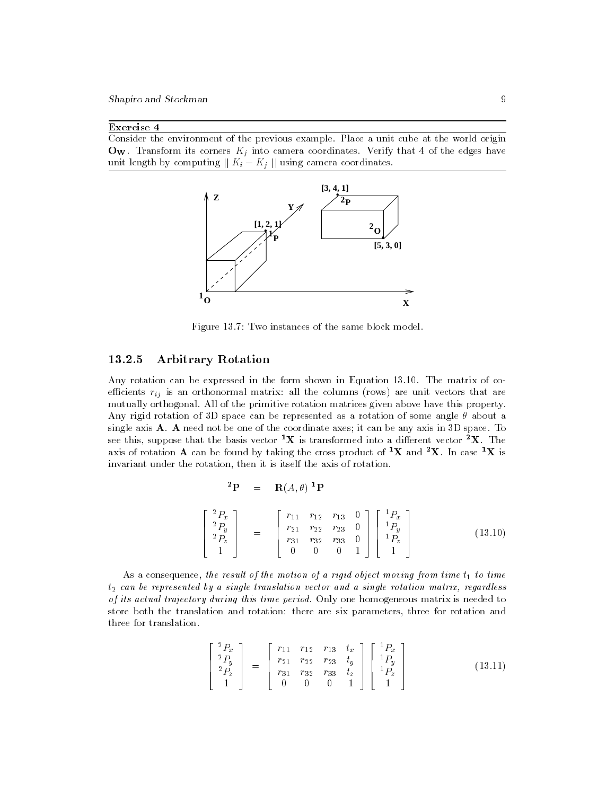Consider the environment of the previous example. Place a unit cube at the world origin  $\mathbf{O_W}$ . Transform its corners  $K_j$  into camera coordinates. Verify that 4 of the edges have unit length by computing jj Ki Kj jj using camera coordinates.



Figure 13.7: Two instances of the same block model.

#### 13.2.5 Arbitrary Rotation

Any rotation can be expressed in the form shown in Equation 13.10. The matrix of co $e$ ij is an orthonormal matrix: all the columns (rows) are unit vectors that are unit vectors that are unit vectors that are unit vectors that are unit vectors that are unit vectors that are unit vectors that are unit vec mutually orthogonal. All of the primitive rotation matrices given above have this property. Any rigid rotation of 3D space can be represented as a rotation of some angle  $\theta$  about a single axis **A**. **A** need not be one of the coordinate axes; it can be any axis in 3D space. To see this, suppose that the basis vector  ${}^{1}\text{X}$  is transformed into a different vector  ${}^{2}\text{X}$ . The axis of rotation A can be found by taking the cross product of <sup>1</sup>X and <sup>2</sup>X. In case <sup>1</sup>X is invariant under the rotation, then it is itself the axis of rotation.

$$
{}^{2}\mathbf{P} = \mathbf{R}(A,\theta) \ {}^{1}\mathbf{P}
$$

$$
\begin{bmatrix} {}^{2}P_{x} \\ {}^{2}P_{y} \\ {}^{2}P_{z} \\ 1 \end{bmatrix} = \begin{bmatrix} r_{11} & r_{12} & r_{13} & 0 \\ r_{21} & r_{22} & r_{23} & 0 \\ r_{31} & r_{32} & r_{33} & 0 \\ 0 & 0 & 0 & 1 \end{bmatrix} \begin{bmatrix} {}^{1}P_{x} \\ {}^{1}P_{y} \\ {}^{1}P_{z} \\ 1 \end{bmatrix}
$$
(13.10)

As a consequence, the result of the motion of a rigid object moving from time  $t_1$  to time  $t_2$  can be represented by a single translation vector and a single rotation matrix, regardless of its actual trajectory during this time period. Only one homogeneous matrix is needed to store both the translation and rotation: there are six parameters, three for rotation and three for translation.

$$
\begin{bmatrix} {}^{2}P_{x} \\ {}^{2}P_{y} \\ {}^{2}P_{z} \\ 1 \end{bmatrix} = \begin{bmatrix} r_{11} & r_{12} & r_{13} & t_{x} \\ r_{21} & r_{22} & r_{23} & t_{y} \\ r_{31} & r_{32} & r_{33} & t_{z} \\ 0 & 0 & 0 & 1 \end{bmatrix} \begin{bmatrix} {}^{1}P_{x} \\ {}^{1}P_{y} \\ {}^{1}P_{z} \\ 1 \end{bmatrix}
$$
(13.11)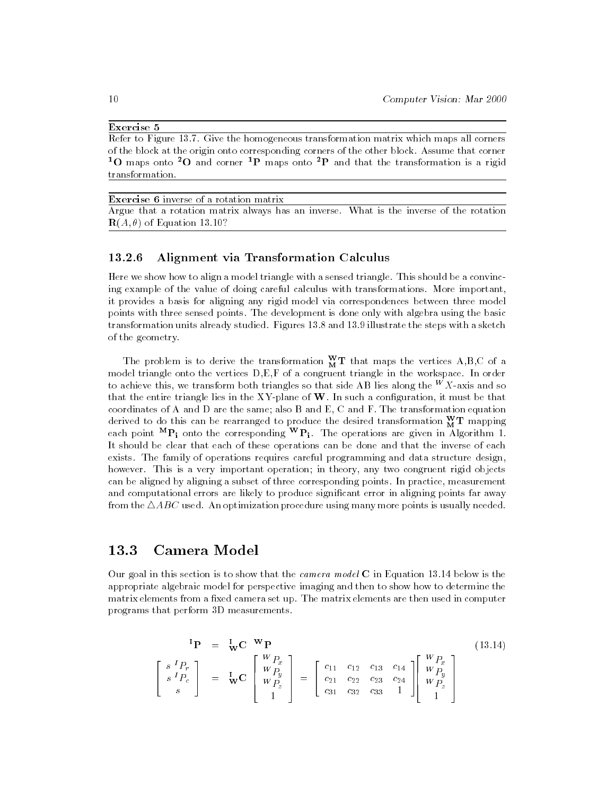Refer to Figure 13.7. Give the homogeneous transformation matrix which maps all corners of the block at the origin onto corresponding corners of the other block. Assume that corner <sup>1</sup>O maps onto <sup>2</sup>O and corner <sup>1</sup>P maps onto <sup>2</sup>P and that the transformation is a rigid transformation.

Exercise 6 inverse of a rotation matrix Argue that a rotation matrix always has an inverse. What is the inverse of the rotation  $\mathbf{R}(A,\theta)$  of Equation 13.10?

#### 13.2.6 Alignment via Transformation Calculus

Here we show how to align a model triangle with a sensed triangle. This should be a convincing example of the value of doing careful calculus with transformations. More important, it provides a basis for aligning any rigid model via correspondences between three model points with three sensed points. The development is done only with algebra using the basic transformation units already studied. Figures 13.8 and 13.9 illustrate the steps with a sketch of the geometry.

The problem is to derive the transformation  $\dot{M}$  L that maps the vertices  $A, B, C$  of a model triangle onto the vertices D,E,F of a congruent triangle in the workspace. In order to achieve this, we transform both triangles so that side AB lies along the  $W X$ -axis and so that the entire triangle lies in the XY-plane of  $W$ . In such a configuration, it must be that coordinates of A and D are the same; also B and E, C and F. The transformation equation derived to do this can be rearranged to produce the desired transformation  $\rm \dot{M}$   $\rm I$  mapping each point  $\mathbb{P}_{1}$  onto the corresponding  $\mathbb{P}_{1}$ . The operations are given in Algorithm 1. It should be clear that each of these operations can be done and that the inverse of each exists. The family of operations requires careful programming and data structure design, however. This is a very important operation; in theory, any two congruent rigid objects can be aligned by aligning a subset of three corresponding points. In practice, measurement and computational errors are likely to produce signicant error in aligning points far away from the  $\triangle ABC$  used. An optimization procedure using many more points is usually needed.

#### 13.3 Camera Model

Our goal in this section is to show that the *camera model*  $C$  in Equation 13.14 below is the appropriate algebraic model for perspective imaging and then to show how to determine the matrix elements from a fixed camera set up. The matrix elements are then used in computer programs that perform 3D measurements.

$$
\begin{bmatrix}\n\mathbf{P} & = & \mathbf{I}_{\mathbf{W}} \mathbf{C} & \mathbf{W} \mathbf{P} \\
\mathbf{S} & P_c \\
\mathbf{S} & P_c\n\end{bmatrix} = \mathbf{I}_{\mathbf{W}} \mathbf{C} \begin{bmatrix}\nW_{P_x} \\
W_{P_y} \\
W_{P_z} \\
1\n\end{bmatrix} = \begin{bmatrix}\nc_{11} & c_{12} & c_{13} & c_{14} \\
c_{21} & c_{22} & c_{23} & c_{24} \\
c_{31} & c_{32} & c_{33} & 1\n\end{bmatrix} \begin{bmatrix}\nW_{P_x} \\
W_{P_y} \\
W_{P_z} \\
1\n\end{bmatrix}
$$
\n(13.14)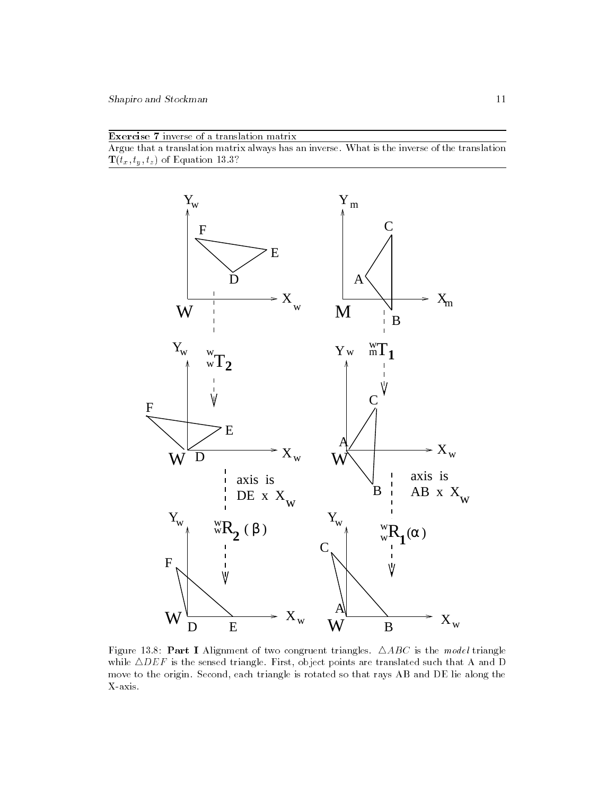| <b>Exercise</b> 7 inverse of a translation matrix |  |  |  |  |
|---------------------------------------------------|--|--|--|--|
|                                                   |  |  |  |  |

Argue that a translation matrix always has an inverse. What is the inverse of the translation T(tx; ty ; tz) of Equation 13.3?



Figure 13.8: Part I Alignment of two congruent triangles.  $\triangle ABC$  is the model triangle while  $\triangle DEF$  is the sensed triangle. First, object points are translated such that A and D move to the origin. Second, each triangle is rotated so that rays AB and DE lie along the X-axis.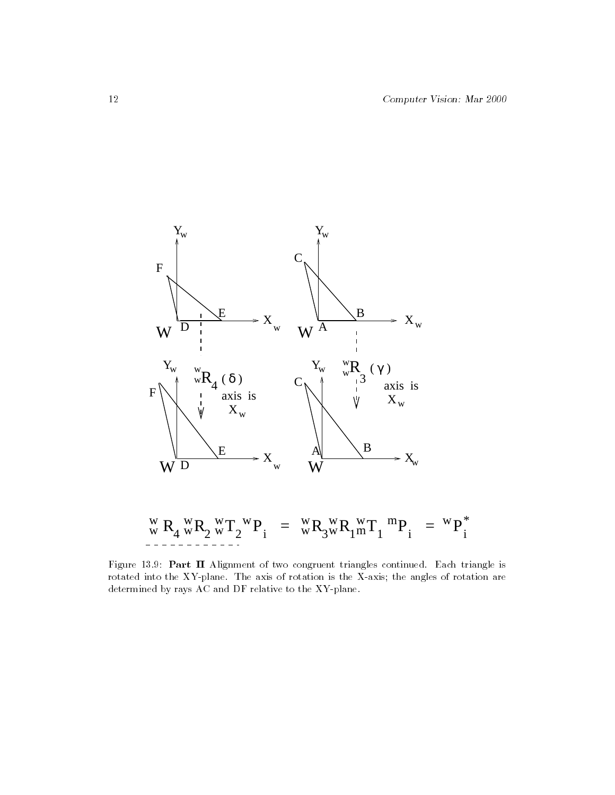

T = <sup>2</sup> R2 R4 <sup>w</sup> <sup>w</sup> R3 w <sup>i</sup> <sup>P</sup> <sup>1</sup> <sup>T</sup> <sup>1</sup> Rw w = Pi \* <sup>i</sup> <sup>P</sup> <sup>w</sup> <sup>w</sup> w w wwm w  $mp - w$ 

Figure 13.9: Part II Alignment of two congruent triangles continued. Each triangle is rotated into the XY-plane. The axis of rotation is the X-axis; the angles of rotation are determined by rays AC and DF relative to the XY-plane.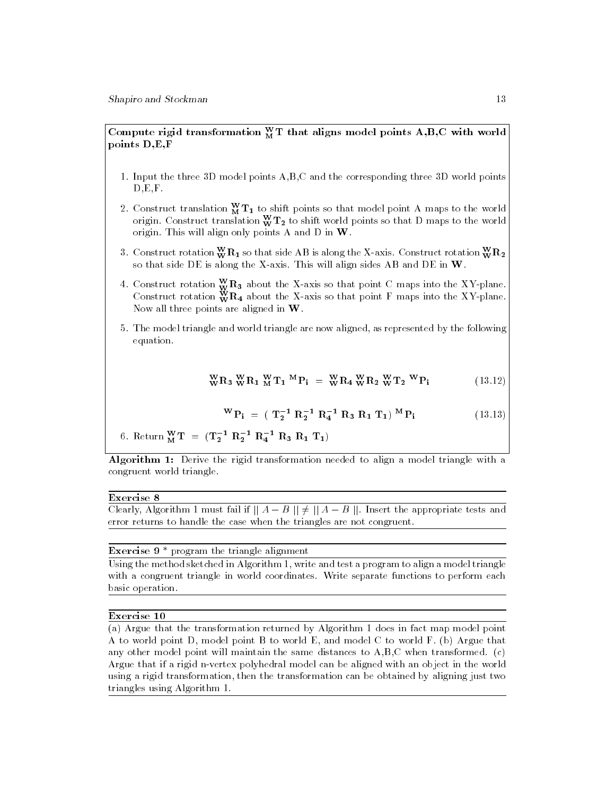## Compute rigid transformation  $\frac{M}{M}$  1 that aligns model points  $A, B, C$  with world points D,E,F

- 1. Input the three 3D model points A,B,C and the corresponding three 3D world points  $D, E, F$ .
- 2. Construct translation  $\dot{M}$  11 to shift points so that model point A maps to the world  $\vert$ origin. Construct translation  $\bf w \bf 12$  to shift world points so that D maps to the world  $\sf I$ origin. This will align only points A and D in W.
- 3. Construct rotation  $\overset{\dots}{\mathbf{w}}\mathbf{K}_1$  so that side AB is along the A-axis. Construct rotation  $\overset{\dots}{\mathbf{w}}\mathbf{K}_2$  | so that side DE is along the X-axis. This will align sides AB and DE in W.
- 4. Construct rotation  $\mathbf{\dot{w}}\mathbf{n_3}$  about the X-axis so that point C maps into the XY-plane. Construct rotation  $\mathbf{w}\mathbf{n}_4$  about the X-axis so that point **F** maps into the XY-plane. Now all three points are aligned in W.
- 5. The model triangle and world triangle are now aligned, as represented by the following equation.

$$
{}_{\mathbf{W}}^{\mathbf{W}}\mathbf{R}_3 \, {}_{\mathbf{W}}^{\mathbf{W}}\mathbf{R}_1 \, {}_{\mathbf{M}}^{\mathbf{W}}\mathbf{T}_1 \, {}_{\mathbf{M}}^{\mathbf{M}}\mathbf{P}_i = {}_{\mathbf{W}}^{\mathbf{W}}\mathbf{R}_4 \, {}_{\mathbf{W}}^{\mathbf{W}}\mathbf{R}_2 \, {}_{\mathbf{W}}^{\mathbf{W}}\mathbf{T}_2 \, {}_{\mathbf{W}}^{\mathbf{W}}\mathbf{P}_i \tag{13.12}
$$

$$
{}^{W}P_{i} = (T_{2}^{-1} R_{2}^{-1} R_{4}^{-1} R_{3} R_{1} T_{1}) {}^{M}P_{i}
$$
 (13.13)

6. Return 
$$
_{M}^{W}T = (T_{2}^{-1} R_{2}^{-1} R_{4}^{-1} R_{3} R_{1} T_{1})
$$

Algorithm 1: Derive the rigid transformation needed to align a model triangle with a congruent world triangle.

#### Exercise 8

Clearly, Algorithm 1 must fail if  $|| A - B || \ne || A - B ||$ . Insert the appropriate tests and error returns to handle the case when the triangles are not congruent.

# Exercise 9 \* program the triangle alignment

Using the method sketched in Algorithm 1, write and test a program to align a model triangle with a congruent triangle in world coordinates. Write separate functions to perform each basic operation.

#### Exercise 10

(a) Argue that the transformation returned by Algorithm 1 does in fact map model point A to world point D, model point B to world E, and model C to world F. (b) Argue that any other model point will maintain the same distances to  $A, B, C$  when transformed. (c) Argue that if a rigid n-vertex polyhedral model can be aligned with an object in the world using a rigid transformation, then the transformation can be obtained by aligning just two triangles using Algorithm 1.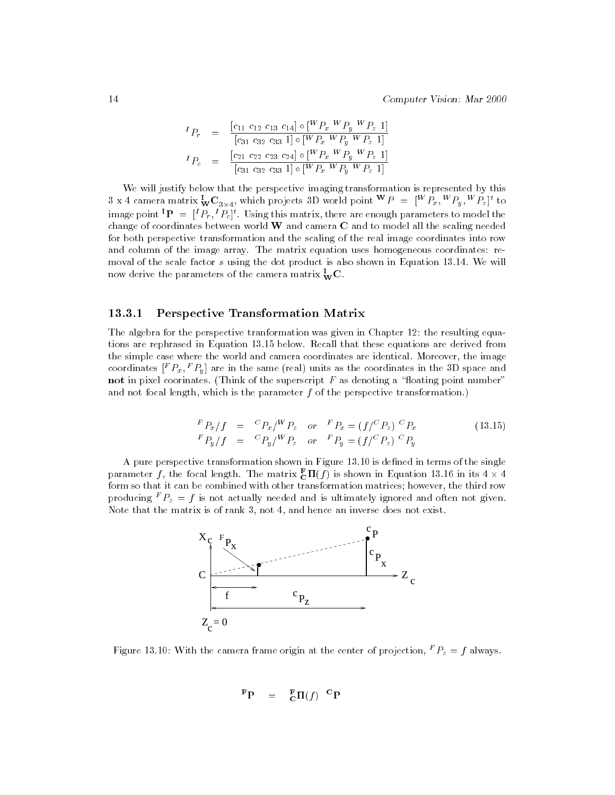$$
{}^{I}P_{r} = \frac{[c_{11} \ c_{12} \ c_{13} \ c_{14}] \circ [{}^{W}P_{x} \ {}^{W}P_{y} \ {}^{W}P_{z} \ 1]}{[c_{31} \ c_{32} \ c_{33} \ 1] \circ [{}^{W}P_{x} \ W \ P_{y} \ W \ P_{z} \ 1]}
$$

$$
{}^{I}P_{c} = \frac{[c_{21} \ c_{22} \ c_{23} \ c_{24}] \circ [{}^{W}P_{x} \ W \ P_{y} \ W \ P_{z} \ 1]}{[c_{31} \ c_{32} \ c_{33} \ 1] \circ [{}^{W}P_{x} \ W \ P_{y} \ W \ P_{z} \ 1]}
$$

We will justify below that the perspective imaging transformation is represented by this 3 x 4 camera matrix  ${}_{\mathbf{W}}\mathbf{C}_{3\times4}$ , which projects 3D world point  ${}^{'}\!P = [{}^{''}F_x, {}^{''}F_y, {}^{''}F_z]$  to image point  $\mathbf{P} = [P_{r}, P_{c}]^{\dagger}$ . Using this matrix, there are enough parameters to model the change of coordinates between world  $W$  and camera  $C$  and to model all the scaling needed for both perspective transformation and the scaling of the real image coordinates into row and column of the image array. The matrix equation uses homogeneous coordinates: re moval of the scale factor s using the dot product is also shown in Equation 13.14. We will now derive the parameters of the camera matrix  $\mathbf{w} \mathbf{\color{black}C}$  .

#### 13.3.1 Perspective Transformation Matrix

The algebra for the perspective tranformation was given in Chapter 12: the resulting equations are rephrased in Equation 13.15 below. Recall that these equations are derived from the simple case where the world and camera coordinates are identical. Moreover, the image coordinates  $[{}^F P_x, {}^F P_y]$  are in the same (real) units as the coordinates in the 3D space and not in pixel coorinates. (Think of the superscript  $F$  as denoting a "floating point number" and not focal length, which is the parameter  $f$  of the perspective transformation.)

$$
\begin{array}{rcl}\nF_{P_x/f} & = & {}^{C}P_x / {}^{W}P_z \quad \text{or} \quad {}^{F}P_x = (f / {}^{C}P_z) \, {}^{C}P_x \\
F_{P_u/f} & = & {}^{C}P_u / {}^{W}P_z \quad \text{or} \quad {}^{F}P_u = (f / {}^{C}P_z) \, {}^{C}P_u\n\end{array} \tag{13.15}
$$

A pure perspective transformation shown in Figure 13.10 is dened in terms of the single parameter  $f$  , the focal length. The matrix  $\mathbf{\tilde{c}}$   $\mathbf{n}(f)$  is shown in Equation 13.16 in its 4  $\times$  4 form so that it can be combined with other transformation matrices; however, the third row producing f  $P_z = f$  is not actually needed and is ultimately ignored and often not given. Note that the matrix is of rank 3, not 4, and hence an inverse does not exist.



Figure 13.10: With the camera frame origin at the center of projection,  $^{\ast}$   $P_z$   $\equiv$   $j$  always.

$$
\mathbf{F}\mathbf{P} = \mathbf{F} \mathbf{\Pi}(f) \mathbf{C} \mathbf{P}
$$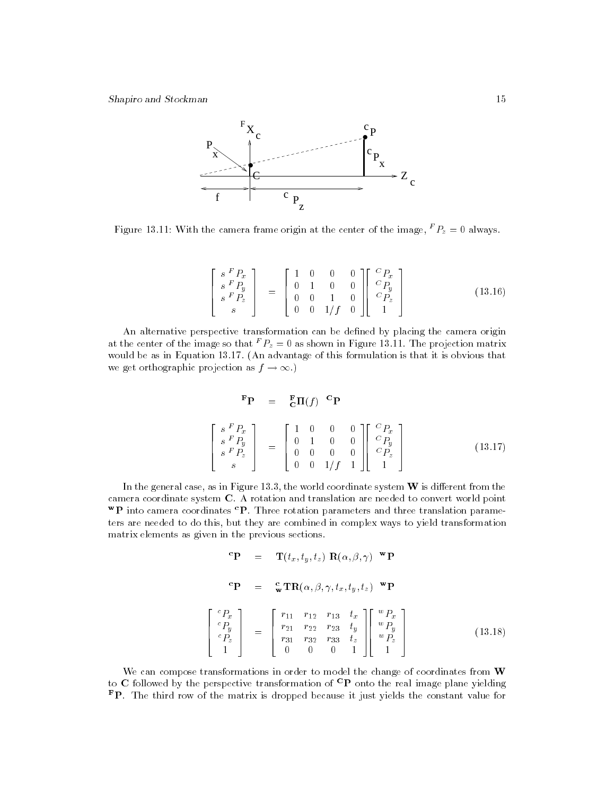

Figure 13.11: With the camera frame origin at the center of the image, "  $P_z = 0$  always.

$$
\begin{bmatrix}\n s \, F P_x \\
 s \, F P_y \\
 s \, F P_z \\
 s\n\end{bmatrix} =\n\begin{bmatrix}\n 1 & 0 & 0 & 0 \\
 0 & 1 & 0 & 0 \\
 0 & 0 & 1 & 0 \\
 0 & 0 & 1/f & 0\n\end{bmatrix}\n\begin{bmatrix}\n C P_x \\
 C P_y \\
 C P_z \\
 1\n\end{bmatrix}
$$
\n(13.16)

An alternative perspective transformation can be defined by placing the camera origin at the center of the image so that f  $P_z = 0$  as shown in Figure 13.11. The projection matrix would be as in Equation 13.17. (An advantage of this formulation is that it is obvious that we get orthographic projection as  $f \to \infty$ .)

$$
\begin{array}{rcl}\n\mathbf{F} \mathbf{P} & = & \mathbf{F}_{\mathbf{C}} \mathbf{\Pi}(f) \quad \mathbf{C} \mathbf{P} \\
\left[ \begin{array}{cc} s \, F \, P_x \\ s \, F \, P_y \\ s \, F \, P_z \\ s \end{array} \right] & = & \left[ \begin{array}{cccc} 1 & 0 & 0 & 0 \\ 0 & 1 & 0 & 0 \\ 0 & 0 & 0 & 0 \\ 0 & 0 & 1/f & 1 \end{array} \right] \left[ \begin{array}{c} C \, P_x \\ C \, P_y \\ C \, P_z \\ P_z \\ 1 \end{array} \right] \tag{13.17}
$$

In the general case, as in Figure 13.3, the world coordinate system  $W$  is different from the camera coordinate system C. A rotation and translation are needed to convert world point  ${}^{\mathbf{w}}\mathbf{P}$  into camera coordinates  ${}^{\mathbf{c}}\mathbf{P}$ . Three rotation parameters and three translation parameters are needed to do this, but they are combined in complex ways to yield transformation matrix elements as given in the previous sections.

$$
{}^{c}\mathbf{P} = \mathbf{T}(t_x, t_y, t_z) \mathbf{R}(\alpha, \beta, \gamma) \mathbf{w}\mathbf{P}
$$
  
\n
$$
{}^{c}\mathbf{P} = {}^{c}\mathbf{w}\mathbf{T}\mathbf{R}(\alpha, \beta, \gamma, t_x, t_y, t_z) \mathbf{w}\mathbf{P}
$$
  
\n
$$
\begin{bmatrix} {}^{c}P_x \\ {}^{c}P_y \\ {}^{c}P_z \\ {}^{1}1 \end{bmatrix} = \begin{bmatrix} r_{11} & r_{12} & r_{13} & t_x \\ r_{21} & r_{22} & r_{23} & t_y \\ r_{31} & r_{32} & r_{33} & t_z \\ 0 & 0 & 0 & 1 \end{bmatrix} \begin{bmatrix} w_{P_x} \\ w_{P_y} \\ w_{P_z} \\ 1 \end{bmatrix}
$$
 (13.18)

We can compose transformations in order to model the change of coordinates from W to C followed by the perspective transformation of  ${}^{\text{C}}\text{P}$  onto the real image plane yielding  $\mathbf{F}$ P. The third row of the matrix is dropped because it just yields the constant value for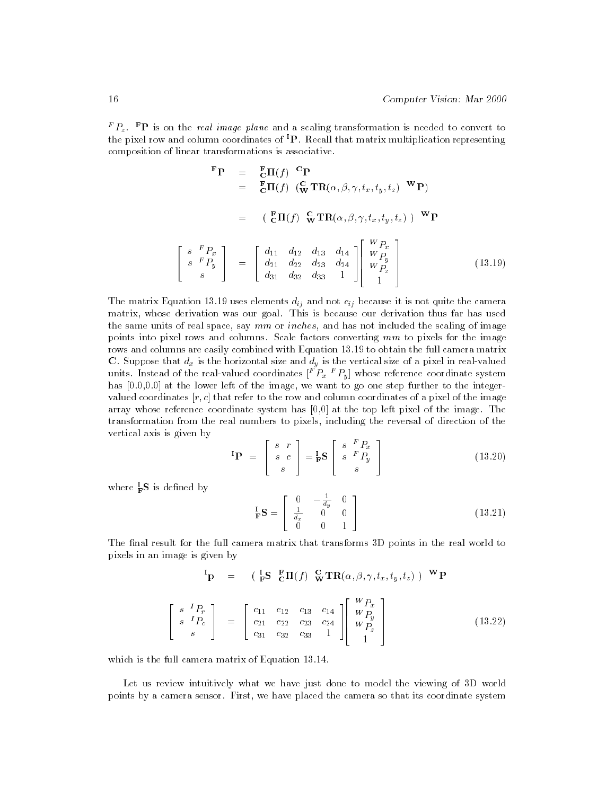f  $P_z$  f  $\mathbf{P}$  is on the *real image plane* and a scaling transformation is needed to convert to the pixel row and column coordinates of  ${}^{1}P$ . Recall that matrix multiplication representing composition of linear transformations is associative.

$$
\begin{aligned}\n\mathbf{F}_{\mathbf{P}} &= \mathbf{E}_{\mathbf{C}} \mathbf{\Pi}(f) \mathbf{^C} \mathbf{P} \\
&= \mathbf{E}_{\mathbf{C}} \mathbf{\Pi}(f) \left( \mathbf{^C}_{\mathbf{W}} \mathbf{T} \mathbf{R}(\alpha, \beta, \gamma, t_x, t_y, t_z) \mathbf{^W} \mathbf{P} \right) \\
&= \left( \mathbf{^F}_{\mathbf{C}} \mathbf{\Pi}(f) \mathbf{^C}_{\mathbf{W}} \mathbf{T} \mathbf{R}(\alpha, \beta, \gamma, t_x, t_y, t_z) \mathbf{)^W} \mathbf{P} \right.\n\end{aligned}
$$
\n
$$
\begin{bmatrix}\n\mathbf{s} \ \mathbf{^F} P_x \\
\mathbf{s} \ \mathbf{^F} P_y \\
\mathbf{s} \ \mathbf{s} \end{bmatrix} = \begin{bmatrix}\nd_{11} & d_{12} & d_{13} & d_{14} \\
d_{21} & d_{22} & d_{23} & d_{24} \\
d_{31} & d_{32} & d_{33} & 1\n\end{bmatrix} \begin{bmatrix}\nW P_x \\
W P_y \\
W P_z \\
1\n\end{bmatrix}
$$
\n(13.19)

The matrix Equation 13.19 uses elements dij and not cij because it is not control the camera matrix, whose derivation was our goal. This is because our derivation thus far has used the same units of real space, say  $mm$  or  $inches$ , and has not included the scaling of image points into pixel rows and columns. Scale factors converting mm to pixels for the image rows and columns are easily combined with Equation 13.19 to obtain the full camera matrix units. Instead of the real-valued coordinates  $[{}^F_{}P_x{}^F_{}P_y]$  whose reference coordinate system has [0.0,0.0] at the lower left of the image, we want to go one step further to the integervalued coordinates  $[r, c]$  that refer to the row and column coordinates of a pixel of the image array whose reference coordinate system has [0,0] at the top left pixel of the image. The transformation from the real numbers to pixels, including the reversal of direction of the vertical axis is given by

$$
\mathbf{P} = \begin{bmatrix} s & r \\ s & c \\ s \end{bmatrix} = \mathbf{I}_F \mathbf{S} \begin{bmatrix} s & F_{P_x} \\ s & F_{P_y} \\ s \end{bmatrix}
$$
(13.20)

where  $_F$  is defined by

$$
\mathbf{F} \mathbf{S} = \begin{bmatrix} 0 & -\frac{1}{d_y} & 0 \\ \frac{1}{d_x} & 0 & 0 \\ 0 & 0 & 1 \end{bmatrix}
$$
 (13.21)

The final result for the full camera matrix that transforms 3D points in the real world to pixels in an image is given by

$$
\begin{bmatrix}\n\mathbf{I}_{\mathbf{P}} &= \begin{bmatrix}\n\mathbf{I}_{\mathbf{F}}\mathbf{S} & \mathbf{F}_{\mathbf{C}}\mathbf{\Pi}(f) & \mathbf{G}_{\mathbf{V}}\mathbf{T}\mathbf{R}(\alpha,\beta,\gamma,t_x,t_y,t_z)\n\end{bmatrix} & \mathbf{W}_{\mathbf{P}} \\
\begin{bmatrix}\n\mathbf{s} & \mathbf{I}_{P_r} \\
\mathbf{s} & \mathbf{I}_{P_c} \\
\mathbf{s}\n\end{bmatrix} &= \begin{bmatrix}\n\mathbf{c}_{11} & \mathbf{c}_{12} & \mathbf{c}_{13} & \mathbf{c}_{14} \\
\mathbf{c}_{21} & \mathbf{c}_{22} & \mathbf{c}_{23} & \mathbf{c}_{24} \\
\mathbf{c}_{31} & \mathbf{c}_{32} & \mathbf{c}_{33} & 1\n\end{bmatrix} & \begin{bmatrix}\nW_{P_x} \\
W_{P_y} \\
W_{P_z} \\
W_{P_z}\n\end{bmatrix}
$$
\n(13.22)

which is the full camera matrix of Equation 13.14.

Let us review intuitively what we have just done to model the viewing of 3D world points by a camera sensor. First, we have placed the camera so that its coordinate system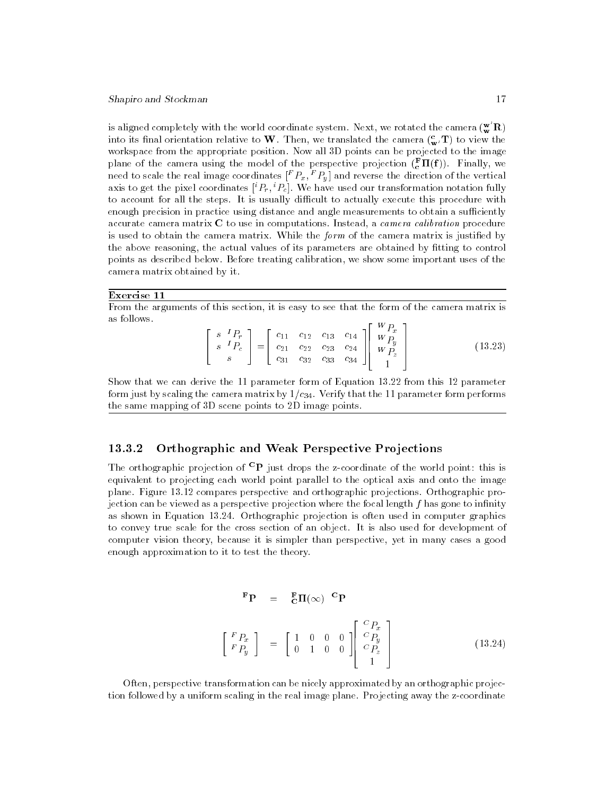is aligned completely with the world coordinate system. Next, we rotated the camera  $(\mathbf{w}^{\mathbf{w}}\mathbf{R})$ into its final orientation relative to W. Then, we translated the camera  $\binom{e}{m}$  to view the workspace from the appropriate position. Now all 3D points can be projected to the image plane of the camera using the model of the perspective projection  $(\frac{1}{6} \, \textbf{11}(\textbf{I} \,))$ . Finally, we need to scale the real image coordinates  $\restriction{F_x}, \restriction{P_y}$  and reverse the direction of the vertical axis to get the pixel coordinates  $\lceil r_r, \lceil r_c \rceil.$  We have used our transformation notation fully to account for all the steps. It is usually difficult to actually execute this procedure with enough precision in practice using distance and angle measurements to obtain a sufficiently accurate camera matrix  $C$  to use in computations. Instead, a *camera calibration* procedure is used to obtain the camera matrix. While the *form* of the camera matrix is justified by the above reasoning, the actual values of its parameters are obtained by fitting to control points as described below. Before treating calibration, we show some important uses of the camera matrix obtained by it.

#### Exercise 11

From the arguments of this section, it is easy to see that the form of the camera matrix is as follows.

$$
\begin{bmatrix} s & I_{P_r} \\ s & I_{P_c} \\ s & s \end{bmatrix} = \begin{bmatrix} c_{11} & c_{12} & c_{13} & c_{14} \\ c_{21} & c_{22} & c_{23} & c_{24} \\ c_{31} & c_{32} & c_{33} & c_{34} \end{bmatrix} \begin{bmatrix} W_{P_x} \\ W_{P_y} \\ W_{P_z} \\ 1 \end{bmatrix}
$$
(13.23)

Show that we can derive the 11 parameter form of Equation 13.22 from this 12 parameter form just by scaling the camera matrix by  $1/c_{34}$ . Verify that the 11 parameter form performs the same mapping of 3D scene points to 2D image points.

# 13.3.2 Orthographic and Weak Perspective Projections

The orthographic projection of  ${}^{C}P$  just drops the z-coordinate of the world point: this is equivalent to projecting each world point parallel to the optical axis and onto the image plane. Figure 13.12 compares perspective and orthographic projections. Orthographic projection can be viewed as a perspective projection where the focal length  $f$  has gone to infinity as shown in Equation 13.24. Orthographic projection is often used in computer graphics to convey true scale for the cross section of an object. It is also used for development of computer vision theory, because it is simpler than perspective, yet in many cases a good enough approximation to it to test the theory.

$$
\begin{aligned}\n\mathbf{F} \mathbf{P} &= \mathbf{E} \mathbf{\Pi}(\infty) \mathbf{C} \mathbf{P} \\
\begin{bmatrix}\nF_{P_x} \\
F_{P_y}\n\end{bmatrix} &= \begin{bmatrix}\n1 & 0 & 0 & 0 \\
0 & 1 & 0 & 0\n\end{bmatrix} \begin{bmatrix}\n\frac{C_{P_x}}{C_{P_y}} \\
\frac{C_{P_y}}{C_{P_z}} \\
1\n\end{bmatrix}\n\end{aligned} \tag{13.24}
$$

Often, perspective transformation can be nicely approximated by an orthographic projection followed by a uniform scaling in the real image plane. Projecting away the z-coordinate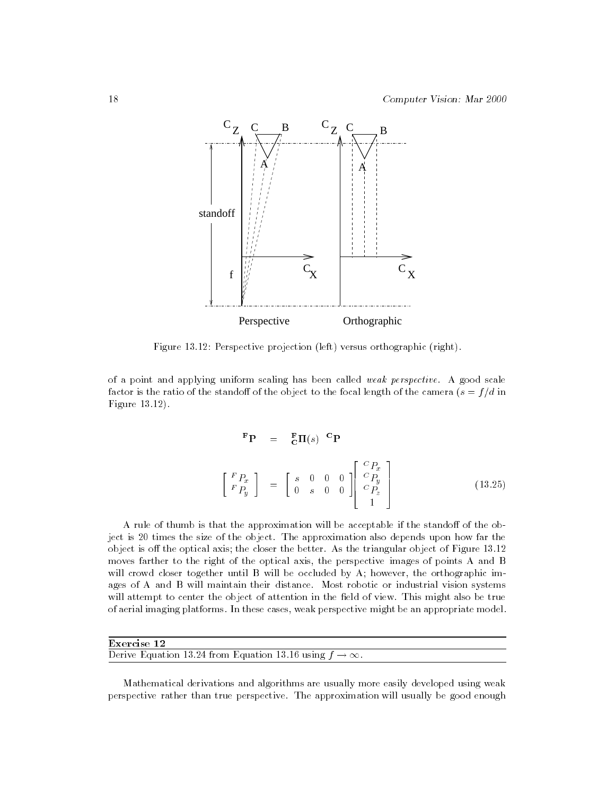

Figure 13.12: Perspective projection (left) versus orthographic (right).

of a point and applying uniform scaling has been called weak perspective. A good scale factor is the ratio of the standoff of the object to the focal length of the camera  $(s = f/d$  in Figure 13.12).

$$
\begin{aligned}\n\mathbf{F}\mathbf{P} &= \mathbf{E}\mathbf{\Pi}(s) \quad \mathbf{C}\mathbf{P} \\
\begin{bmatrix}\nF_{P_x} \\
F_{P_y}\n\end{bmatrix} &= \begin{bmatrix}\ns & 0 & 0 & 0 \\
0 & s & 0 & 0\n\end{bmatrix} \begin{bmatrix}\n\frac{C_{P_x}}{C_{P_y}} \\
\frac{C_{P_y}}{C_{P_z}} \\
1\n\end{bmatrix}\n\end{aligned} \tag{13.25}
$$

A rule of thumb is that the approximation will be acceptable if the standoff of the object is 20 times the size of the object. The approximation also depends upon how far the object is off the optical axis; the closer the better. As the triangular object of Figure  $13.12$ moves farther to the right of the optical axis, the perspective images of points A and B will crowd closer together until B will be occluded by A; however, the orthographic images of A and B will maintain their distance. Most robotic or industrial vision systems will attempt to center the object of attention in the field of view. This might also be true of aerial imaging platforms. In these cases, weak perspective might be an appropriate model.

| Exercise 12                                                      |  |
|------------------------------------------------------------------|--|
| Derive Equation 13.24 from Equation 13.16 using $f \to \infty$ . |  |

Mathematical derivations and algorithms are usually more easily developed using weak perspective rather than true perspective. The approximation will usually be good enough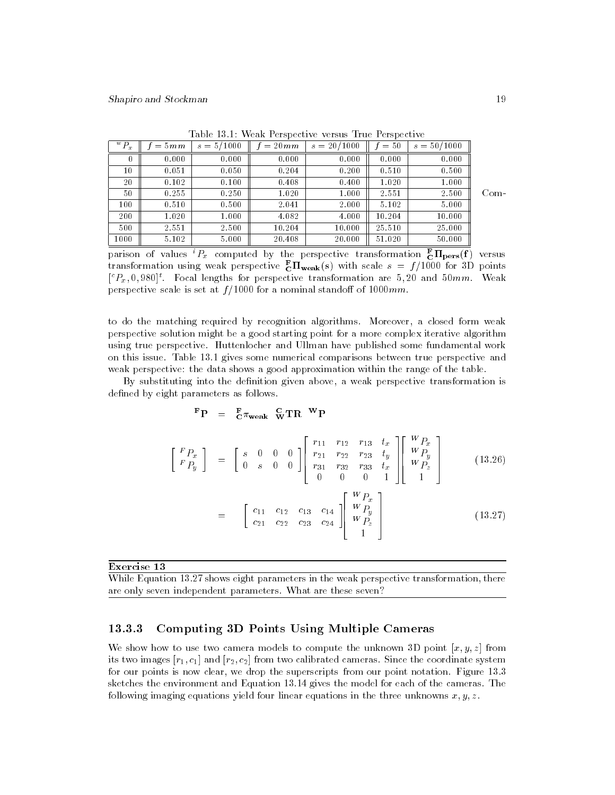|      | $s = 50/1000$ | $=50$  | $s = 20/1000$ | $=20mm$ | $s = 5/1000$ | $=5mm$ | $\sqrt[w]{P_x}$ |  |  |  |
|------|---------------|--------|---------------|---------|--------------|--------|-----------------|--|--|--|
|      | 0.000         | 0.000  | 0.000         | 0.000   | 0.000        | 0.000  | 0               |  |  |  |
|      | 0.500         | 0.510  | 0.200         | 0.204   | 0.050        | 0.051  | 10              |  |  |  |
|      | 1.000         | 1.020  | 0.400         | 0.408   | 0.100        | 0.102  | 20              |  |  |  |
| Com- | 2.500         | 2.551  | 1.000         | 1.020   | 0.250        | 0.255  | 50              |  |  |  |
|      | 5.000         | 5.102  | 2.000         | 2.041   | 0.500        | 0.510  | 100             |  |  |  |
|      | 10.000        | 10.204 | 4.000         | 4.082   | 1.000        | 1.020  | 200             |  |  |  |
|      | 25.000        | 25.510 | 10.000        | 10.204  | 2.500        | 2.551  | 500             |  |  |  |
|      | 50.000        | 51.020 | 20.000        | 20.408  | 5.000        | 5.102  | 1000            |  |  |  |

Table 13.1: Weak Perspective versus True Perspective

parison of values  ${}^{\ast}P_{x}$  computed by the perspective transformation  ${}^{\bullet} _{\mathbf{C}}\mathbf{H_{pers}}(\mathbf{I})$  versus transformation using weak perspective  $\tilde{C}^{II}$ weak(s) with scale  $s = f/1000$  for 3D points  $\lceil \mathcal{C}_{x}, 0, 980 \rceil$ . Focal lengths for perspective transformation are 5,20 and 50mm. Weak perspective scale is set at  $f/1000$  for a nominal standoff of 1000mm.

to do the matching required by recognition algorithms. Moreover, a closed form weak perspective solution might be a good starting point for a more complex iterative algorithm using true perspective. Huttenlocher and Ullman have published some fundamental work on this issue. Table 13.1 gives some numerical comparisons between true perspective and weak perspective: the data shows a good approximation within the range of the table.

By substituting into the definition given above, a weak perspective transformation is defined by eight parameters as follows.

$$
{}^{\mathbf{F}}\mathbf{P} \quad = \quad {}^{\mathbf{F}}_{\mathbf{C}}\pi_{\mathbf{weak}}\quad \ \ _{\mathbf{W}}^{\mathbf{C}}\mathbf{T}\mathbf{R}\quad \ \ \mathbf{W}\mathbf{P}
$$

$$
\begin{bmatrix}\nF_{P_x} \\
F_{P_y}\n\end{bmatrix} = \begin{bmatrix}\ns & 0 & 0 & 0 \\
0 & s & 0 & 0\n\end{bmatrix}\n\begin{bmatrix}\nr_{11} & r_{12} & r_{13} & t_x \\
r_{21} & r_{22} & r_{23} & t_y \\
r_{31} & r_{32} & r_{33} & t_x \\
0 & 0 & 0 & 1\n\end{bmatrix}\n\begin{bmatrix}\nW_{P_x} \\
W_{P_y} \\
W_{P_z} \\
1\n\end{bmatrix}
$$
\n(13.26)

$$
= \begin{bmatrix} c_{11} & c_{12} & c_{13} & c_{14} \\ c_{21} & c_{22} & c_{23} & c_{24} \end{bmatrix} \begin{bmatrix} W_{P_x} \\ W_{P_y} \\ W_{P_z} \\ 1 \end{bmatrix}
$$
 (13.27)

Exercise 13

While Equation 13.27 shows eight parameters in the weak perspective transformation, there are only seven independent parameters. What are these seven?

# 13.3.3 Computing 3D Points Using Multiple Cameras

We show how to use two camera models to compute the unknown 3D point  $[x, y, z]$  from its two images  $[r_1, c_1]$  and  $[r_2, c_2]$  from two calibrated cameras. Since the coordinate system for our points is now clear, we drop the superscripts from our point notation. Figure 13.3 sketches the environment and Equation 13.14 gives the model for each of the cameras. The following imaging equations yield four linear equations in the three unknowns  $x, y, z$ .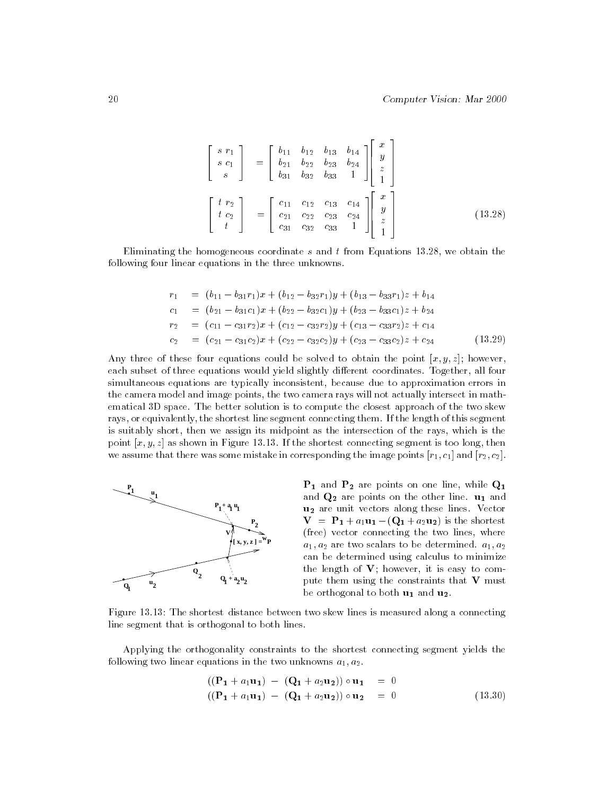$$
\begin{bmatrix}\ns r_1 \\
s c_1 \\
s\n\end{bmatrix} = \begin{bmatrix}\nb_{11} & b_{12} & b_{13} & b_{14} \\
b_{21} & b_{22} & b_{23} & b_{24} \\
b_{31} & b_{32} & b_{33} & 1\n\end{bmatrix} \begin{bmatrix}\nx \\
y \\
z \\
1\n\end{bmatrix}
$$
\n
$$
\begin{bmatrix}\nt r_2 \\
t c_2 \\
t\n\end{bmatrix} = \begin{bmatrix}\nc_{11} & c_{12} & c_{13} & c_{14} \\
c_{21} & c_{22} & c_{23} & c_{24} \\
c_{31} & c_{32} & c_{33} & 1\n\end{bmatrix} \begin{bmatrix}\nx \\
y \\
z \\
z \\
1\n\end{bmatrix}
$$
\n(13.28)

2

33 September 2005 - 2005 - 2005 - 2005 - 2005 - 2005 - 2005 - 2005 - 2005 - 2005 - 2005 - 2005 - 2005 - 2005

Eliminating the homogeneous coordinate s and t from Equations 13.28, we obtain the following four linear equations in the three unknowns.

$$
r_1 = (b_{11} - b_{31}r_1)x + (b_{12} - b_{32}r_1)y + (b_{13} - b_{33}r_1)z + b_{14}
$$
  
\n
$$
c_1 = (b_{21} - b_{31}c_1)x + (b_{22} - b_{32}c_1)y + (b_{23} - b_{33}c_1)z + b_{24}
$$
  
\n
$$
r_2 = (c_{11} - c_{31}r_2)x + (c_{12} - c_{32}r_2)y + (c_{13} - c_{33}r_2)z + c_{14}
$$
  
\n
$$
c_2 = (c_{21} - c_{31}c_2)x + (c_{22} - c_{32}c_2)y + (c_{23} - c_{33}c_2)z + c_{24}
$$
 (13.29)

Any three of these four equations could be solved to obtain the point  $[x, y, z]$ ; however, each subset of three equations would yield slightly different coordinates. Together, all four simultaneous equations are typically inconsistent, because due to approximation errors in the camera model and image points, the two camera rays will not actually intersect in mathematical 3D space. The better solution is to compute the closest approach of the two skew rays, or equivalently, the shortest line segment connecting them. If the length of this segment is suitably short, then we assign its midpoint as the intersection of the rays, which is the point  $[x, y, z]$  as shown in Figure 13.13. If the shortest connecting segment is too long, then we assume that there was some mistake in corresponding the image points  $[r_1, c_1]$  and  $[r_2, c_2]$ .



 $P_1$  and  $P_2$  are points on one line, while  $Q_1$ and  $Q_2$  are points on the other line.  $u_1$  and u2 are unit vectors along these lines. Vector  $\mathbf{V} = \mathbf{P}_1 + a_1 \mathbf{u}_1 - (\mathbf{Q}_1 + a_2 \mathbf{u}_2)$  is the shortest (free) vector connecting the two lines, where  $a_1, a_2$  are two scalars to be determined.  $a_1, a_2$ can be determined using calculus to minimize the length of  $V$ ; however, it is easy to compute them using the constraints that V must be orthogonal to both  $\mathbf{u}_1$  and  $\mathbf{u}_2$ .

Figure 13.13: The shortest distance between two skew lines is measured along a connecting line segment that is orthogonal to both lines.

Applying the orthogonality constraints to the shortest connecting segment yields the following two linear equations in the two unknowns  $a_1, a_2$ .

$$
((\mathbf{P_1} + a_1 \mathbf{u_1}) - (\mathbf{Q_1} + a_2 \mathbf{u_2})) \circ \mathbf{u_1} = 0
$$
  

$$
((\mathbf{P_1} + a_1 \mathbf{u_1}) - (\mathbf{Q_1} + a_2 \mathbf{u_2})) \circ \mathbf{u_2} = 0
$$
 (13.30)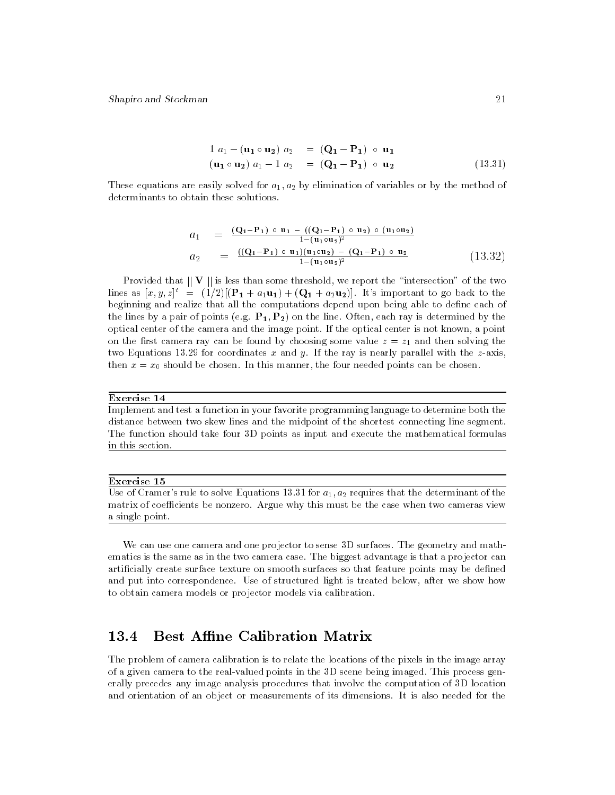$$
1 a1 - (u1 \circ u2) a2 = (Q1 - P1) \circ u1(u1 \circ u2) a1 - 1 a2 = (Q1 - P1) \circ u2
$$
(13.31)

These equations are easily solved for  $a_1, a_2$  by elimination of variables or by the method of determinants to obtain these solutions.

$$
a_1 = \frac{(Q_1 - P_1) \circ u_1 - ((Q_1 - P_1) \circ u_2) \circ (u_1 \circ u_2)}{1 - (u_1 \circ u_2)^2}
$$
  
\n
$$
a_2 = \frac{((Q_1 - P_1) \circ u_1)(u_1 \circ u_2) - (Q_1 - P_1) \circ u_2}{1 - (u_1 \circ u_2)^2}
$$
\n(13.32)

Provided that  $\|\mathbf{V}\|$  is less than some threshold, we report the "intersection" of the two lines as  $[x, y, z]^t = (1/2)[(\mathbf{P}_1 + a_1\mathbf{u}_1) + (\mathbf{Q}_1 + a_2\mathbf{u}_2)]$ . It's important to go back to the beginning and realize that all the computations depend upon being able to define each of the lines by a pair of points (e.g.  $P_1, P_2$ ) on the line. Often, each ray is determined by the optical center of the camera and the image point. If the optical center is not known, a point on the first camera ray can be found by choosing some value  $z = z<sub>1</sub>$  and then solving the two Equations 13.29 for coordinates x and y. If the ray is nearly parallel with the  $z$ -axis, then  $x = x_0$  should be chosen. In this manner, the four needed points can be chosen.

#### Exercise 14

Implement and test a function in your favorite programming language to determine both the distance between two skew lines and the midpoint of the shortest connecting line segment. The function should take four 3D points as input and execute the mathematical formulas in this section.

#### Exercise 15

Use of Cramer's rule to solve Equations 13.31 for  $a_1, a_2$  requires that the determinant of the matrix of coefficients be nonzero. Argue why this must be the case when two cameras view a single point.

We can use one camera and one projector to sense 3D surfaces. The geometry and mathematics is the same as in the two camera case. The biggest advantage is that a projector can artificially create surface texture on smooth surfaces so that feature points may be defined and put into correspondence. Use of structured light is treated below, after we show how to obtain camera models or projector models via calibration.

#### 13.4 **Best Affine Calibration Matrix**

The problem of camera calibration is to relate the locations of the pixels in the image array of a given camera to the real-valued points in the 3D scene being imaged. This process generally precedes any image analysis procedures that involve the computation of 3D location and orientation of an object or measurements of its dimensions. It is also needed for the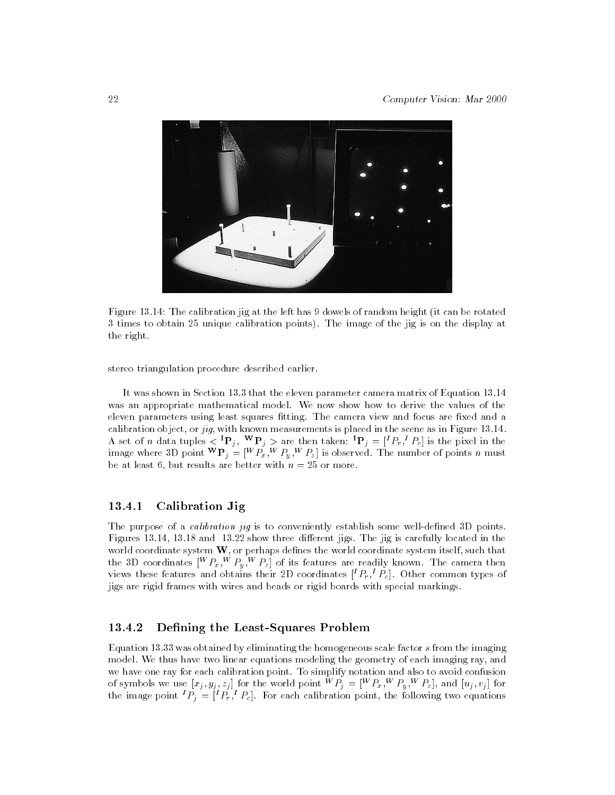

Figure 13.14: The calibration jig at the left has 9 dowels of random height (it can be rotated 3 times to obtain 25 unique calibration points). The image of the jig is on the display at the right.

stereo triangulation procedure described earlier.

It was shown in Section 13.3 that the eleven parameter camera matrix of Equation 13.14 was an appropriate mathematical model. We now show how to derive the values of the eleven parameters using least squares fitting. The camera view and focus are fixed and a calibration object, or jig, with known measurements is placed in the scene as in Figure 13.14. A set of n data tuples  $\langle \mathbf{P}_i, \mathbf{P}_j \rangle$  are then taken:  $\mathbf{P}_i = [P_r, P_c]$  is the pixel in the image where 3D point  $\mathbf{P}_j = |T P_x, T P_y, T Z_z |$  is observed. The number of points n must be at least 6, but results are better with  $n = 25$  or more.

# 13.4.1 Calibration Jig

The purpose of a *calibration jig* is to conveniently establish some well-defined 3D points. Figures 13.14, 13.18 and 13.22 show three different jigs. The jig is carefully located in the world coordinate system  $W$ , or perhaps defines the world coordinate system itself, such that the 3D coordinates  $||P_x, ||P_y, ||P_z||$  of its features are readily known. The camera then views these features and obtains their 2D coordinates  $[{}^{1}F_{r},{}^{1}F_{c}]$ . Other common types of jigs are rigid frames with wires and beads or rigid boards with special markings.

# 13.4.2 Defining the Least-Squares Problem

Equation 13.33 was obtained by eliminating the homogeneous scale factor s from the imaging model. We thus have two linear equations modeling the geometry of each imaging ray, and we have one ray for each calibration point. To simplify notation and also to avoid confusion of symbols we use  $|x_i, y_i, z_i|$  for the world point  $\forall$   $P_i = \|\forall$   $P_x, \forall$   $P_y, \forall$   $P_z$  and  $[u_i, v_i]$  for the image point  $P_i = [P_r, P_c]$ . For each calibration point, the following two equations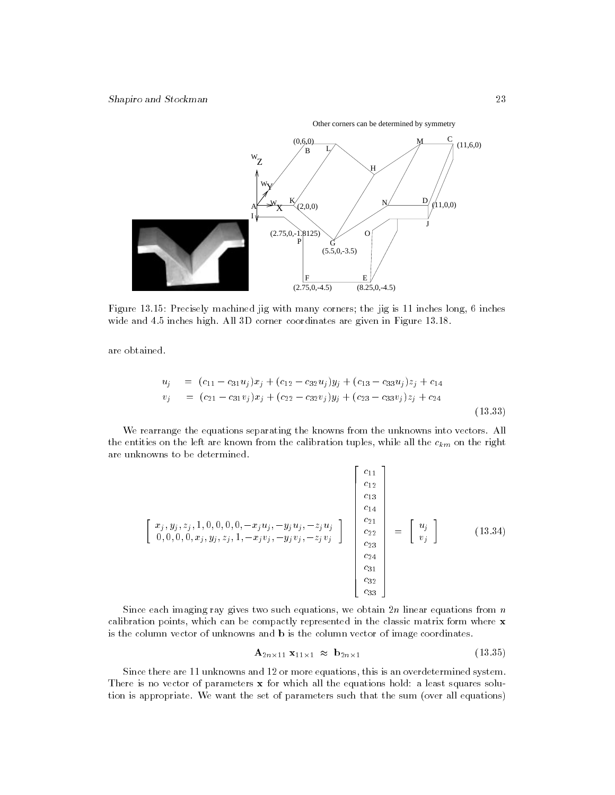Other corners can be determined by symmetry



Figure 13.15: Precisely machined jig with many corners; the jig is 11 inches long, 6 inches wide and 4.5 inches high. All 3D corner coordinates are given in Figure 13.18.

are obtained.

$$
u_j = (c_{11} - c_{31}u_j)x_j + (c_{12} - c_{32}u_j)y_j + (c_{13} - c_{33}u_j)z_j + c_{14}
$$
  
\n
$$
v_j = (c_{21} - c_{31}v_j)x_j + (c_{22} - c_{32}v_j)y_j + (c_{23} - c_{33}v_j)z_j + c_{24}
$$
\n(13.33)

We rearrange the equations separating the knowns from the unknowns into vectors. All the entities on the left are known from the calibration tuples, while all the calibration tuples, while all the right are continuous  $\Box$ are unknowns to be determined.

$$
\begin{bmatrix}\nx_j, y_j, z_j, 1, 0, 0, 0, 0, -x_j u_j, -y_j u_j, -z_j u_j \\
0, 0, 0, 0, x_j, y_j, z_j, 1, -x_j v_j, -y_j v_j, -z_j v_j\n\end{bmatrix}\n\begin{bmatrix}\nc_{11} \\
c_{12} \\
c_{13} \\
c_{14} \\
c_{22} \\
c_{23} \\
c_{24} \\
c_{31} \\
c_{32} \\
c_{33}\n\end{bmatrix} = \begin{bmatrix}\nu_j \\
u_j \\
v_j\n\end{bmatrix}
$$
\n(13.34)

Since each imaging ray gives two such equations, we obtain  $2n$  linear equations from n calibration points, which can be compactly represented in the classic matrix form where x is the column vector of unknowns and b is the column vector of image coordinates.

$$
\mathbf{A}_{2n \times 11} \mathbf{x}_{11 \times 1} \approx \mathbf{b}_{2n \times 1} \tag{13.35}
$$

Since there are 11 unknowns and 12 or more equations, this is an overdetermined system. There is no vector of parameters  $x$  for which all the equations hold: a least squares solution is appropriate. We want the set of parameters such that the sum (over all equations)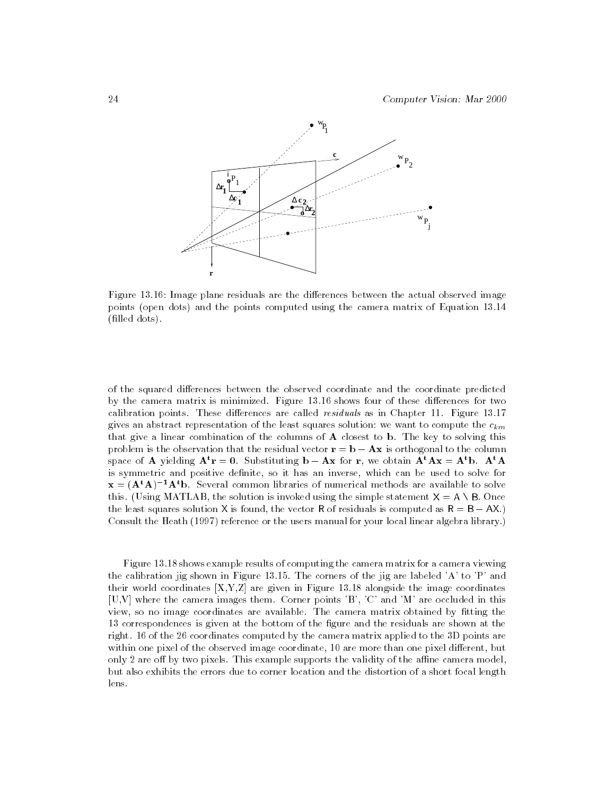

Figure 13.16: Image plane residuals are the differences between the actual observed image points (open dots) and the points computed using the camera matrix of Equation 13.14 (filled dots).

of the squared differences between the observed coordinate and the coordinate predicted by the camera matrix is minimized. Figure 13.16 shows four of these differences for two calibration points. These differences are called  $residuals$  as in Chapter 11. Figure 13.17 gives an abstract representation of the least squares solution: we want to compute the  $c_{km}$ that give a linear combination of the columns of A closest to b. The key to solving this problem is the observation that the residual vector  $\mathbf{r} = \mathbf{b} - \mathbf{A}\mathbf{x}$  is orthogonal to the column space of A yielding  $A^t r = 0$ . Substituting  $b - Ax$  for r, we obtain  $A^t Ax = A^t b$ .  $A^t A$ is symmetric and positive denite, so it has an inverse, which can be used to solve for  $x = (A<sup>t</sup>A)<sup>-1</sup>A<sup>t</sup>b$ . Several common libraries of numerical methods are available to solve this. (Using MATLAB, the solution is invoked using the simple statement  $X = A \setminus B$ . Once the least squares solution X is found, the vector R of residuals is computed as  $R = B - AX$ . Consult the Heath (1997) reference or the users manual for your local linear algebra library.)

Figure 13.18 shows example results of computing the camera matrix for a camera viewing the calibration jig shown in Figure 13.15. The corners of the jig are labeled 'A' to 'P' and their world coordinates  $[X, Y, Z]$  are given in Figure 13.18 alongside the image coordinates [U,V] where the camera images them. Corner points 'B', 'C' and 'M' are occluded in this view, so no image coordinates are available. The camera matrix obtained by fitting the 13 correspondences is given at the bottom of the gure and the residuals are shown at the right. 16 of the 26 coordinates computed by the camera matrix applied to the 3D points are within one pixel of the observed image coordinate, 10 are more than one pixel different, but only 2 are off by two pixels. This example supports the validity of the affine camera model, but also exhibits the errors due to corner location and the distortion of a short focal length lens.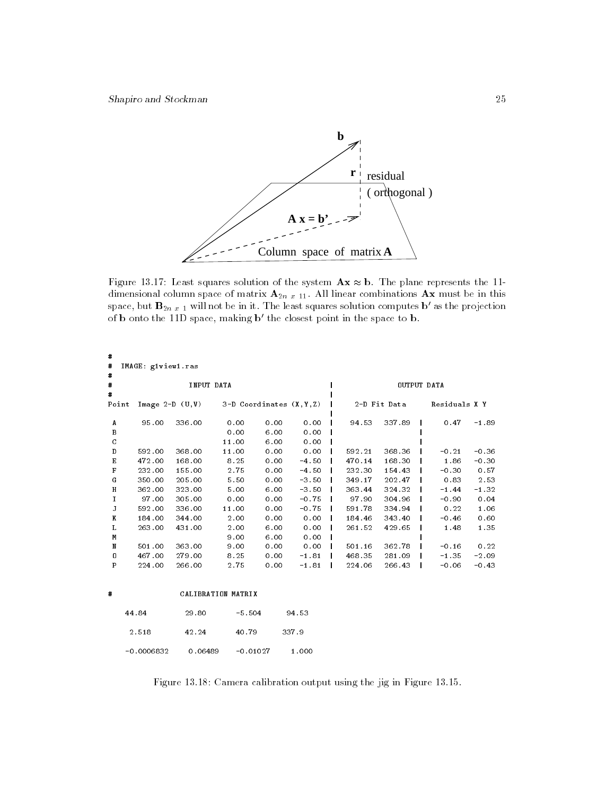

Figure 13.17: Least squares solution of the system  $\mathbf{A}\mathbf{x} \approx \mathbf{b}$ . The plane represents the 11dimensional column space of matrix  $A_{2n}$   $_{x}$  11. All linear combinations  $A x$  must be in this space, but  $B_{2n x 1}$  will not be in it. The least squares solution computes b' as the projection of **b** onto the 11D space, making  $\mathbf{b}'$  the closest point in the space to **b**.

| #<br>$\pmb{\ast}$<br>$\pmb{\pi}$        | IMAGE: giview1.ras |                      |                    |                               |         |        |              |               |         |  |  |
|-----------------------------------------|--------------------|----------------------|--------------------|-------------------------------|---------|--------|--------------|---------------|---------|--|--|
| $\pmb{\pi}$<br>$\overline{\phantom{a}}$ | INPUT DATA         |                      |                    |                               |         |        | OUTPUT DATA  |               |         |  |  |
| Point                                   |                    | Image $2-D$ $(U, V)$ |                    | $3-D$ Coordinates $(X, Y, Z)$ |         |        | 2-D Fit Data | Residuals X Y |         |  |  |
| А                                       | 95.00              | 336.00               | 0.00               | 0.00                          | 0.00    | 94.53  | 337.89       | 0.47          | $-1.89$ |  |  |
| B                                       |                    |                      | 0.00               | 6.00                          | 0.00    |        |              |               |         |  |  |
| C                                       |                    |                      | 11.00              | 6.00                          | 0.00    |        |              |               |         |  |  |
| D                                       | 592.00             | 368.00               | 11.00              | 0.00                          | 0.00    | 592.21 | 368.36       | $-0.21$       | $-0.36$ |  |  |
| E                                       | 472.00             | 168.00               | 8.25               | 0.00                          | $-4.50$ | 470.14 | 168.30       | 1.86          | $-0.30$ |  |  |
| F                                       | 232.00             | 155.00               | 2.75               | 0.00                          | $-4.50$ | 232.30 | 154.43       | $-0.30$       | 0.57    |  |  |
| G                                       | 350.00             | 205.00               | 5.50               | 0.00                          | $-3.50$ | 349.17 | 202.47       | 0.83          | 2.53    |  |  |
| H                                       | 362.00             | 323.00               | 5.00               | 6.00                          | $-3.50$ | 363.44 | 324.32       | $-1.44$       | $-1.32$ |  |  |
| $\mathbf I$                             | 97.00              | 305.00               | 0.00               | 0.00                          | $-0.75$ | 97.90  | 304.96       | $-0.90$       | 0.04    |  |  |
| J                                       | 592.00             | 336.00               | 11.00              | 0.00                          | $-0.75$ | 591.78 | 334.94       | 0.22          | 1.06    |  |  |
| K                                       | 184.00             | 344.00               | 2.00               | 0.00                          | 0.00    | 184.46 | 343.40       | $-0.46$       | 0.60    |  |  |
| г                                       | 263.00             | 431.00               | 2.00               | 6.00                          | 0.00    | 261.52 | 429.65       | 1.48          | 1.35    |  |  |
| М                                       |                    |                      | 9.00               | 6.00                          | 0.00    |        |              |               |         |  |  |
| N                                       | 501.00             | 363.00               | 9.00               | 0.00                          | 0.00    | 501.16 | 362.78       | $-0.16$       | 0.22    |  |  |
| 0                                       | 467.00             | 279.00               | 8.25               | 0.00                          | $-1.81$ | 468.35 | 281 09       | $-1.35$       | $-2.09$ |  |  |
| P                                       | 224.00             | 266.00               | 2.75               | 0.00                          | $-1.81$ | 224.06 | 266.43       | $-0.06$       | $-0.43$ |  |  |
| #                                       |                    |                      | CALIBRATION MATRIX |                               |         |        |              |               |         |  |  |
|                                         | 44.84              | 29.80                | $-5.504$           |                               | 94.53   |        |              |               |         |  |  |
|                                         | 2.518              | 42.24                | 40.79              |                               | 337.9   |        |              |               |         |  |  |
|                                         | $-0.0006832$       | 0.06489              | $-0.01027$         |                               | 1.000   |        |              |               |         |  |  |

Figure 13.18: Camera calibration output using the jig in Figure 13.15.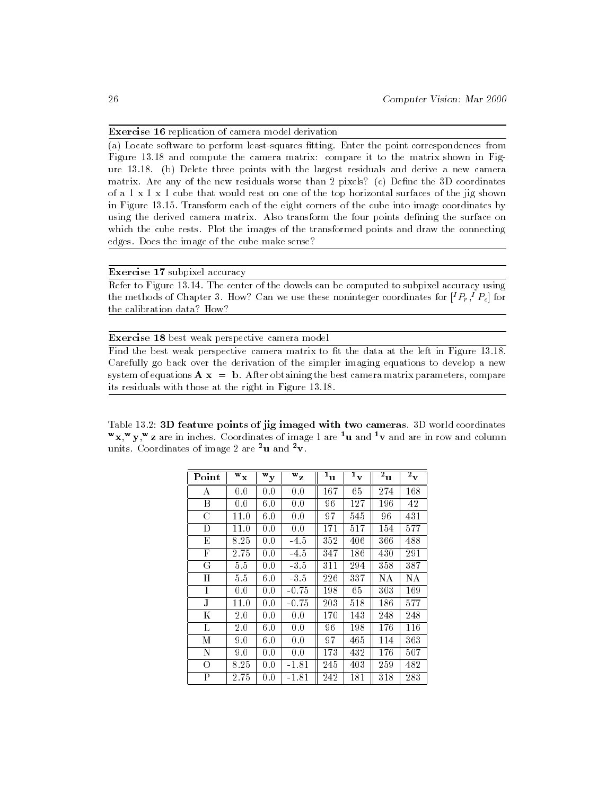## Exercise 16 replication of camera model derivation

(a) Locate software to perform least-squares fitting. Enter the point correspondences from Figure 13.18 and compute the camera matrix: compare it to the matrix shown in Figure 13.18. (b) Delete three points with the largest residuals and derive a new camera matrix. Are any of the new residuals worse than  $2$  pixels? (c) Define the  $3D$  coordinates of a 1 x 1 x 1 cube that would rest on one of the top horizontal surfaces of the jig shown in Figure 13.15. Transform each of the eight corners of the cube into image coordinates by using the derived camera matrix. Also transform the four points defining the surface on which the cube rests. Plot the images of the transformed points and draw the connecting edges. Does the image of the cube make sense?

# Exercise 17 subpixel accuracy

Refer to Figure 13.14. The center of the dowels can be computed to subpixel accuracy using the methods of Chapter 3. How? Can we use these noninteger coordinates for  $[{}^{\ast}F_r,{}^{\ast}F_c]$  for the calibration data? How?

### Exercise 18 best weak perspective camera model

Find the best weak perspective camera matrix to fit the data at the left in Figure 13.18. Carefully go back over the derivation of the simpler imaging equations to develop a new system of equations  $A x = b$ . After obtaining the best camera matrix parameters, compare its residuals with those at the right in Figure 13.18.

Table 13.2: 3D feature points of jig imaged with two cameras. 3D world coordinates  $\mathbf{x}, \mathbf{y}, \mathbf{z}$  are in inches. Coordinates of image 1 are  $\mathbf{u}$  and  $\mathbf{v}$  and are in row and column units. Coordinates of image 2 are  $2u$  and  $2v$ .

| Point | $\overline{W}_{\mathbf{X}}$ | $\overline{\mathbf{w}}_{\mathbf{y}}$ | $\overline{\mathtt{w}}_{\mathtt{Z}}$ | 1<br>$\mathbf u$ | 1<br>$\overline{\mathbf{v}}$ | $\overline{z}_{\rm u}$ | $\overline{\textbf{z}}_{\textbf{v}}$ |  |
|-------|-----------------------------|--------------------------------------|--------------------------------------|------------------|------------------------------|------------------------|--------------------------------------|--|
| А     | 0.0                         | 0.0                                  | 0.0                                  | 167              | 65                           | 274                    | 168                                  |  |
| Β     | 0.0                         | 6.0                                  | 0.0                                  | 96               | 127                          | 196                    | 42                                   |  |
| C     | 11.0                        | 6.0                                  | 0.0                                  | 97               | 545                          | 96                     | 431                                  |  |
| D     | $11.0\,$                    | 0.0                                  | 0.0                                  | 171              | 517                          | 154                    | 577                                  |  |
| E     | 8.25                        | 0.0                                  | $-4.5$                               | 352              | 406                          | 366                    | 488                                  |  |
| F     | 2.75                        | 0.0                                  | $-4.5$                               | 347              | 186                          | 430                    | 291                                  |  |
| G     | 5.5                         | 0.0                                  | $-3.5$                               | 311              | 294                          | 358                    | 387                                  |  |
| Н     | 5.5                         | 6.0                                  | $-3.5$                               | 226              | 337                          | NА                     | NА                                   |  |
| I     | 0.0                         | 0.0                                  | -0.75                                | 198              | 65                           | 303                    | 169                                  |  |
| J     | $11.0\,$                    | 0.0                                  | $-0.75$                              | 203              | 518                          | 186                    | 577                                  |  |
| Κ     | 2.0                         | 0.0                                  | 0.0                                  | 170              | 143                          | 248                    | 248                                  |  |
| L     | $2.0\,$                     | 6.0                                  | 0.0                                  | 96               | 198                          | 176                    | 116                                  |  |
| М     | 9.0                         | 6.0                                  | 0.0                                  | 97               | 465                          | 114                    | 363                                  |  |
| N     | 9.0                         | 0.0                                  | 0.0                                  | 173              | 432                          | 176                    | 507                                  |  |
| O     | 8.25                        | 0.0                                  | $-1.81$                              | 245              | 403                          | 259                    | 482                                  |  |
| P     | $2.75\,$                    | 0.0                                  | -1.81                                | 242              | 181                          | 318                    | 283                                  |  |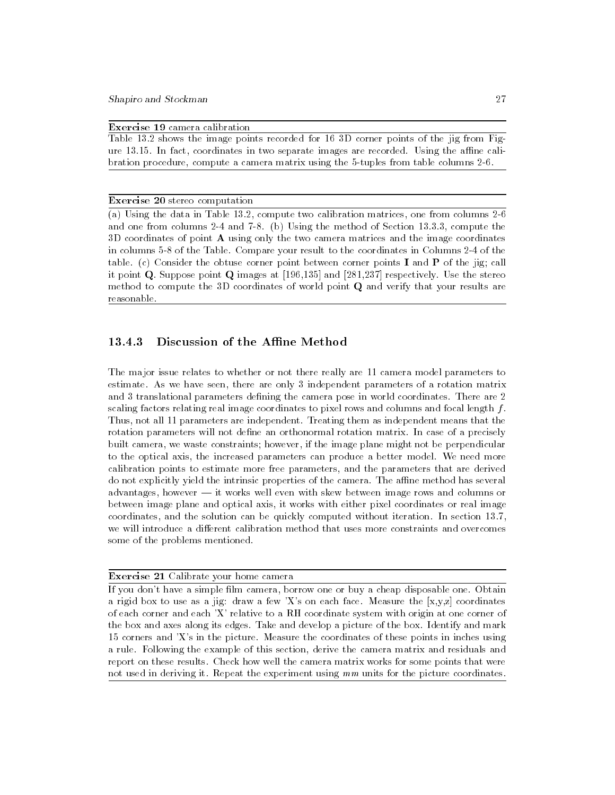Exercise 19 camera calibration

Table 13.2 shows the image points recorded for 16 3D corner points of the jig from Figure  $13.15$ . In fact, coordinates in two separate images are recorded. Using the affine calibration procedure, compute a camera matrix using the 5-tuples from table columns 2-6.

#### Exercise 20 stereo computation

(a) Using the data in Table 13.2, compute two calibration matrices, one from columns 2-6 and one from columns 2-4 and 7-8. (b) Using the method of Section 13.3.3, compute the 3D coordinates of point A using only the two camera matrices and the image coordinates in columns 5-8 of the Table. Compare your result to the coordinates in Columns 2-4 of the table. (c) Consider the obtuse corner point between corner points **I** and **P** of the jig; call it point Q. Suppose point Q images at [196,135] and [281,237] respectively. Use the stereo method to compute the 3D coordinates of world point Q and verify that your results are reasonable.

# 13.4.3 Discussion of the Affine Method

The major issue relates to whether or not there really are 11 camera model parameters to estimate. As we have seen, there are only 3 independent parameters of a rotation matrix and 3 translational parameters defining the camera pose in world coordinates. There are 2 scaling factors relating real image coordinates to pixel rows and columns and focal length  $f$ . Thus, not all 11 parameters are independent. Treating them as independent means that the rotation parameters will not define an orthonormal rotation matrix. In case of a precisely built camera, we waste constraints; however, if the image plane might not be perpendicular to the optical axis, the increased parameters can produce a better model. We need more calibration points to estimate more free parameters, and the parameters that are derived do not explicitly yield the intrinsic properties of the camera. The affine method has several advantages, however  $-$  it works well even with skew between image rows and columns or between image plane and optical axis, it works with either pixel coordinates or real image coordinates, and the solution can be quickly computed without iteration. In section 13.7, we will introduce a different calibration method that uses more constraints and overcomes some of the problems mentioned.

#### Exercise 21 Calibrate your home camera

If you don't have a simple film camera, borrow one or buy a cheap disposable one. Obtain a rigid box to use as a jig: draw a few  $X$ 's on each face. Measure the  $[x,y,z]$  coordinates of each corner and each 'X' relative to a RH coordinate system with origin at one corner of the box and axes along its edges. Take and develop a picture of the box. Identify and mark 15 corners and 'X's in the picture. Measure the coordinates of these points in inches using a rule. Following the example of this section, derive the camera matrix and residuals and report on these results. Check how well the camera matrix works for some points that were not used in deriving it. Repeat the experiment using  $mm$  units for the picture coordinates.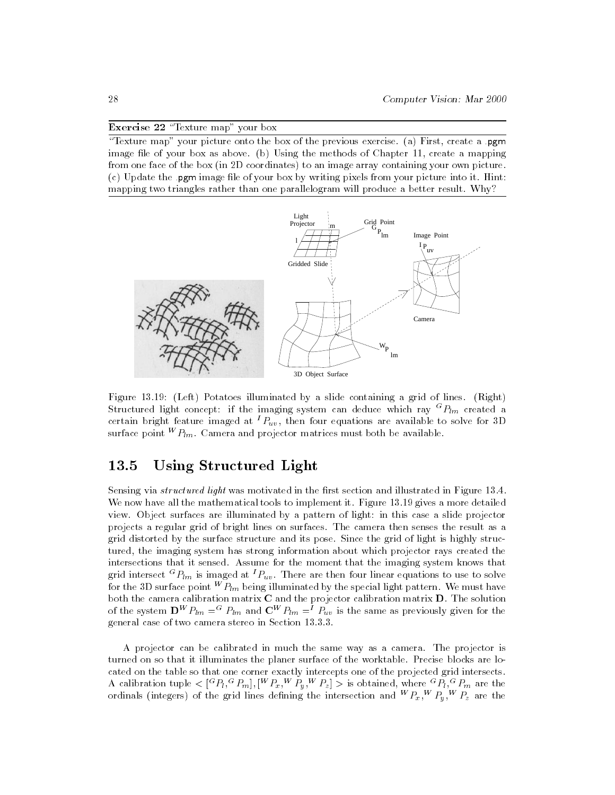#### Exercise  $22$  "Texture map" your box

"Texture map" your picture onto the box of the previous exercise. (a) First, create a .pgm image file of your box as above. (b) Using the methods of Chapter 11, create a mapping from one face of the box (in 2D coordinates) to an image array containing your own picture.  $(c)$  Update the .pgm image file of your box by writing pixels from your picture into it. Hint: mapping two triangles rather than one parallelogram will produce a better result. Why?



Figure 13.19: (Left) Potatoes illuminated by a slide containing a grid of lines. (Right) Structured light concept: if the imaging system can deduce which ray "  $P_{lm}$  created a  $\,$ certain bright feature imaged at  ${}^{I}P_{uv}$ , then four equations are available to solve for 3D surface point  ${}^WP_{lm}$ . Camera and projector matrices must both be available.

# 13.5 Using Structured Light

Sensing via *structured light* was motivated in the first section and illustrated in Figure 13.4. We now have all the mathematical tools to implement it. Figure 13.19 gives a more detailed view. Object surfaces are illuminated by a pattern of light: in this case a slide projector projects a regular grid of bright lines on surfaces. The camera then senses the result as a grid distorted by the surface structure and its pose. Since the grid of light is highly structured, the imaging system has strong information about which projector rays created the intersections that it sensed. Assume for the moment that the imaging system knows that grid intersect "  $P_{lm}$  is imaged at '  $P_{uv}$  . There are then four linear equations to use to solve for the 3D surface point  $^{\prime\prime}$   $P_{lm}$  being illuminated by the special light pattern. We must have both the camera calibration matrix C and the projector calibration matrix D. The solution of the system  ${\bf D}^{\prime\prime}$   $P_{lm} =^{\sim} P_{lm}$  and  ${\bf C}^{\prime\prime}$   $P_{lm} =^{\sim} P_{uu}$  is the same as previously given for the general case of two camera stereo in Section 13.3.3.

A projector can be calibrated in much the same way as a camera. The projector is turned on so that it illuminates the planer surface of the worktable. Precise blocks are located on the table so that one corner exactly intercepts one of the projected grid intersects. A calibration tuple  $\lt$   $|\degree P_l, \degree P_m|, |\degree P_x, \degree P_y, \degree P_z | >$  is obtained, where  $|\degree P_l, \degree P_m|$  are the ordinals (integers) of the grid lines defining the intersection and "  $P_x,$  "  $P_y,$  "  $P_z$  are the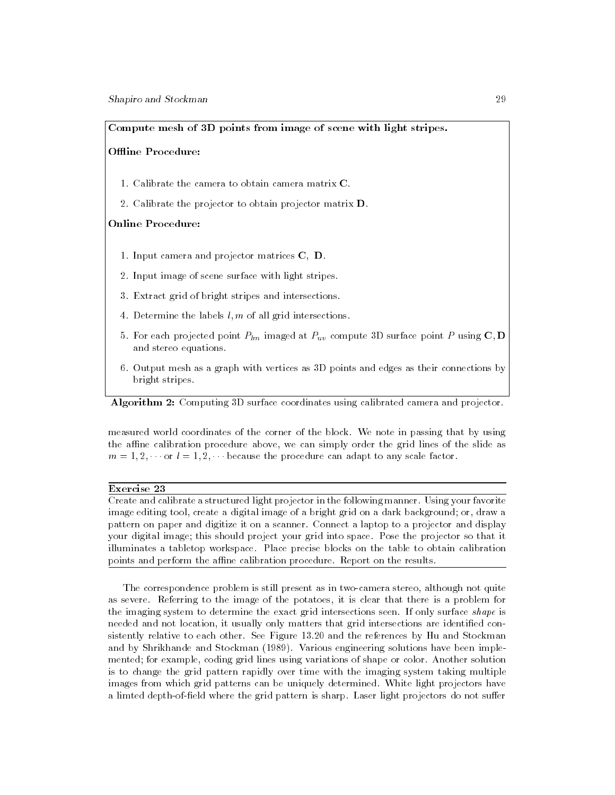#### Compute mesh of 3D points from image of scene with light stripes.

#### Offline Procedure:

- 1. Calibrate the camera to obtain camera matrix C.
- 2. Calibrate the projector to obtain projector matrix D.

#### Online Procedure:

- 1. Input camera and projector matrices C; D.
- 2. Input image of scene surface with light stripes.
- 3. Extract grid of bright stripes and intersections.
- 4. Determine the labels  $l, m$  of all grid intersections.
- 5. For each projected point Plm imaged at Puv compute 3D surface point <sup>P</sup> using C; <sup>D</sup> and stereo equations.
- 6. Output mesh as a graph with vertices as 3D points and edges as their connections by bright stripes.

Algorithm 2: Computing 3D surface coordinates using calibrated camera and projector.

measured world coordinates of the corner of the block. We note in passing that by using the affine calibration procedure above, we can simply order the grid lines of the slide as  $m = 1, 2, \cdots$  or  $l = 1, 2, \cdots$  because the procedure can adapt to any scale factor.

#### Exercise 23

Create and calibrate a structured light projector in the following manner. Using your favorite image editing tool, create a digital image of a bright grid on a dark background; or, draw a pattern on paper and digitize it on a scanner. Connect a laptop to a projector and display your digital image; this should project your grid into space. Pose the projector so that it illuminates a tabletop workspace. Place precise blocks on the table to obtain calibration points and perform the affine calibration procedure. Report on the results.

The correspondence problem is still present as in two-camera stereo, although not quite as severe. Referring to the image of the potatoes, it is clear that there is a problem for the imaging system to determine the exact grid intersections seen. If only surface shape is needed and not location, it usually only matters that grid intersections are identified consistently relative to each other. See Figure 13.20 and the references by Hu and Stockman and by Shrikhande and Stockman (1989). Various engineering solutions have been imple mented; for example, coding grid lines using variations of shape or color. Another solution is to change the grid pattern rapidly over time with the imaging system taking multiple images from which grid patterns can be uniquely determined. White light projectors have a limted depth-of-field where the grid pattern is sharp. Laser light projectors do not suffer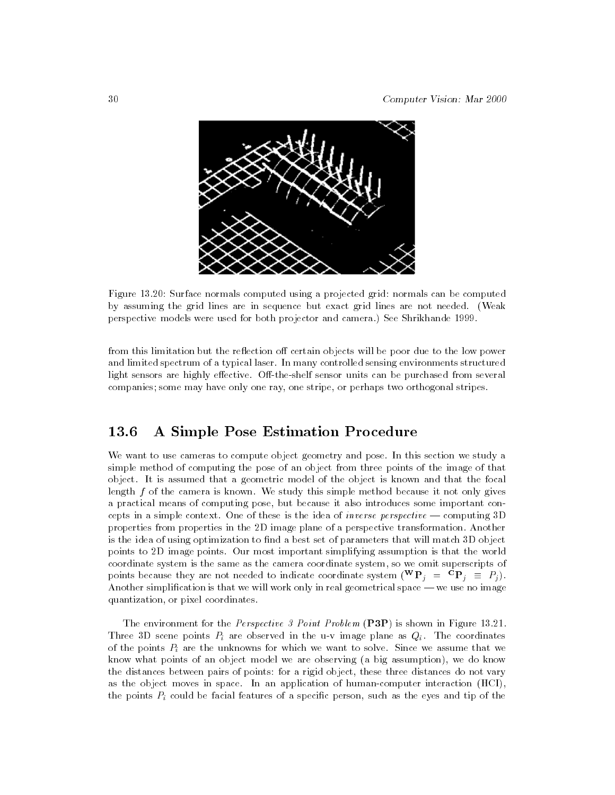

Figure 13.20: Surface normals computed using a projected grid: normals can be computed by assuming the grid lines are in sequence but exact grid lines are not needed. (Weak perspective models were used for both projector and camera.) See Shrikhande 1999.

from this limitation but the reflection off certain objects will be poor due to the low power and limited spectrum of a typical laser. In many controlled sensing environments structured light sensors are highly effective. Off-the-shelf sensor units can be purchased from several companies; some may have only one ray, one stripe, or perhaps two orthogonal stripes.

# 13.6 A Simple Pose Estimation Procedure

We want to use cameras to compute object geometry and pose. In this section we study a simple method of computing the pose of an object from three points of the image of that object. It is assumed that a geometric model of the object is known and that the focal length  $f$  of the camera is known. We study this simple method because it not only gives a practical means of computing pose, but because it also introduces some important concepts in a simple context. One of these is the idea of *inverse perspective*  $\sim$  computing 3D properties from properties in the 2D image plane of a perspective transformation. Another is the idea of using optimization to find a best set of parameters that will match 3D object points to 2D image points. Our most important simplifying assumption is that the world coordinate system is the same as the camera coordinate system, so we omit superscripts of points because they are not needed to indicate coordinate system (  $\mathbf{r}_i = \mathbf{r}_i = r_i$ ). Another simplification is that we will work only in real geometrical space — we use no image quantization, or pixel coordinates.

The environment for the *Perspective 3 Point Problem* (P3P) is shown in Figure 13.21. The 3D scene points  $\Omega$  scene points  $\Omega$  in the u-v image plane as  $\Omega$  image plane as  $\Omega$  in the coordinates  $\Omega$  $\mathbf{v}$  are the unknowns for which we want to solve want to solve want to solve. Since we assume that we assume that we assume that we assume that we assume that we assume that we assume that we assume that we are the ve know what points of an object model we are observing (a big assumption), we do know the distances between pairs of points: for a rigid object, these three distances do not vary as the object moves in space. In an application of human-computer interaction (HCI), the points Pi could be facial features of a specic person, such as the eyes and tip of the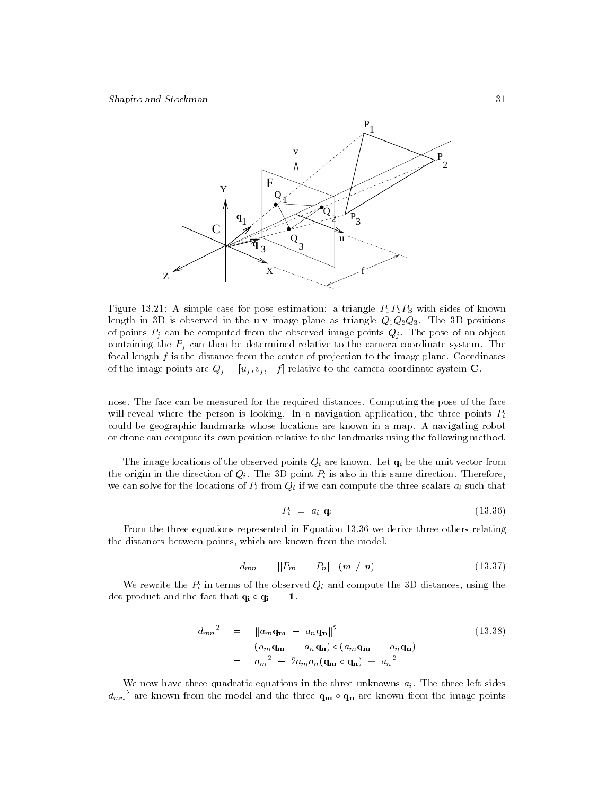

Figure 13.21: A simple case for pose estimation: a triangle  $P_1P_2P_3$  with sides of known length in 3D is observed in the u-v image plane as triangle  $Q_1Q_2Q_3$ . The 3D positions of points Pj can be computed from the observed image points Qj . The pose of an object containing the Pj can then be determined relative to the camera coordinate system. The focal length  $f$  is the distance from the center of projection to the image plane. Coordinates of the image points are Qj = [uj ; vj ; <sup>f</sup> ] relative to the camera coordinate system C.

nose. The face can be measured for the required distances. Computing the pose of the face will reveal where the person is looking. In a navigation application, the three points  $P_i$ could be geographic landmarks whose locations are known in a map. A navigating robot or drone can compute its own position relative to the landmarks using the following method.

The image locations of the observed points Qi are known. Let qi be the unit vector from the origin in the direction of  $\mathbf{P}$  point  $\mathbf{P}$  point  $\mathbf{P}$  is also in this same direction. Therefore, Therefore, Therefore, Therefore, Therefore, Theorem direction. The same direction. The same direction. The s we can solve for the locations of  $\mathbf{v}$  if we can compute the three scalars ainsi  $\mathbf{v}$ 

$$
P_i = a_i \mathbf{q}_i \tag{13.36}
$$

From the three equations represented in Equation 13.36 we derive three others relating the distances between points, which are known from the model.

$$
d_{mn} = ||P_m - P_n|| \quad (m \neq n) \tag{13.37}
$$

we rewrite the Pi in terms of the observed  $\mathbf{q}_i$  and compute the 3D distances, using the 3D distances, using the 3D distances, using the 3D distances, using the 3D distances, using the 3D distances, using the 3D distan dot product and the fact that  $\mathbf{q_i} \circ \mathbf{q_i} = 1$ .

$$
d_{mn}^2 = ||a_m \mathbf{q_m} - a_n \mathbf{q_n}||^2
$$
  
=  $(a_m \mathbf{q_m} - a_n \mathbf{q_n}) \circ (a_m \mathbf{q_m} - a_n \mathbf{q_n})$   
=  $a_m^2 - 2a_m a_n (\mathbf{q_m} \circ \mathbf{q_n}) + a_n^2$  (13.38)

We now have three quadratic equations in the three unknowns  $a_i$ . The three left sides  $d_{mn}^-$  are known from the model and the three  ${\bf q_m}\circ {\bf q_n}$  are known from the image points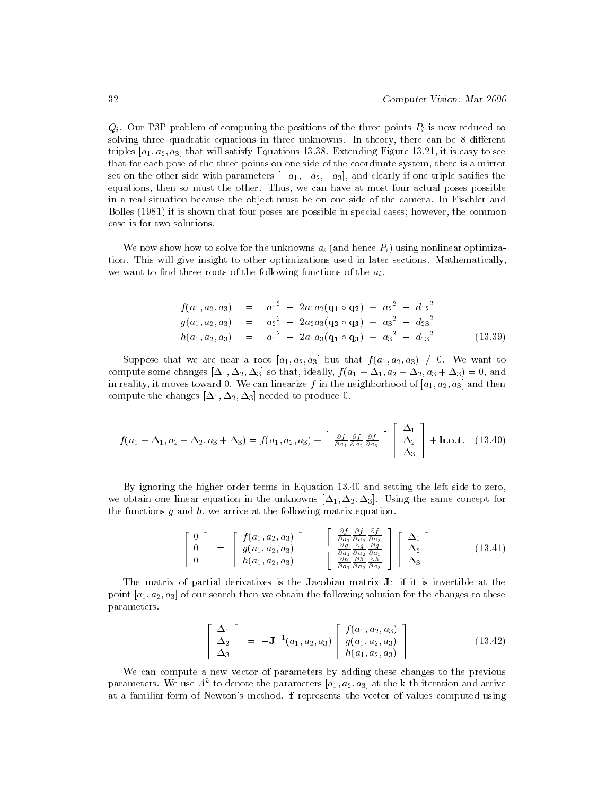Qi. Our P3P problem of computing the positions of the three points Pi is now reduced to solving three quadratic equations in three unknowns. In theory, there can be 8 different triples  $[a_1, a_2, a_3]$  that will satisfy Equations 13.38. Extending Figure 13.21, it is easy to see that for each pose of the three points on one side of the coordinate system, there is a mirror set on the other side with parameters  $[-a_1, -a_2, -a_3]$ , and clearly if one triple satifies the equations, then so must the other. Thus, we can have at most four actual poses possible in a real situation because the object must be on one side of the camera. In Fischler and Bolles (1981) it is shown that four poses are possible in special cases; however, the common case is for two solutions.

We now show to solve for the unit matrix aircration  $\mathcal{L}_k$  (and hence  $\mathcal{L}_k$ ) using nonlinear optimization. This will give insight to other optimizations used in later sections. Mathematically, we want to find three roots of the following functions of the  $a_i$ .

$$
f(a_1, a_2, a_3) = a_1^2 - 2a_1a_2(\mathbf{q_1} \circ \mathbf{q_2}) + a_2^2 - d_{12}^2
$$
  
\n
$$
g(a_1, a_2, a_3) = a_2^2 - 2a_2a_3(\mathbf{q_2} \circ \mathbf{q_3}) + a_3^2 - d_{23}^2
$$
  
\n
$$
h(a_1, a_2, a_3) = a_1^2 - 2a_1a_3(\mathbf{q_1} \circ \mathbf{q_3}) + a_3^2 - d_{13}^2
$$
 (13.39)

Suppose that we are near a root  $[a_1, a_2, a_3]$  but that  $f(a_1, a_2, a_3) \neq 0$ . We want to compute some changes  $[\Delta_1, \Delta_2, \Delta_3]$  so that, ideally,  $f (a_1 + \Delta_1, a_2 + \Delta_2, a_3 + \Delta_3) = 0$ , and in reality, it moves toward 0. We can linearize f in the neighborhood of  $[a_1, a_2, a_3]$  and then compute the changes  $[\Delta_1, \Delta_2, \Delta_3]$  needed to produce 0.

$$
f(a_1 + \Delta_1, a_2 + \Delta_2, a_3 + \Delta_3) = f(a_1, a_2, a_3) + \begin{bmatrix} \frac{\partial f}{\partial a_1} & \frac{\partial f}{\partial a_2} & \frac{\partial f}{\partial a_3} \\ \Delta_3 & \Delta_3 \end{bmatrix} + \mathbf{h}.\mathbf{o}.\mathbf{t}.
$$
 (13.40)

By ignoring the higher order terms in Equation 13.40 and setting the left side to zero, we obtain one linear equation in the unknowns  $[\Delta_1, \Delta_2, \Delta_3]$ . Using the same concept for the functions  $g$  and  $h$ , we arrive at the following matrix equation.

$$
\begin{bmatrix}\n0 \\
0 \\
0 \\
0\n\end{bmatrix} = \begin{bmatrix}\nf(a_1, a_2, a_3) \\
g(a_1, a_2, a_3) \\
h(a_1, a_2, a_3)\n\end{bmatrix} + \begin{bmatrix}\n\frac{\partial f}{\partial a_1} \frac{\partial f}{\partial a_2} \frac{\partial f}{\partial a_3} \\
\frac{\partial g}{\partial a_1} \frac{\partial g}{\partial a_2} \frac{\partial g}{\partial a_3} \\
\frac{\partial h}{\partial a_1} \frac{\partial h}{\partial a_2} \frac{\partial h}{\partial a_3}\n\end{bmatrix} \begin{bmatrix}\n\Delta_1 \\
\Delta_2 \\
\Delta_3\n\end{bmatrix}
$$
\n(13.41)

The matrix of partial derivatives is the Jacobian matrix J: if it is invertible at the point  $[a_1, a_2, a_3]$  of our search then we obtain the following solution for the changes to these parameters.

$$
\begin{bmatrix}\n\Delta_1 \\
\Delta_2 \\
\Delta_3\n\end{bmatrix} = -\mathbf{J}^{-1}(a_1, a_2, a_3) \begin{bmatrix}\nf(a_1, a_2, a_3) \\
g(a_1, a_2, a_3) \\
h(a_1, a_2, a_3)\n\end{bmatrix}
$$
\n(13.42)

We can compute a new vector of parameters by adding these changes to the previous parameters. We use  $A^*$  to denote the parameters  $[a_1, a_2, a_3]$  at the k-th iteration and arrive at a familiar form of Newton's method. f represents the vector of values computed using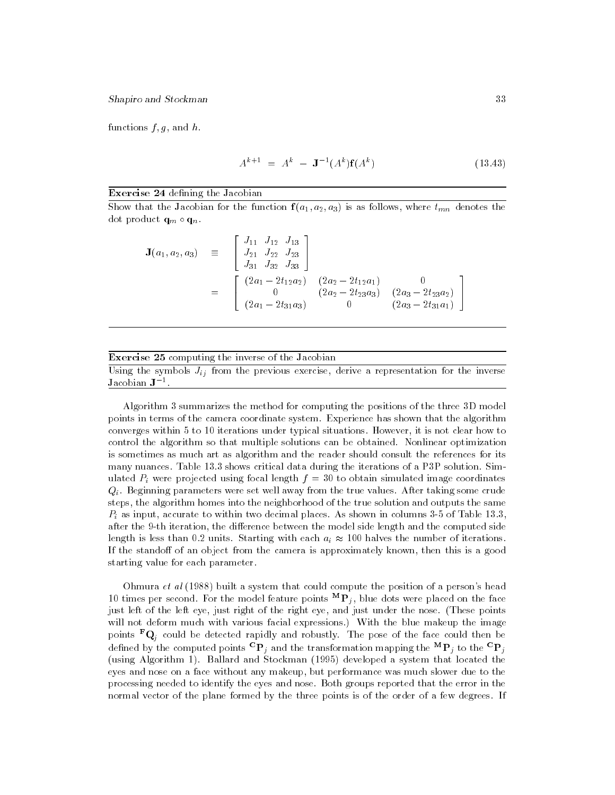functions  $f, g$ , and  $h$ .

$$
A^{k+1} = A^k - \mathbf{J}^{-1}(A^k)\mathbf{f}(A^k)
$$
 (13.43)

#### Exercise 24 defining the Jacobian

Show that the Jacobian for the function  $f(a_1, a_2, a_3)$  is as follows, where  $t_{mn}$  denotes the dot product quantum product quantum product and product and product and product and product and product and pro

$$
\mathbf{J}(a_1, a_2, a_3) \equiv \begin{bmatrix} J_{11} & J_{12} & J_{13} \\ J_{21} & J_{22} & J_{23} \\ J_{31} & J_{32} & J_{33} \end{bmatrix}
$$
  

$$
= \begin{bmatrix} (2a_1 - 2t_{12}a_2) & (2a_2 - 2t_{12}a_1) & 0 \\ 0 & (2a_2 - 2t_{23}a_3) & (2a_3 - 2t_{23}a_2) \\ (2a_1 - 2t_{31}a_3) & 0 & (2a_3 - 2t_{31}a_1) \end{bmatrix}
$$

#### Exercise 25 computing the inverse of the Jacobian

Using the symbols Jij from the previous exercise, derive a representation for the inverse Jacobian  $J^{-1}$ 

Algorithm 3 summarizes the method for computing the positions of the three 3D model points in terms of the camera coordinate system. Experience has shown that the algorithm converges within 5 to 10 iterations under typical situations. However, it is not clear how to control the algorithm so that multiple solutions can be obtained. Nonlinear optimization is sometimes as much art as algorithm and the reader should consult the references for its many nuances. Table 13.3 shows critical data during the iterations of a P3P solution. Simulated pinal length f  $\alpha$  were projected using focal length f  $\alpha$  $Q_i$ . Beginning parameters were set well away from the true values. After taking some crude steps, the algorithm homes into the neighborhood of the true solution and outputs the same  $\ell$  as input, accurate to within two decimal places. As shown in columns 3-5 of Table 13.3, of Table 13.3,  $\ell$ after the 9-th iteration, the difference between the model side length and the computed side length is less than 0.2 units. Starting with each ai 100 halves the number of iterations. If the standoff of an object from the camera is approximately known, then this is a good starting value for each parameter.

Ohmura  $et$  al  $(1988)$  built a system that could compute the position of a person's head 10 times per second. For the model feature points  $\mathbf{F}_i$ , blue dots were placed on the face just left of the left eye, just right of the right eye, and just under the nose. (These points will not deform much with various facial expressions.) With the blue makeup the image points  $\mathbf{Q}_i$  could be detected rapidly and robustly. The pose of the face could then be defined by the computed points  $\mathbf{r}_i$  and the transformation mapping the  $\mathbf{r}_i$  to the  $\mathbf{r}_i$ (using Algorithm 1). Ballard and Stockman (1995) developed a system that located the eyes and nose on a face without any makeup, but performance was much slower due to the processing needed to identify the eyes and nose. Both groups reported that the error in the normal vector of the plane formed by the three points is of the order of a few degrees. If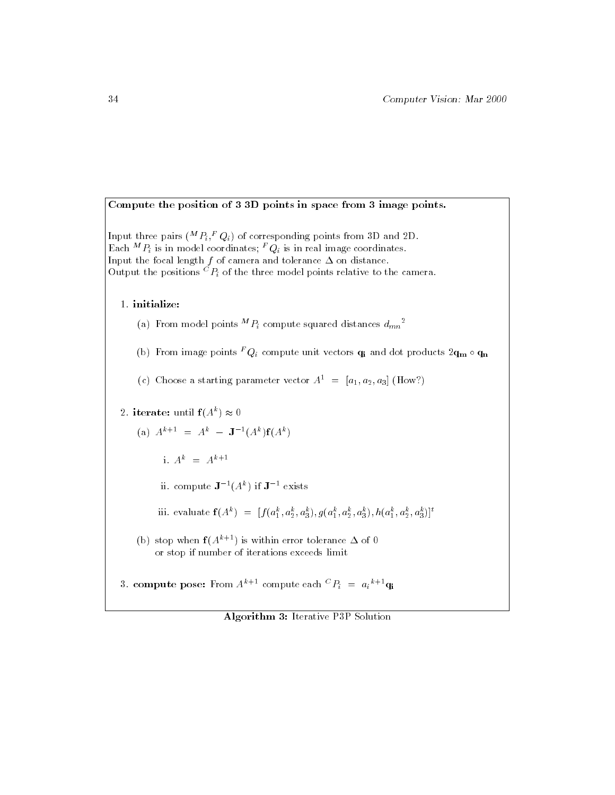Compute the position of 3 3D points in space from 3 image points.

Input three pairs ("  $P_i$ ,"  $Q_i$ ) of corresponding points from 3D and 2D. Each  $^n$   $P_i$  is in model coordinates;  $^{\ast}$  Q $_i$  is in real image coordinates. Input the focal length f of camera and tolerance on distance. Output the positions  $^{\circ}P_i$  of the three model points relative to the camera.

1. initialize:

(a) from model points "  $P_i$  compute squared distances  $d_{mn}$  -

(b) from image points  $^{\star}$  Q $_i$  compute unit vectors  $\mathbf{q_i}$  and dot products  $\mathbf{2q_m} \circ \mathbf{q_n}$ 

(c) Choose a starting parameter vector  $A^1 = [a_1, a_2, a_3]$  (How?)

2. iterate: until  $\mathbf{1}(A^{\ast}) \approx 0$ 

(a) 
$$
A^{k+1} = A^k - J^{-1}(A^k)f(A^k)
$$

i.  $A^k = A^{k+1}$ 

ii. compute  $J^{-1}(A^*)$  if  $J^{-+}$  exists

iii. evaluate  $\mathbf{1}(A^{\circ}) = [f(a_1^{\circ}, a_2^{\circ}, a_3^{\circ}), g(a_1^{\circ}, a_2^{\circ}, a_3^{\circ}), h(a_1^{\circ}, a_2^{\circ}, a_3^{\circ})]$ 

(b) stop when  $f(A^{k+1})$  is within error tolerance  $\Delta$  of 0 or stop if number of iterations exceeds limit

3. compute pose: From  $A^{n+1}$  compute each  $\leq P_i = a_i^{n+1} q_i$ 

Algorithm 3: Iterative P3P Solution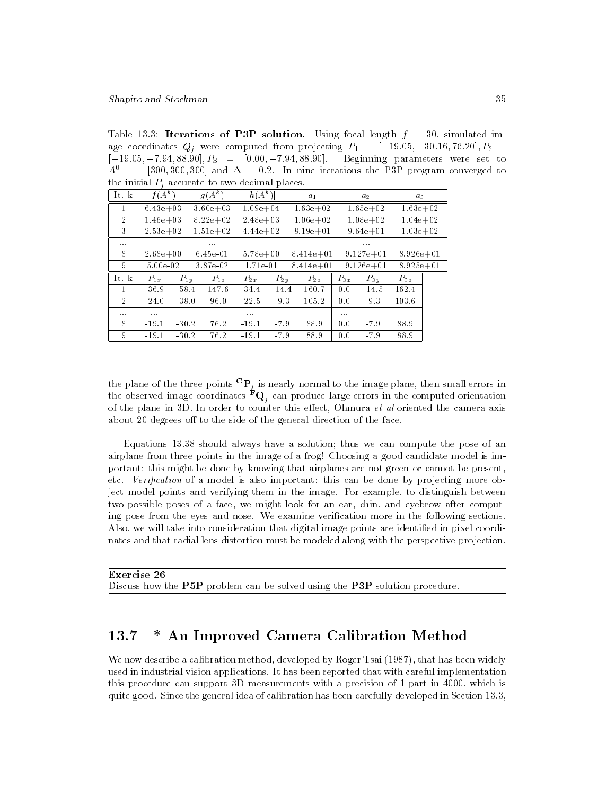Table 13.3: Iterations of P3P solution. Using focal length  $f = 30$ , simulated image coordinates Qj were computed from projecting P1 = [19:05; 30:16; 76:20]; P2 <sup>=</sup>  $[-19.05, -7.94, 88.90], P_3 = [0.00, -7.94, 88.90].$  Beginning parameters were set to  $A^{0}$  = [300,300,300] and  $\Delta = 0.2$ . In nine iterations the P3P program converged to the initial Pj accurate to two decimal places.

| It. k          | $f(A^k)$     |          | $ g(A^k) $   | $\ln(A^k)$   |          | $a_1$         |          | a <sub>2</sub> | $a_{3}$       |  |
|----------------|--------------|----------|--------------|--------------|----------|---------------|----------|----------------|---------------|--|
| 1              | $6.43e + 03$ |          | $3.60e + 03$ | $1.09e + 04$ |          | $1.63e + 02$  |          | $1.65e + 02$   | $1.63e + 02$  |  |
| 2              | $1.46e + 03$ |          | $8.22e + 02$ | $2.48e + 03$ |          | $1.06e + 02$  |          | $1.08e + 02$   | $1.04e + 0.2$ |  |
| 3              | $2.53e + 02$ |          | $1.51e + 02$ | $4.44e+02$   |          | $8.19e + 01$  |          | $9.64e + 01$   | $1.03e + 02$  |  |
| $\cdots$       |              |          | $\cdots$     |              |          |               |          | $\cdots$       |               |  |
| 8              | $2.68e + 00$ |          | $6.45e-01$   | $5.78e + 00$ |          | $8.414e + 01$ |          | $9.127e + 01$  | $8.926e + 01$ |  |
| 9              | 5.00e-02     |          | 3.87e-02     | $1.71e-01$   |          | $8.414e + 01$ |          | $9.126e + 01$  | $8.925e + 01$ |  |
| It. k          | $P_{1x}$     | $P_{1u}$ | $P_{1z}$     | $P_{2x}$     | $P_{2y}$ | $P_{2z}$      | $P_{3x}$ | $P_{3u}$       | $P_{3z}$      |  |
| 1              | $-36.9$      | $-58.4$  | 147.6        | $-34.4$      | $-14.4$  | 160.7         | 0.0      | $-14.5$        | 162.4         |  |
| $\overline{2}$ | $-24.0$      | $-38.0$  | 96.0         | $-22.5$      | $-9.3$   | 105.2         | 0.0      | 9.3            | 103.6         |  |
| $\cdots$       | $\cdots$     |          |              | $\cdots$     |          |               | $\cdots$ |                |               |  |
| 8              | $-19.1$      | $-30.2$  | 76.2         | $-19.1$      | $-7.9$   | 88.9          | 0.0      | $-7.9$         | 88.9          |  |
| 9              | $-19.1$      | $-30.2$  | 76.2         | $-19.1$      | $-7.9$   | 88.9          | 0.0      | $-7.9$         | 88.9          |  |

the plane of the three points  $\Gamma\!\!\!\Gamma_i$  is nearly normal to the image plane, then small errors in the observed image coordinates  $\tau\mathbf{Q}_i$  can produce large errors in the computed orientation of the plane in 3D. In order to counter this effect, Ohmura  $et$  al oriented the camera axis about 20 degrees off to the side of the general direction of the face.

Equations 13.38 should always have a solution; thus we can compute the pose of an airplane from three points in the image of a frog! Choosing a good candidate model is important: this might be done by knowing that airplanes are not green or cannot be present, etc. Verification of a model is also important: this can be done by projecting more object model points and verifying them in the image. For example, to distinguish between two possible poses of a face, we might look for an ear, chin, and eyebrow after computing pose from the eyes and nose. We examine verification more in the following sections. Also, we will take into consideration that digital image points are identified in pixel coordinates and that radial lens distortion must be modeled along with the perspective projection.

| Exercise 26                                                                 |  |  |
|-----------------------------------------------------------------------------|--|--|
| Discuss how the P5P problem can be solved using the P3P solution procedure. |  |  |

#### 13.7 \* An Improved Camera Calibration Method 13.7

We now describe a calibration method, developed by Roger Tsai (1987), that has been widely used in industrial vision applications. It has been reported that with careful implementation this procedure can support 3D measurements with a precision of 1 part in 4000, which is quite good. Since the general idea of calibration has been carefully developed in Section 13.3,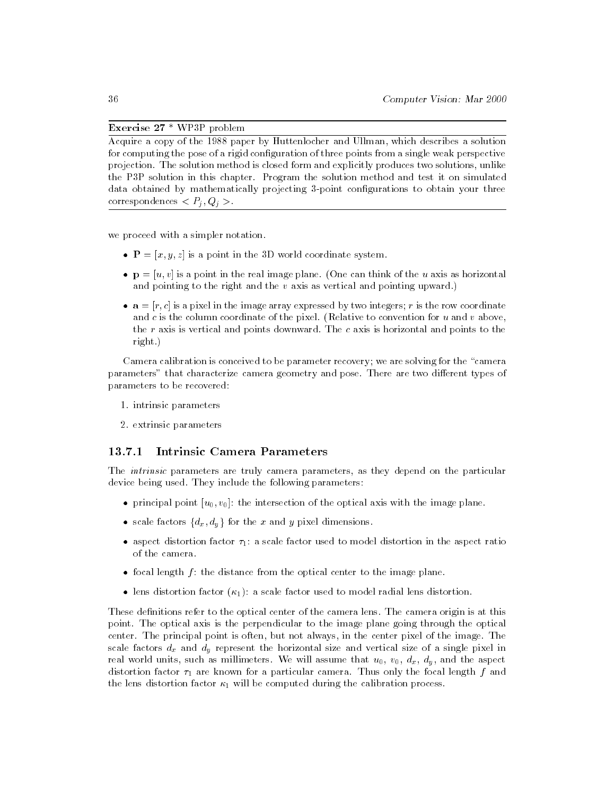# Exercise 27 \* WP3P problem

Acquire a copy of the 1988 paper by Huttenlocher and Ullman, which describes a solution for computing the pose of a rigid configuration of three points from a single weak perspective projection. The solution method is closed form and explicitly produces two solutions, unlike the P3P solution in this chapter. Program the solution method and test it on simulated data obtained by mathematically projecting 3-point configurations to obtain your three correspondences < Pj ; Qj >.

we proceed with a simpler notation.

- $\bullet$   $\mathbf{P} = [x, y, z]$  is a point in the 3D world coordinate system.
- $\bullet$   $\mathbf{p} = [u, v]$  is a point in the real image plane. (One can think of the u axis as horizontal and pointing to the right and the  $v$  axis as vertical and pointing upward.)
- $\bullet$   $\mathbf{a} = [r, c]$  is a pixel in the image array expressed by two integers; r is the row coordinate and c is the column coordinate of the pixel. (Relative to convention for u and v above, the r axis is vertical and points downward. The c axis is horizontal and points to the right.)

Camera calibration is conceived to be parameter recovery; we are solving for the "camera parameters" that characterize camera geometry and pose. There are two different types of parameters to be recovered:

- 1. intrinsic parameters
- 2. extrinsic parameters

#### 13.7.1 Intrinsic Camera Parameters

The *intrinsic* parameters are truly camera parameters, as they depend on the particular device being used. They include the following parameters:

- principal point  $[u_0, v_0]$ : the intersection of the optical axis with the image plane.
- scale factors  $\{d_x, d_y\}$  for the x and y pixel dimensions.
- aspect distortion factor  $\tau_1$ : a scale factor used to model distortion in the aspect ratio of the camera.
- focal length  $f$ : the distance from the optical center to the image plane.
- lens distortion factor  $(\kappa_1)$ : a scale factor used to model radial lens distortion.

These definitions refer to the optical center of the camera lens. The camera origin is at this point. The optical axis is the perpendicular to the image plane going through the optical center. The principal point is often, but not always, in the center pixel of the image. The scale factors dx and dy represent the horizontal size and vertical size of a single pixel in real world units, such as millimeters. We will assume that  $u_0$ ,  $v_0$ ,  $d_x$ ,  $d_y$ , and the aspect distortion factor  $\tau_1$  are known for a particular camera. Thus only the focal length f and the lens distortion factor  $\kappa_1$  will be computed during the calibration process.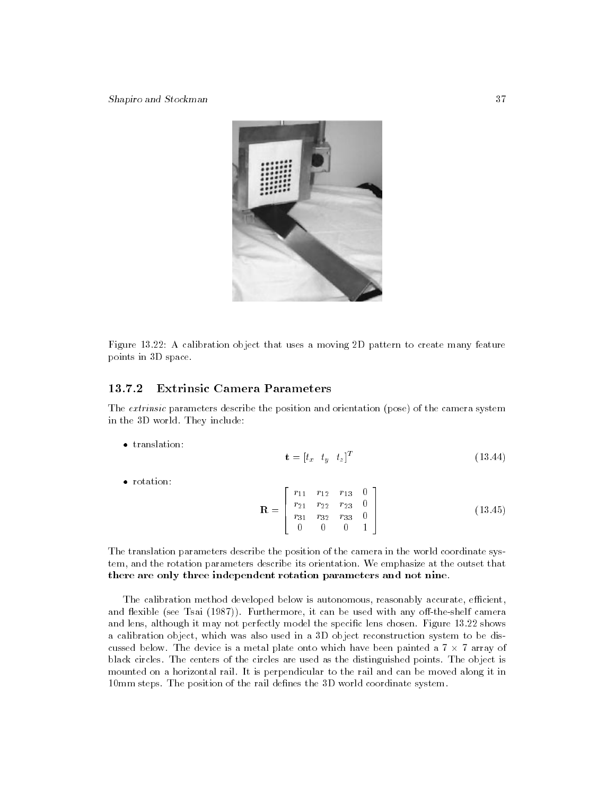

Figure 13.22: A calibration object that uses a moving 2D pattern to create many feature points in 3D space.

# 13.7.2 Extrinsic Camera Parameters

The extrinsic parameters describe the position and orientation (pose) of the camera system in the 3D world. They include:

 $\bullet$  translation:

$$
\mathbf{t} = [t_x \quad t_y \quad t_z]^T \tag{13.44}
$$

• rotation:

$$
\mathbf{R} = \begin{bmatrix} r_{11} & r_{12} & r_{13} & 0 \\ r_{21} & r_{22} & r_{23} & 0 \\ r_{31} & r_{32} & r_{33} & 0 \\ 0 & 0 & 0 & 1 \end{bmatrix}
$$
 (13.45)

The translation parameters describe the position of the camera in the world coordinate system, and the rotation parameters describe its orientation. We emphasize at the outset that there are only three independent rotation parameters and not nine.

The calibration method developed below is autonomous, reasonably accurate, efficient, and flexible (see Tsai (1987)). Furthermore, it can be used with any off-the-shelf camera and lens, although it may not perfectly model the specic lens chosen. Figure 13.22 shows a calibration object, which was also used in a 3D object reconstruction system to be discussed below. The device is a metal plate onto which have been painted a 7 - 7 array of black circles. The centers of the circles are used as the distinguished points. The object is mounted on a horizontal rail. It is perpendicular to the rail and can be moved along it in 10mm steps. The position of the rail defines the 3D world coordinate system.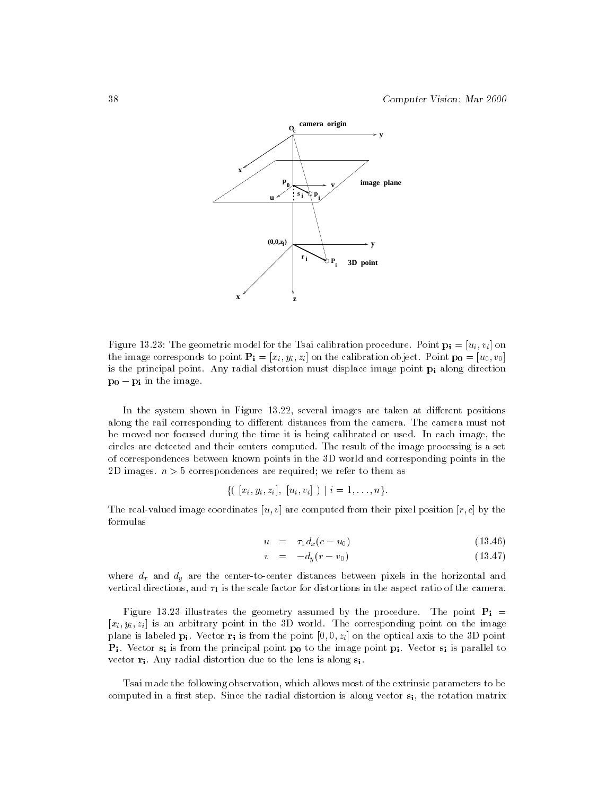

Figure 13.23: The geometric model for the Tsai calibration procedure. Point  $\mathbf{p_i} = [u_i, v_i]$  on the image corresponds to point  $\mathbf{P_i} = [x_i, y_i, z_i]$  on the calibration object. Point  $\mathbf{p_0} = [u_0, v_0]$ is the principal point. Any radial distortion must displace image point  $p_i$  along direction  $\mathbf{p_0} - \mathbf{p_i}$  in the image.

In the system shown in Figure 13.22, several images are taken at different positions along the rail corresponding to different distances from the camera. The camera must not be moved nor focused during the time it is being calibrated or used. In each image, the circles are detected and their centers computed. The result of the image processing is a set of correspondences between known points in the 3D world and corresponding points in the 2D images.  $n > 5$  correspondences are required; we refer to them as

$$
\{ ( [x_i, y_i, z_i], [u_i, v_i] ) | i = 1, ..., n \}.
$$

The real-valued image coordinates  $[u, v]$  are computed from their pixel position  $[r, c]$  by the formulas

$$
u = \tau_1 d_x (c - u_0) \tag{13.46}
$$

$$
v = -d_y(r - v_0) \tag{13.47}
$$

where  $\alpha$  and  $\alpha$  are the center-to-center-to-centers between pixels  $\alpha$  in the horizontal and  $\alpha$ vertical directions, and  $\tau_1$  is the scale factor for distortions in the aspect ratio of the camera.

Figure 13.23 illustrates the geometry assumed by the procedure. The point  $P_i =$  $[x_i, y_i, z_i]$  is an arbitrary point in the 3D world. The corresponding point on the image plane is labeled  $p_i$ . Vector  $r_i$  is from the point  $[0, 0, z_i]$  on the optical axis to the 3D point  $P_i$ . Vector  $s_i$  is from the principal point  $p_0$  to the image point  $p_i$ . Vector  $s_i$  is parallel to vector  $\mathbf{r_i}$ . Any radial distortion due to the lens is along  $\mathbf{s_i}$ .

Tsai made the following observation, which allows most of the extrinsic parameters to be computed in a first step. Since the radial distortion is along vector  $s_i$ , the rotation matrix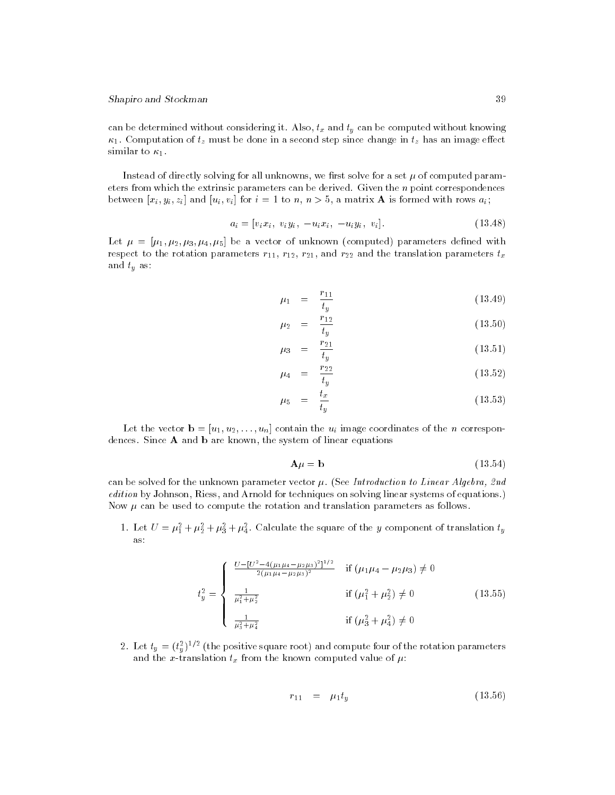can be determined without considering it. Also, tx and ty can be computed without knowing  $\kappa_1$ . Computation of  $t_z$  must be done in a second step since change in  $t_z$  has an image effect similar to  $\kappa_1$ .

Instead of directly solving for all unknowns, we first solve for a set  $\mu$  of computed parameters from which the extrinsic parameters can be derived. Given the  $n$  point correspondences between  $[x_i, y_i, z_i]$  and  $[u_i, v_i]$  for  $i = 1$  to  $n, n > 5$ , a matrix **A** is formed with rows  $a_i$ ;

$$
a_i = [v_i x_i, v_i y_i, -u_i x_i, -u_i y_i, v_i].
$$
\n(13.48)

Let  $\mu = [\mu_1, \mu_2, \mu_3, \mu_4, \mu_5]$  be a vector of unknown (computed) parameters defined with respect to the rotation parameters  $r_{11}$ ,  $r_{12}$ ,  $r_{21}$ , and  $r_{22}$  and the translation parameters  $t_x$ and the state of the type and the state  $\alpha$ 

$$
\mu_1 = \frac{r_{11}}{t_y} \tag{13.49}
$$

$$
\mu_2 = \frac{r_{12}}{t_y} \tag{13.50}
$$

$$
\mu_3 = \frac{r_{21}}{t_y} \tag{13.51}
$$

$$
\mu_4 = \frac{r_{22}}{t_y} \tag{13.52}
$$

$$
\mu_5 = \frac{t_x}{t_y} \tag{13.53}
$$

Let the vector  $\mathbf{b} = [u_1, u_2, \dots, u_n]$  contain the  $u_i$  image coordinates of the *n* correspondences. Since A and b are known, the system of linear equations

$$
\mathbf{A}\mu = \mathbf{b} \tag{13.54}
$$

can be solved for the unknown parameter vector  $\mu$ . (See Introduction to Linear Algebra, 2nd edition by Johnson, Riess, and Arnold for techniques on solving linear systems of equations.) Now  $\mu$  can be used to compute the rotation and translation parameters as follows.

1. Let  $U = \mu_1 + \mu_2 + \mu_3 + \mu_4$ . Calculate the square of the y component of translation  $\iota_y$ as:

$$
t_y^2 = \begin{cases} \frac{U - [U^2 - 4(\mu_1 \mu_4 - \mu_2 \mu_3)^2]^{1/2}}{2(\mu_1 \mu_4 - \mu_2 \mu_3)^2} & \text{if } (\mu_1 \mu_4 - \mu_2 \mu_3) \neq 0\\ \frac{1}{\mu_1^2 + \mu_2^2} & \text{if } (\mu_1^2 + \mu_2^2) \neq 0\\ \frac{1}{\mu_3^2 + \mu_4^2} & \text{if } (\mu_3^2 + \mu_4^2) \neq 0 \end{cases}
$$
(13.55)

2. Let  $t_y = (t_y^*)^{1/2}$  (the positive square root) and compute four of the rotation parameters and the x-translation translation translation the known computed value of  $\mathbb{R}^+$  :

$$
r_{11} = \mu_1 t_y \tag{13.56}
$$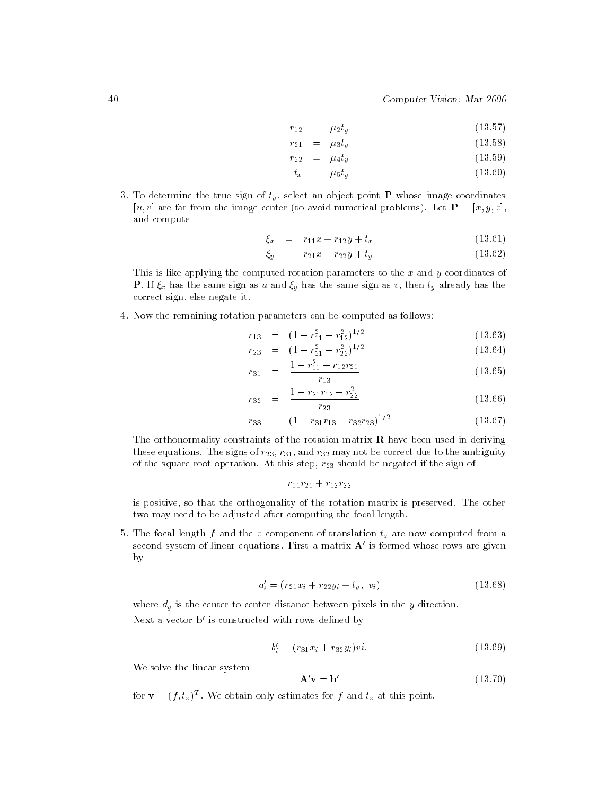$$
r_{12} = \mu_2 t_y \tag{13.57}
$$

$$
r_{21} = \mu_3 t_y \tag{13.58}
$$

$$
r_{22} = \mu_4 t_y \tag{13.59}
$$

$$
t_x = \mu_5 t_y \tag{13.60}
$$

 $\overline{a}$  and the true sign of type in object and  $\overline{a}$  whose induces in  $\overline{a}$  whose image coordinates in  $\overline{a}$ [u, v] are far from the image center (to avoid numerical problems). Let  $\mathbf{P} = [x, y, z]$ , and compute

$$
\xi_x = r_{11}x + r_{12}y + t_x \tag{13.61}
$$

$$
\xi_y = r_{21}x + r_{22}y + t_y \tag{13.62}
$$

This is like applying the computed rotation parameters to the  $x$  and  $y$  coordinates of  $\mathcal{P}$ correct sign, else negate it.

4. Now the remaining rotation parameters can be computed as follows:

$$
r_{13} = (1 - r_{11}^2 - r_{12}^2)^{1/2} \tag{13.63}
$$

$$
r_{23} = (1 - r_{21}^2 - r_{22}^2)^{1/2} \tag{13.64}
$$

$$
r_{31} = \frac{1 - r_{11}^2 - r_{12}r_{21}}{r_{13}} \tag{13.65}
$$

$$
r_{32} = \frac{1 - r_{21}r_{12} - r_{22}^2}{r_{23}}
$$
 (13.66)

$$
r_{33} = (1 - r_{31}r_{13} - r_{32}r_{23})^{1/2} \tag{13.67}
$$

The orthonormality constraints of the rotation matrix  $\bf{R}$  have been used in deriving these equations. The signs of  $r_{23}$ ,  $r_{31}$ , and  $r_{32}$  may not be correct due to the ambiguity of the square root operation. At this step,  $r_{23}$  should be negated if the sign of

$$
r_{11}r_{21}+r_{12}r_{22} \\
$$

is positive, so that the orthogonality of the rotation matrix is preserved. The other two may need to be adjusted after computing the focal length.

 $\mathbf{F}$  and the focal length f and the z component of translation to the z computed from a region to the z computed from a set of translation to the z computed from a set of translation to the set of translation to the s second system of linear equations. First a matrix  $A'$  is formed whose rows are given by

$$
a_i' = (r_{21}x_i + r_{22}y_i + t_y, v_i)
$$
\n(13.68)

where dy is the center-to-center distance between pixels in the <sup>y</sup> direction. Next a vector  $\mathbf{b}'$  is constructed with rows defined by

$$
b_i' = (r_{31}x_i + r_{32}y_i)vi.
$$
\n(13.69)

We solve the linear system

$$
\mathbf{A}'\mathbf{v} = \mathbf{b}'\tag{13.70}
$$

for  $\mathbf{v} = (f, t_z)$  . We obtain only estimates for f and  $t_z$  at this point.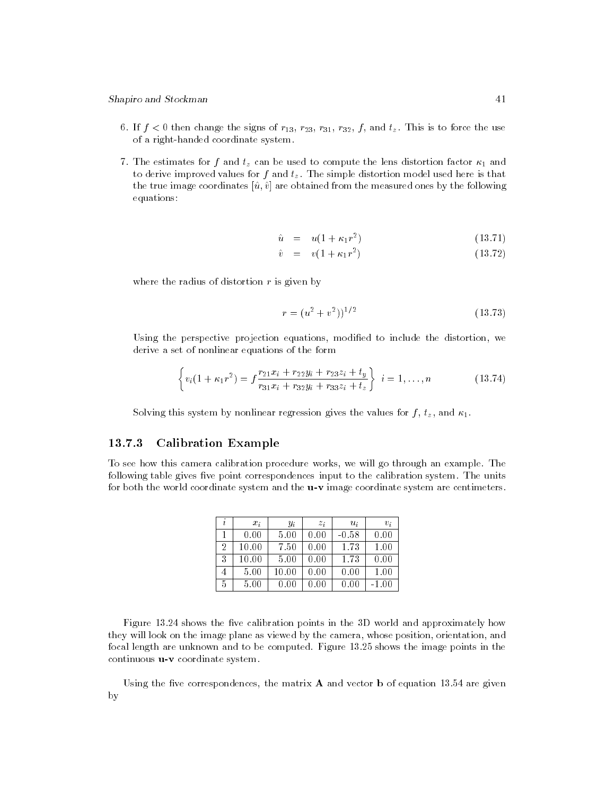- 6. If  $f < 0$  then change the signs of  $r_{13}$ ,  $r_{23}$ ,  $r_{31}$ ,  $r_{32}$ ,  $f$ , and  $t<sub>z</sub>$ . This is to force the use of a right-handed coordinate system.
- $7. \qquad \qquad J \qquad \qquad \mu$  and the estimates for f and tz can be used to compute the lens distortion factor  $1$ to derive improved values for f and tz . The simple distortion model used here is that simple distortion model used here is that is that is that is that is that is that is that is that is that is that is that is that is t the true image coordinates  $[\hat{u}, \hat{v}]$  are obtained from the measured ones by the following equations:

$$
\hat{u} = u(1 + \kappa_1 r^2) \tag{13.71}
$$

$$
\hat{v} = v(1 + \kappa_1 r^2) \tag{13.72}
$$

where the radius of distortion  $r$  is given by

$$
r = (u^2 + v^2))^{1/2} \tag{13.73}
$$

Using the perspective projection equations, modified to include the distortion, we derive a set of nonlinear equations of the form

$$
\left\{ v_i(1 + \kappa_1 r^2) = f \frac{r_{21} x_i + r_{22} y_i + r_{23} z_i + t_y}{r_{31} x_i + r_{32} y_i + r_{33} z_i + t_z} \right\} \ i = 1, \dots, n \tag{13.74}
$$

Solving this system by nonlinear regression gives the values for f , tz , and 1.

# 13.7.3 Calibration Example

To see how this camera calibration procedure works, we will go through an example. The following table gives five point correspondences input to the calibration system. The units for both the world coordinate system and the **u-v** image coordinate system are centimeters.

|   | $x_i$ | $y_i$ | $z_i$ | $u_i$   | $v_i$ |
|---|-------|-------|-------|---------|-------|
|   | 0.00  | 5.00  | 0.00  | $-0.58$ | 0.00  |
| 2 | 10.00 | 7.50  | 0.00  | 1.73    | 1.00  |
| 3 | 10.00 | 5.00  | 0.00  | 1.73    | 0.00  |
|   | 5.00  | 10.00 | 00.C  | 0.00    | 1.00  |
| 5 | 5.00  |       |       |         | -1.00 |

Figure 13.24 shows the five calibration points in the 3D world and approximately how they will look on the image plane as viewed by the camera, whose position, orientation, and focal length are unknown and to be computed. Figure 13.25 shows the image points in the continuous **u-v** coordinate system.

Using the five correspondences, the matrix  $A$  and vector b of equation 13.54 are given by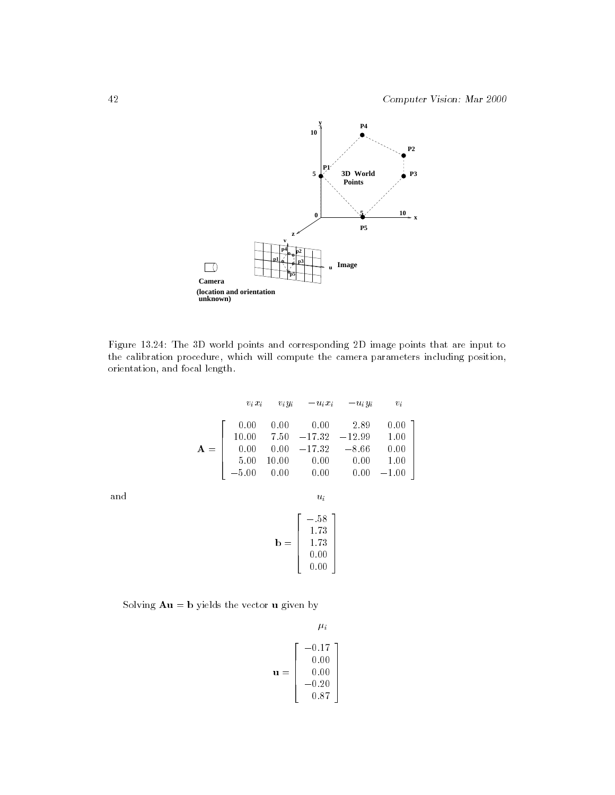

Figure 13.24: The 3D world points and corresponding 2D image points that are input to the calibration procedure, which will compute the camera parameters including position, orientation, and focal length.

$$
v_i x_i \t v_i y_i \t -u_i x_i \t -u_i y_i \t v_i
$$
  
\n
$$
\mathbf{A} = \begin{bmatrix} 0.00 & 0.00 & 0.00 & 2.89 & 0.00 \\ 10.00 & 7.50 & -17.32 & -12.99 & 1.00 \\ 0.00 & 0.00 & -17.32 & -8.66 & 0.00 \\ 5.00 & 10.00 & 0.00 & 0.00 & 1.00 \\ -5.00 & 0.00 & 0.00 & 0.00 & -1.00 \end{bmatrix}
$$

and use  $\mathcal{L}$ 

$$
\mathbf{b} = \left[ \begin{array}{c} -.58 \\ 1.73 \\ 1.73 \\ 0.00 \\ 0.00 \end{array} \right]
$$

Solving  $\mathbf{A}\mathbf{u} = \mathbf{b}$  yields the vector  $\mathbf{u}$  given by

$$
\mathbf{u} = \begin{bmatrix} 1 & \mu_i \\ 0.17 & 0.00 \\ 0.00 & 0.00 \\ -0.20 & 0.87 \end{bmatrix}
$$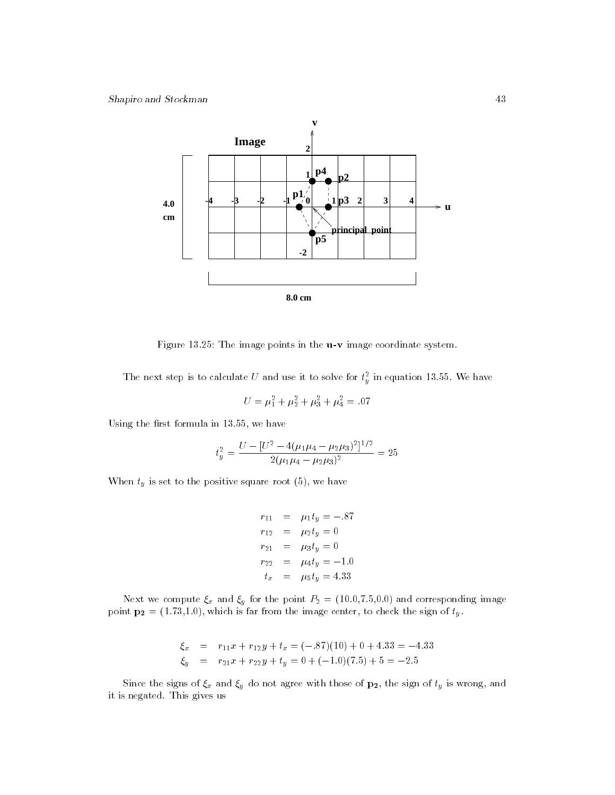

Figure 13.25: The image points in the **u-v** image coordinate system.

The next step is to calculate U and use it to solve for  $t_y^-$  in equation 13.55. We have

$$
U = \mu_1^2 + \mu_2^2 + \mu_3^2 + \mu_4^2 = .07
$$

Using the first formula in  $13.55$ , we have

$$
t_y^2 = \frac{U - [U^2 - 4(\mu_1 \mu_4 - \mu_2 \mu_3)^2]^{1/2}}{2(\mu_1 \mu_4 - \mu_2 \mu_3)^2} = 25
$$

When ty is set to the positive solution solution solution solutions of  $\mathcal{N}$  , we have root (5), we have root (5), we have root (5), we have received as  $\mathcal{N}$ 

$$
r_{11} = \mu_1 t_y = -.87
$$
  
\n
$$
r_{12} = \mu_2 t_y = 0
$$
  
\n
$$
r_{21} = \mu_3 t_y = 0
$$
  
\n
$$
r_{22} = \mu_4 t_y = -1.0
$$
  
\n
$$
t_x = \mu_5 t_y = 4.33
$$

Next we compute x and y for the point P2 = (10.0,7.5,0.0) and corresponding image point  $\mathbf{p_2} = (1.73, 1.0)$ , which is far from the image center, to check the sign of  $t_y$ .

$$
\xi_x = r_{11}x + r_{12}y + t_x = (-.87)(10) + 0 + 4.33 = -4.33
$$
  
\n
$$
\xi_y = r_{21}x + r_{22}y + t_y = 0 + (-1.0)(7.5) + 5 = -2.5
$$

 $S$ ince the signs of  $\chi^a$  and  $\chi^a$  are not agree with those of p2, the sign of ty is wrong, and it is negated. This gives us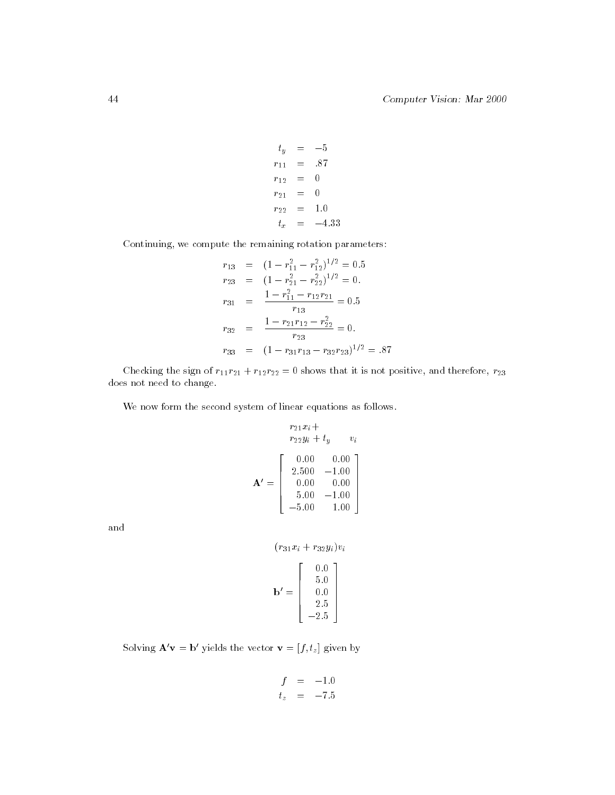$\sim$  5  $-$  5  $-$  5  $-$  5  $-$  5  $-$  5  $-$  5  $-$  5  $-$  5  $-$  5  $-$  5  $-$  5  $-$  5  $-$  5  $-$  5  $-$  5  $-$  5  $-$  5  $-$  5  $-$  5  $-$  5  $-$  5  $-$  5  $-$  5  $-$  5  $-$  5  $-$  5  $-$  5  $-$  5  $-$  5  $-$  5  $-$  5  $-$  5  $-$  5  $-$  5  $-$  5  $$   $r_{11} = .87$ r12 <sup>=</sup> <sup>0</sup>  $r_{21} = 0$  $r_{22} = 1.0$  $t_x$  $=$   $-4.33$ 

Continuing, we compute the remaining rotation parameters:

$$
r_{13} = (1 - r_{11}^2 - r_{12}^2)^{1/2} = 0.5
$$
  
\n
$$
r_{23} = (1 - r_{21}^2 - r_{22}^2)^{1/2} = 0.
$$
  
\n
$$
r_{31} = \frac{1 - r_{11}^2 - r_{12}r_{21}}{r_{13}} = 0.5
$$
  
\n
$$
r_{32} = \frac{1 - r_{21}r_{12} - r_{22}^2}{r_{23}} = 0.
$$
  
\n
$$
r_{33} = (1 - r_{31}r_{13} - r_{32}r_{23})^{1/2} = .87
$$

Checking the sign of  $r_{11}r_{21} + r_{12}r_{22} = 0$  shows that it is not positive, and therefore,  $r_{23}$ does not need to change.

We now form the second system of linear equations as follows.

$$
r_{21}x_i +
$$
  
\n
$$
r_{22}y_i + t_y \t v_i
$$
  
\n
$$
\mathbf{A}' = \begin{bmatrix} 0.00 & 0.00 \\ 2.500 & -1.00 \\ 0.00 & 0.00 \\ 5.00 & -1.00 \\ -5.00 & 1.00 \end{bmatrix}
$$

and

$$
(r_{31}x_i + r_{32}y_i)v_i
$$

$$
\mathbf{b}' = \begin{bmatrix} 0.0 \\ 5.0 \\ 0.0 \\ 2.5 \\ -2.5 \end{bmatrix}
$$

Solving  $\mathbf{A}'\mathbf{v} = \mathbf{b}'$  yields the vector  $\mathbf{v} = [f, t_z]$  given by

$$
f = -1.0
$$
  

$$
t_z = -7.5
$$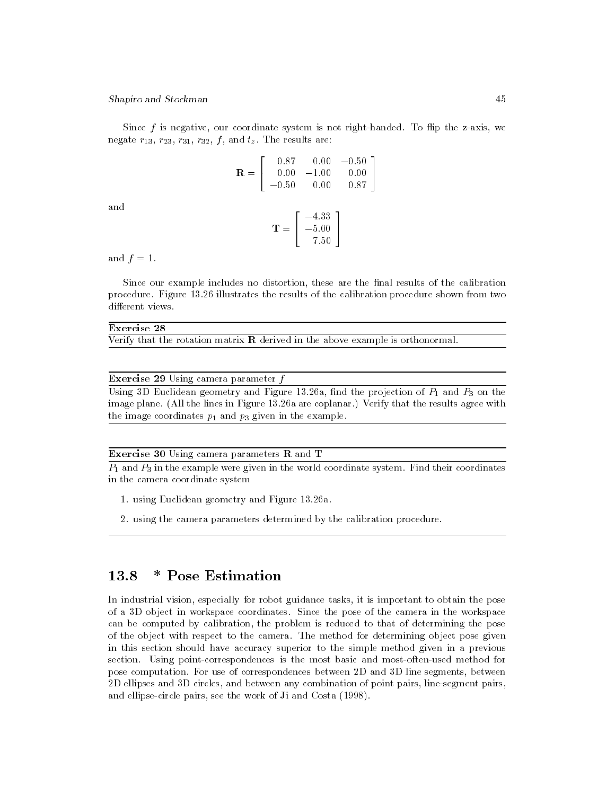Since  $f$  is negative, our coordinate system is not right-handed. To flip the z-axis, we negate  $r_{13}$ ,  $r_{23}$ ,  $r_{31}$ ,  $r_{32}$ ,  $f$ , and  $t_z$ . The results are:

> 3 **State Communication of the Communication**

$$
\mathbf{R} = \left[ \begin{array}{ccc} 0.87 & 0.00 & -0.50 \\ 0.00 & -1.00 & 0.00 \\ -0.50 & 0.00 & 0.87 \end{array} \right]
$$

and

$$
\mathbf{T} = \left[ \begin{array}{c} -4.33 \\ -5.00 \\ 7.50 \end{array} \right]
$$

and  $f = 1$ .

Since our example includes no distortion, these are the final results of the calibration procedure. Figure 13.26 illustrates the results of the calibration procedure shown from two different views.

#### Exercise 28

Verify that the rotation matrix  **derived in the above example is orthonormal.** 

#### **Exercise 29** Using camera parameter  $f$

Using 3D Euclidean geometry and Figure 13.26a, find the projection of  $P_1$  and  $P_3$  on the image plane. (All the lines in Figure 13.26a are coplanar.) Verify that the results agree with the image coordinates  $p_1$  and  $p_3$  given in the example.

#### **Exercise 30** Using camera parameters  $\bf{R}$  and  $\bf{T}$

 $\overline{P_1}$  and  $\overline{P_3}$  in the example were given in the world coordinate system. Find their coordinates in the camera coordinate system

- 1. using Euclidean geometry and Figure 13.26a.
- 2. using the camera parameters determined by the calibration procedure.

#### 13.8 \* Pose Estimation 13.8

In industrial vision, especially for robot guidance tasks, it is important to obtain the pose of a 3D object in workspace coordinates. Since the pose of the camera in the workspace can be computed by calibration, the problem is reduced to that of determining the pose of the object with respect to the camera. The method for determining object pose given in this section should have accuracy superior to the simple method given in a previous section. Using point-correspondences is the most basic and most-often-used method for pose computation. For use of correspondences between 2D and 3D line segments, between 2D ellipses and 3D circles, and between any combination of point pairs, line-segment pairs, and ellipse-circle pairs, see the work of Ji and Costa (1998).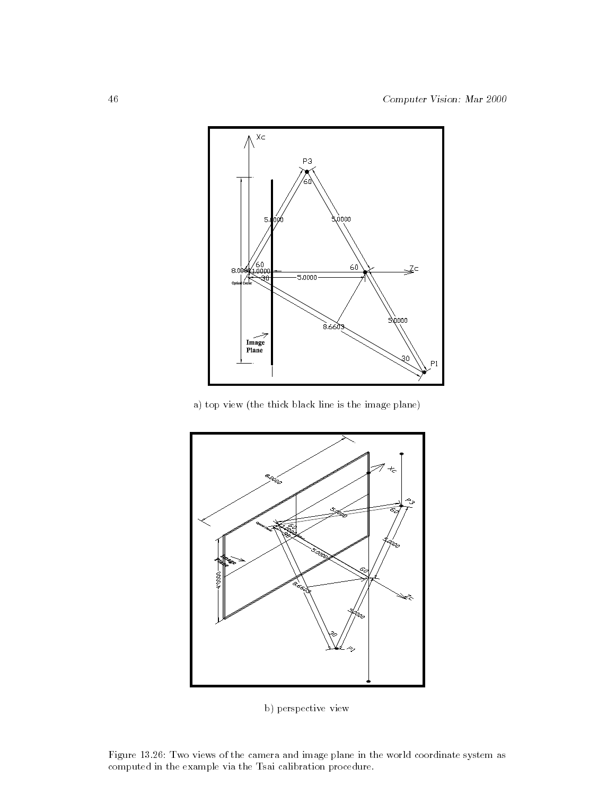

a) top view (the thick black line is the image plane)



b) perspective view

Figure 13.26: Two views of the camera and image plane in the world coordinate system as computed in the example via the Tsai calibration procedure.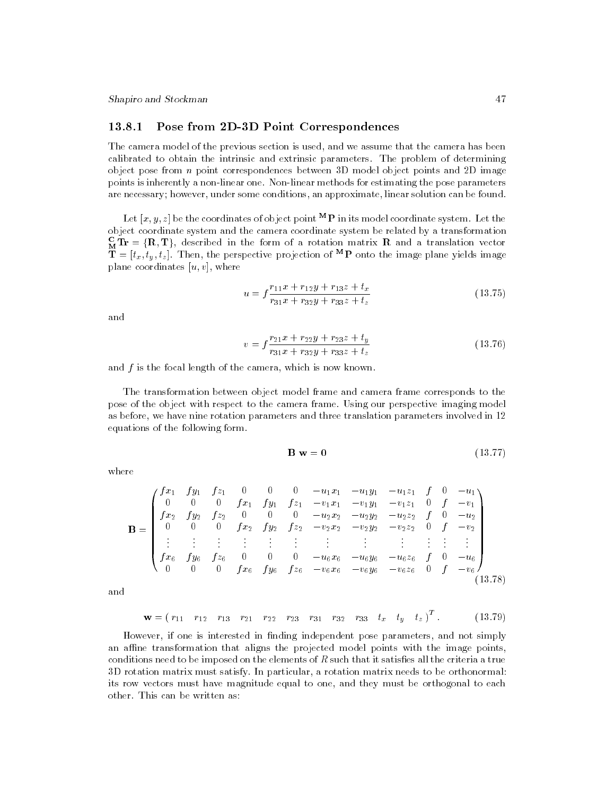## 13.8.1 Pose from 2D-3D Point Correspondences

The camera model of the previous section is used, and we assume that the camera has been calibrated to obtain the intrinsic and extrinsic parameters. The problem of determining object pose from n point correspondences between 3D model object points and 2D image points is inherently a non-linear one. Non-linear methods for estimating the pose parameters are necessary; however, under some conditions, an approximate, linear solution can be found.

Let  $[x, y, z]$  be the coordinates of object point  ${}^{\mathbf{M}}\mathbf{P}$  in its model coordinate system. Let the object coordinate system and the camera coordinate system be related by a transformation  $\mathbf{M}$  Ir  $=(\mathbf{R},\mathbf{I})$ , described in the form of a rotation matrix  $\mathbf{R}$  and a translation vector  $\mathbf{I} = [t_x, t_y, t_z]$ . Then, the perspective projection of  $\mathbf{P}$  onto the image plane yields image plane coordinates  $[u, v]$ , where

$$
u = f \frac{r_{11}x + r_{12}y + r_{13}z + t_x}{r_{31}x + r_{32}y + r_{33}z + t_z}
$$
 (13.75)

and

$$
v = f \frac{r_{21}x + r_{22}y + r_{23}z + t_y}{r_{31}x + r_{32}y + r_{33}z + t_z}
$$
 (13.76)

and  $f$  is the focal length of the camera, which is now known.

The transformation between object model frame and camera frame corresponds to the pose of the object with respect to the camera frame. Using our perspective imaging model as before, we have nine rotation parameters and three translation parameters involved in 12 equations of the following form.

$$
\mathbf{B} \ \mathbf{w} = \mathbf{0} \tag{13.77}
$$

where

B = 0 B B B B B B B B @ f x1 f y1 f z1 <sup>0</sup> <sup>0</sup> <sup>0</sup> u1x1 u1y1 u1z1 <sup>f</sup> <sup>0</sup> u1 <sup>0</sup> <sup>0</sup> <sup>0</sup> f x1 f y1 f z1 v1x1 v1y1 v1z1 <sup>0</sup> <sup>f</sup> v1 f x2 f y2 f z2 <sup>0</sup> <sup>0</sup> <sup>0</sup> u2x2 u2y2 u2z2 <sup>f</sup> <sup>0</sup> u2 <sup>0</sup> <sup>0</sup> <sup>0</sup> f x2 f y2 f z2 v2x2 v2y2 v2z2 <sup>0</sup> <sup>f</sup> v2 f x6 f y6 f z6 <sup>0</sup> <sup>0</sup> <sup>0</sup> u6x6 u6y6 u6z6 <sup>f</sup> <sup>0</sup> u6 <sup>0</sup> <sup>0</sup> <sup>0</sup> f x6 f y6 f z6 v6x6 v6y6 v6z6 <sup>0</sup> <sup>f</sup> v6 1 C C C C C C C C A (13.78)

and

$$
\mathbf{w} = (r_{11} \quad r_{12} \quad r_{13} \quad r_{21} \quad r_{22} \quad r_{23} \quad r_{31} \quad r_{32} \quad r_{33} \quad t_x \quad t_y \quad t_z)^T. \tag{13.79}
$$

However, if one is interested in finding independent pose parameters, and not simply an affine transformation that aligns the projected model points with the image points, conditions need to be imposed on the elements of  $R$  such that it satisfies all the criteria a true 3D rotation matrix must satisfy. In particular, a rotation matrix needs to be orthonormal: its row vectors must have magnitude equal to one, and they must be orthogonal to each other. This can be written as: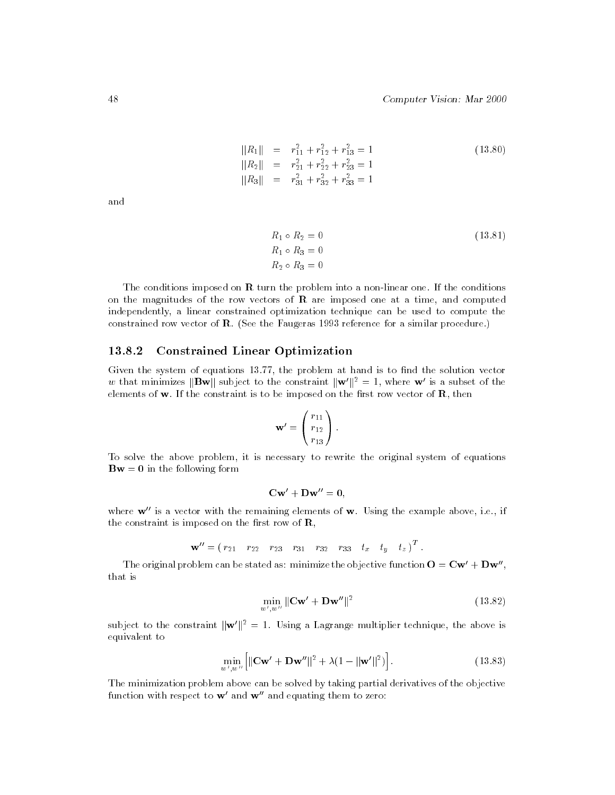$$
||R_1|| = r_{11}^2 + r_{12}^2 + r_{13}^2 = 1
$$
  
\n
$$
||R_2|| = r_{21}^2 + r_{22}^2 + r_{23}^2 = 1
$$
  
\n
$$
||R_3|| = r_{31}^2 + r_{32}^2 + r_{33}^2 = 1
$$
\n(13.80)

and

$$
R_1 \circ R_2 = 0
$$
  
\n
$$
R_1 \circ R_3 = 0
$$
  
\n
$$
R_2 \circ R_3 = 0
$$
  
\n(13.81)

The conditions imposed on  **turn the problem into a non-linear one. If the conditions** on the magnitudes of the row vectors of  $\bf{R}$  are imposed one at a time, and computed independently, a linear constrained optimization technique can be used to compute the constrained row vector of  $\bf{R}$ . (See the Faugeras 1993 reference for a similar procedure.)

#### 13.8.2 13.8.2 Constrained Linear Optimization

Given the system of equations 13.77, the problem at hand is to find the solution vector w that minimizes  $\|\mathbf{Bw}\|$  subject to the constraint  $\|\mathbf{w}'\|^2 = 1$ , where w' is a subset of the elements of  $w$ . If the constraint is to be imposed on the first row vector of  $R$ , then

$$
\mathbf{w}' = \begin{pmatrix} r_{11} \\ r_{12} \\ r_{13} \end{pmatrix}.
$$

To solve the above problem, it is necessary to rewrite the original system of equations  $Bw = 0$  in the following form

$$
\mathbf{C}\mathbf{w}' + \mathbf{D}\mathbf{w}'' = \mathbf{0},
$$

where  $w''$  is a vector with the remaining elements of  $w$ . Using the example above, i.e., if the constraint is imposed on the first row of  $\mathbf{R}$ ,

$$
\mathbf{w}'' = (r_{21} \quad r_{22} \quad r_{23} \quad r_{31} \quad r_{32} \quad r_{33} \quad t_x \quad t_y \quad t_z)^T.
$$

The original problem can be stated as: minimize the objective function  $O = Cw' + Dw''$ , that is

$$
\min_{w',w''} \|\mathbf{C}\mathbf{w}' + \mathbf{D}\mathbf{w}''\|^2 \tag{13.82}
$$

subject to the constraint  $\|\mathbf{w}'\|^2 = 1$ . Using a Lagrange multiplier technique, the above is equivalent to

$$
\min_{w',w''} \left[ \|\mathbf{C}\mathbf{w}' + \mathbf{D}\mathbf{w}''\|^2 + \lambda (1 - \|\mathbf{w}'\|^2) \right].
$$
\n(13.83)

The minimization problem above can be solved by taking partial derivatives of the objective function with respect to  $w'$  and  $w''$  and equating them to zero: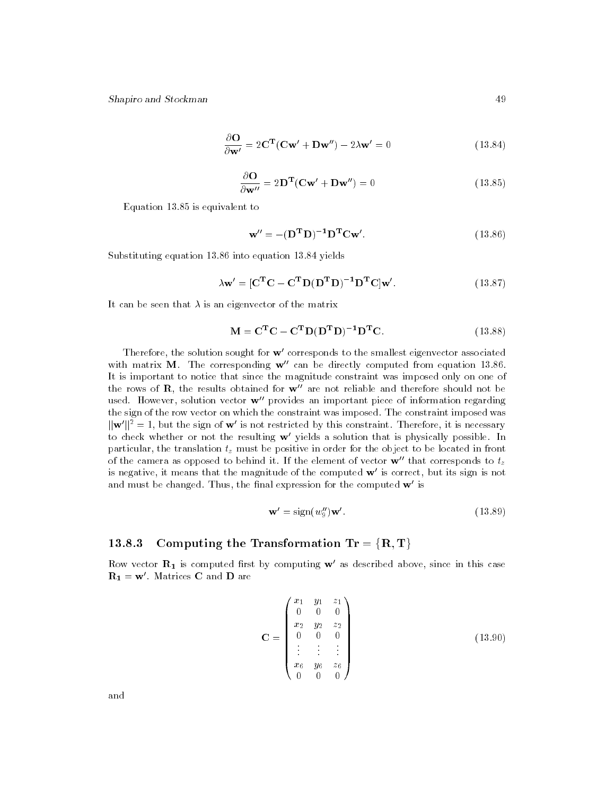$$
\frac{\partial \mathbf{O}}{\partial \mathbf{w}'} = 2\mathbf{C}^{\mathbf{T}}(\mathbf{C}\mathbf{w}' + \mathbf{D}\mathbf{w}'') - 2\lambda \mathbf{w}' = 0 \qquad (13.84)
$$

$$
\frac{\partial \mathbf{O}}{\partial \mathbf{w}^{\prime\prime}} = 2\mathbf{D}^{\mathbf{T}}(\mathbf{C}\mathbf{w}^{\prime} + \mathbf{D}\mathbf{w}^{\prime\prime}) = 0
$$
 (13.85)

Equation 13.85 is equivalent to

$$
\mathbf{w}^{"} = -(\mathbf{D}^{\mathrm{T}} \mathbf{D})^{-1} \mathbf{D}^{\mathrm{T}} \mathbf{C} \mathbf{w}^{'}. \qquad (13.86)
$$

Substituting equation 13.86 into equation 13.84 yields

$$
\lambda \mathbf{w}' = [\mathbf{C}^{\mathbf{T}} \mathbf{C} - \mathbf{C}^{\mathbf{T}} \mathbf{D} (\mathbf{D}^{\mathbf{T}} \mathbf{D})^{-1} \mathbf{D}^{\mathbf{T}} \mathbf{C}] \mathbf{w}'. \qquad (13.87)
$$

It can be seen that  $\lambda$  is an eigenvector of the matrix

$$
\mathbf{M} = \mathbf{C}^{\mathbf{T}} \mathbf{C} - \mathbf{C}^{\mathbf{T}} \mathbf{D} (\mathbf{D}^{\mathbf{T}} \mathbf{D})^{-1} \mathbf{D}^{\mathbf{T}} \mathbf{C}.
$$
 (13.88)

Therefore, the solution sought for  $w'$  corresponds to the smallest eigenvector associated with matrix M. The corresponding  $w''$  can be directly computed from equation 13.86. It is important to notice that since the magnitude constraint was imposed only on one of the rows of **R**, the results obtained for  $w^{\prime\prime}$  are not reliable and therefore should not be used. However, solution vector  $\mathbf{w}^{\prime\prime}$  provides an important piece of information regarding the sign of the row vector on which the constraint was imposed. The constraint imposed was  $\|\mathbf{w}'\|^2 = 1$ , but the sign of  $\mathbf{w}'$  is not restricted by this constraint. Therefore, it is necessary to check whether or not the resulting  $w'$  yields a solution that is physically possible. In particular, the translation tz must be positive in order for the object to be located in front of the camera as opposed to behind it. If the element of vector  $\mathbf{w}^{\prime\prime}$  that corresponds to  $t_{z}$ is negative, it means that the magnitude of the computed  $w'$  is correct, but its sign is not and must be changed. Thus, the final expression for the computed  $w'$  is

$$
\mathbf{w}' = \text{sign}(w_9'')\mathbf{w}'.\tag{13.89}
$$

# 13.8.3 Computing the Transformation  $Tr = \{R, T\}$

Row vector  $\mathbf{R}_1$  is computed first by computing  $\mathbf{w}'$  as described above, since in this case  $R_1 = w'$ . Matrices C and D are

$$
\mathbf{C} = \begin{pmatrix} x_1 & y_1 & z_1 \\ 0 & 0 & 0 \\ x_2 & y_2 & z_2 \\ 0 & 0 & 0 \\ \vdots & \vdots & \vdots \\ x_6 & y_6 & z_6 \\ 0 & 0 & 0 \end{pmatrix}
$$
 (13.90)

and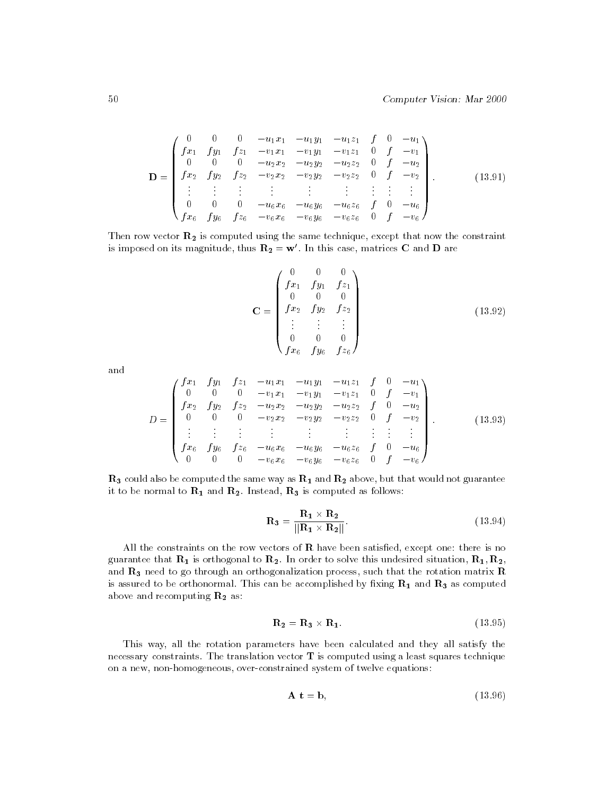$$
\mathbf{D} = \begin{pmatrix}\n0 & 0 & 0 & -u_1x_1 & -u_1y_1 & -u_1z_1 & f & 0 & -u_1 \\
fx_1 & fy_1 & fz_1 & -v_1x_1 & -v_1y_1 & -v_1z_1 & 0 & f & -v_1 \\
0 & 0 & 0 & -u_2x_2 & -u_2y_2 & -u_2z_2 & 0 & f & -u_2 \\
fx_2 & fy_2 & fz_2 & -v_2x_2 & -v_2y_2 & -v_2z_2 & 0 & f & -v_2 \\
\vdots & \vdots & \vdots & \vdots & \vdots & \vdots & \vdots & \vdots \\
0 & 0 & 0 & -u_6x_6 & -u_6y_6 & -u_6z_6 & f & 0 & -u_6 \\
fx_6 & fy_6 & fz_6 & -v_6x_6 & -v_6y_6 & -v_6z_6 & 0 & f & -v_6\n\end{pmatrix}.
$$
\n(13.91)

Then row vector  $R_2$  is computed using the same technique, except that now the constraint is imposed on its magnitude, thus  $\mathbf{R}_2 = \mathbf{w}'$ . In this case, matrices C and D are

$$
\mathbf{C} = \begin{pmatrix} 0 & 0 & 0 \\ f x_1 & f y_1 & f z_1 \\ 0 & 0 & 0 \\ f x_2 & f y_2 & f z_2 \\ \vdots & \vdots & \vdots \\ 0 & 0 & 0 \\ f x_6 & f y_6 & f z_6 \end{pmatrix}
$$
(13.92)

and

$$
D = \begin{pmatrix} fx_1 & fy_1 & fz_1 & -u_1x_1 & -u_1y_1 & -u_1z_1 & f & 0 & -u_1 \\ 0 & 0 & 0 & -v_1x_1 & -v_1y_1 & -v_1z_1 & 0 & f & -v_1 \\ fx_2 & fy_2 & fz_2 & -u_2x_2 & -u_2y_2 & -u_2z_2 & f & 0 & -u_2 \\ 0 & 0 & 0 & -v_2x_2 & -v_2y_2 & -v_2z_2 & 0 & f & -v_2 \\ \vdots & \vdots & \vdots & \vdots & \vdots & \vdots & \vdots & \vdots & \vdots \\ fx_6 & fy_6 & fz_6 & -u_6x_6 & -u_6y_6 & -u_6z_6 & f & 0 & -u_6 \\ 0 & 0 & 0 & -v_6x_6 & -v_6y_6 & -v_6z_6 & 0 & f & -v_6 \end{pmatrix}.
$$
 (13.93)

 $R_3$  could also be computed the same way as  $R_1$  and  $R_2$  above, but that would not guarantee it to be normal to  $\mathbf{R}_1$  and  $\mathbf{R}_2$ . Instead,  $\mathbf{R}_3$  is computed as follows:

$$
\mathbf{R}_3 = \frac{\mathbf{R}_1 \times \mathbf{R}_2}{\|\mathbf{R}_1 \times \mathbf{R}_2\|}.
$$
 (13.94)

All the constraints on the row vectors of  **have been satisfied, except one: there is no** guarantee that  $\mathbf{R}_1$  is orthogonal to  $\mathbf{R}_2$ . In order to solve this undesired situation,  $\mathbf{R}_1, \mathbf{R}_2$ , and  $\mathbf{R}_3$  need to go through an orthogonalization process, such that the rotation matrix  $\mathbf R$ is assured to be orthonormal. This can be accomplished by fixing  $\mathbf{R}_1$  and  $\mathbf{R}_3$  as computed above and recomputing  $\mathbf{R}_2$  as:

$$
\mathbf{R}_2 = \mathbf{R}_3 \times \mathbf{R}_1. \tag{13.95}
$$

This way, all the rotation parameters have been calculated and they all satisfy the necessary constraints. The translation vector T is computed using a least squares technique on a new, non-homogeneous, over-constrained system of twelve equations:

$$
\mathbf{A} \ \mathbf{t} = \mathbf{b},\tag{13.96}
$$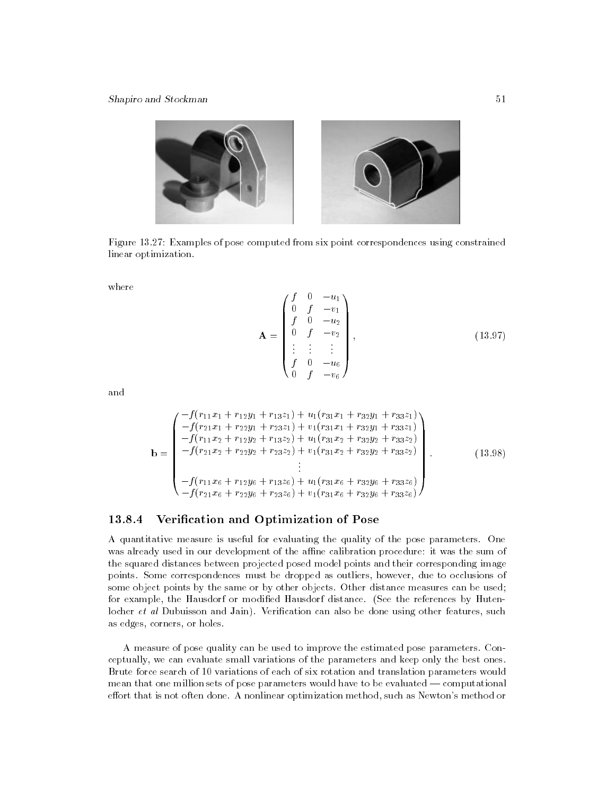

Figure 13.27: Examples of pose computed from six point correspondences using constrained linear optimization.

where

$$
\mathbf{A} = \begin{pmatrix} f & 0 & -u_1 \\ 0 & f & -v_1 \\ f & 0 & -u_2 \\ 0 & f & -v_2 \\ \vdots & \vdots & \vdots \\ f & 0 & -u_6 \\ 0 & f & -v_6 \end{pmatrix},
$$
(13.97)

and

$$
\mathbf{b} = \begin{pmatrix} -f(r_{11}x_1 + r_{12}y_1 + r_{13}z_1) + u_1(r_{31}x_1 + r_{32}y_1 + r_{33}z_1) \\ -f(r_{21}x_1 + r_{22}y_1 + r_{23}z_1) + v_1(r_{31}x_1 + r_{32}y_1 + r_{33}z_1) \\ -f(r_{11}x_2 + r_{12}y_2 + r_{13}z_2) + u_1(r_{31}x_2 + r_{32}y_2 + r_{33}z_2) \\ -f(r_{21}x_2 + r_{22}y_2 + r_{23}z_2) + v_1(r_{31}x_2 + r_{32}y_2 + r_{33}z_2) \\ \vdots \\ -f(r_{11}x_6 + r_{12}y_6 + r_{13}z_6) + u_1(r_{31}x_6 + r_{32}y_6 + r_{33}z_6) \\ -f(r_{21}x_6 + r_{22}y_6 + r_{23}z_6) + v_1(r_{31}x_6 + r_{32}y_6 + r_{33}z_6) \end{pmatrix}
$$
\n(13.98)

# 13.8.4 Verication and Optimization of Pose

A quantitative measure is useful for evaluating the quality of the pose parameters. One was already used in our development of the affine calibration procedure: it was the sum of the squared distances between projected posed model points and their corresponding image points. Some correspondences must be dropped as outliers, however, due to occlusions of some object points by the same or by other objects. Other distance measures can be used; for example, the Hausdorf or modied Hausdorf distance. (See the references by Hutenlocher  $et$  al Dubuisson and Jain). Verification can also be done using other features, such as edges, corners, or holes.

A measure of pose quality can be used to improve the estimated pose parameters. Conceptually, we can evaluate small variations of the parameters and keep only the best ones. Brute force search of 10 variations of each of six rotation and translation parameters would mean that one million sets of pose parameters would have to be evaluated — computational effort that is not often done. A nonlinear optimization method, such as Newton's method or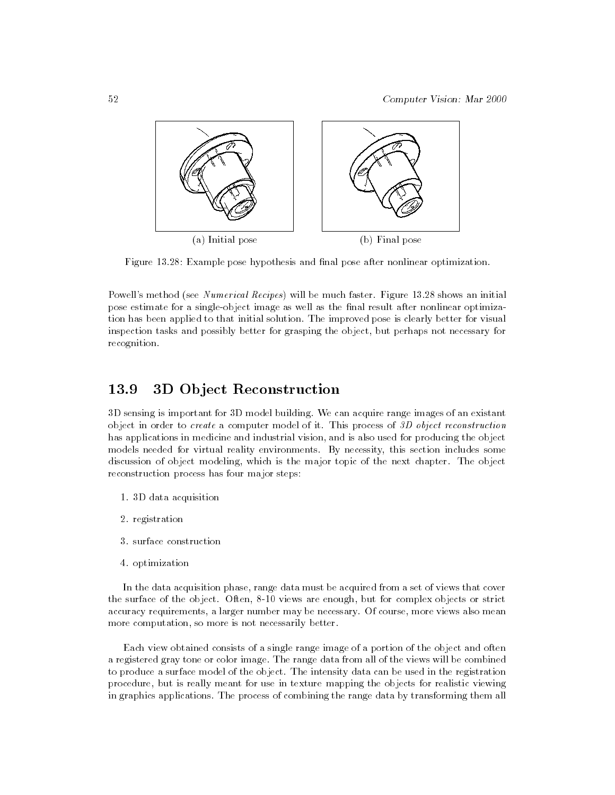

Figure 13.28: Example pose hypothesis and final pose after nonlinear optimization.

Powell's method (see Numerical Recipes) will be much faster. Figure 13.28 shows an initial pose estimate for a single-object image as well as the final result after nonlinear optimization has been applied to that initial solution. The improved pose is clearly better for visual inspection tasks and possibly better for grasping the object, but perhaps not necessary for recognition.

#### 3D Object Reconstruction 13.9

3D sensing is important for 3D model building. We can acquire range images of an existant object in order to create a computer model of it. This process of 3D object reconstruction has applications in medicine and industrial vision, and is also used for producing the object models needed for virtual reality environments. By necessity, this section includes some discussion of object modeling, which is the major topic of the next chapter. The object reconstruction process has four major steps:

- 1. 3D data acquisition
- 2. registration
- 3. surface construction
- 4. optimization

In the data acquisition phase, range data must be acquired from a set of views that cover the surface of the object. Often, 8-10 views are enough, but for complex objects or strict accuracy requirements, a larger number may be necessary. Of course, more views also mean more computation, so more is not necessarily better.

Each view obtained consists of a single range image of a portion of the object and often a registered gray tone or color image. The range data from all of the views will be combined to produce a surface model of the object. The intensity data can be used in the registration procedure, but is really meant for use in texture mapping the objects for realistic viewing in graphics applications. The process of combining the range data by transforming them all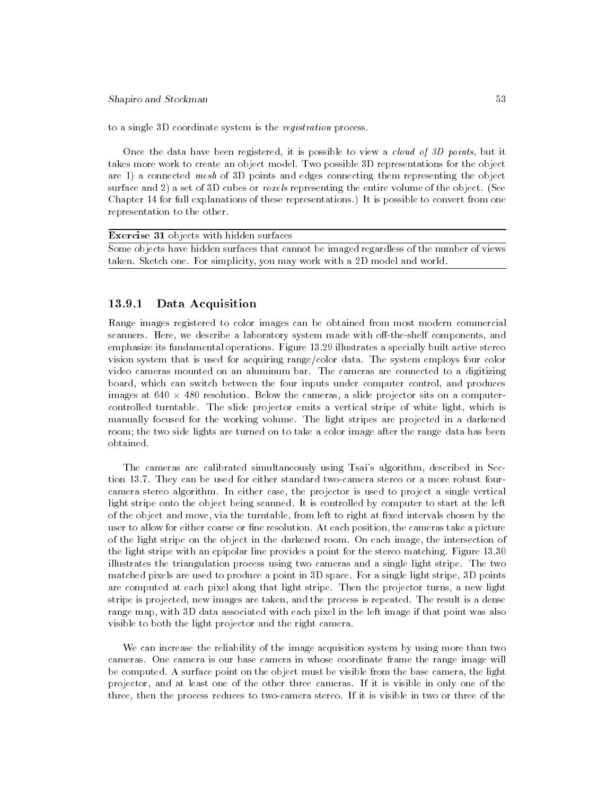to a single 3D coordinate system is the registration process.

Once the data have been registered, it is possible to view a cloud of 3D points, but it takes more work to create an object model. Two possible 3D representations for the object are 1) a connected mesh of 3D points and edges connecting them representing the object surface and 2) a set of 3D cubes or *voxels* representing the entire volume of the object. (See Chapter 14 for full explanations of these representations.) It is possible to convert from one representation to the other.

| <b>Exercise 31</b> objects with hidden surfaces                                           |
|-------------------------------------------------------------------------------------------|
| Some objects have hidden surfaces that cannot be imaged regardless of the number of views |
| taken. Sketch one. For simplicity, you may work with a 2D model and world.                |

# 13.9.1 Data Acquisition

Range images registered to color images can be obtained from most modern commercial scanners. Here, we describe a laboratory system made with off-the-shelf components, and emphasize its fundamental operations. Figure 13.29 illustrates a specially built active stereo vision system that is used for acquiring range/color data. The system employs four color video cameras mounted on an aluminum bar. The cameras are connected to a digitizing board, which can switch between the four inputs under computer control, and produces images at 640 - 480 resolution. Below the cameras, a slide projector sits on a computercontrolled turntable. The slide projector emits a vertical stripe of white light, which is manually focused for the working volume. The light stripes are projected in a darkened room; the two side lights are turned on to take a color image after the range data has been obtained.

The cameras are calibrated simultaneously using Tsai's algorithm, described in Section 13.7. They can be used for either standard two-camera stereo or a more robust fourcamera stereo algorithm. In either case, the projector is used to project a single vertical light stripe onto the object being scanned. It is controlled by computer to start at the left of the object and move, via the turntable, from left to right at fixed intervals chosen by the user to allow for either coarse or fine resolution. At each position, the cameras take a picture of the light stripe on the object in the darkened room. On each image, the intersection of the light stripe with an epipolar line provides a point for the stereo matching. Figure 13.30 illustrates the triangulation process using two cameras and a single light stripe. The two matched pixels are used to produce a point in 3D space. For a single light stripe, 3D points are computed at each pixel along that light stripe. Then the projector turns, a new light stripe is projected, new images are taken, and the process is repeated. The result is a dense range map, with 3D data associated with each pixel in the left image if that point was also visible to both the light projector and the right camera.

We can increase the reliability of the image acquisition system by using more than two cameras. One camera is our base camera in whose coordinate frame the range image will be computed. A surface point on the object must be visible from the base camera, the light projector, and at least one of the other three cameras. If it is visible in only one of the three, then the process reduces to two-camera stereo. If it is visible in two or three of the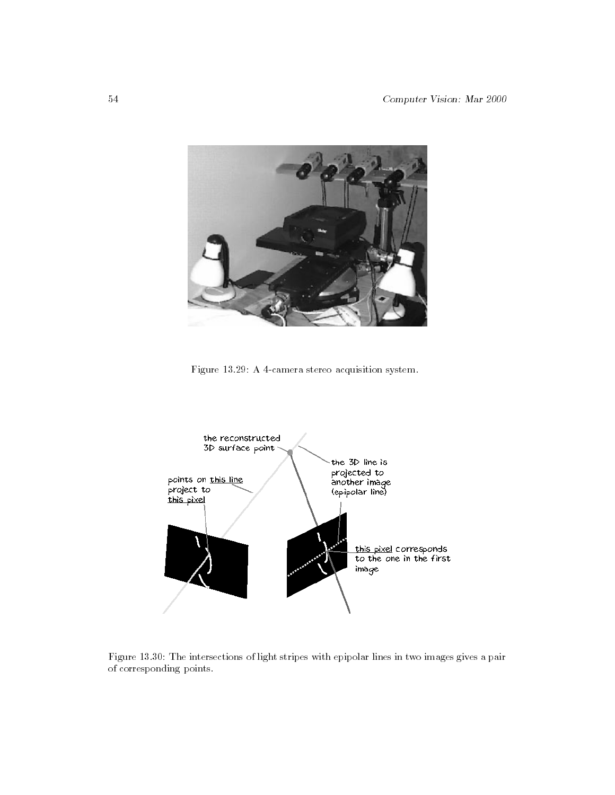

Figure 13.29: A 4-camera stereo acquisition system.



Figure 13.30: The intersections of light stripes with epipolar lines in two images gives a pair of corresponding points.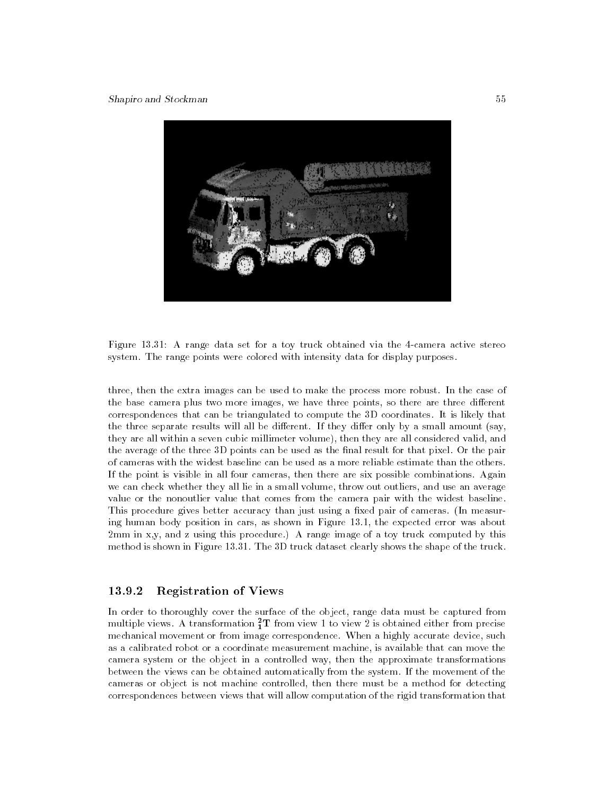

Figure 13.31: A range data set for a toy truck obtained via the 4-camera active stereo system. The range points were colored with intensity data for display purposes.

three, then the extra images can be used to make the process more robust. In the case of the base camera plus two more images, we have three points, so there are three different correspondences that can be triangulated to compute the 3D coordinates. It is likely that the three separate results will all be different. If they differ only by a small amount (say, they are all within a seven cubic millimeter volume), then they are all considered valid, and the average of the three 3D points can be used as the final result for that pixel. Or the pair of cameras with the widest baseline can be used as a more reliable estimate than the others. If the point is visible in all four cameras, then there are six possible combinations. Again we can check whether they all lie in a small volume, throw out outliers, and use an average value or the nonoutlier value that comes from the camera pair with the widest baseline. This procedure gives better accuracy than just using a fixed pair of cameras. (In measuring human body position in cars, as shown in Figure 13.1, the expected error was about 2mm in x,y, and z using this procedure.) A range image of a toy truck computed by this method is shown in Figure 13.31. The 3D truck dataset clearly shows the shape of the truck.

#### 13.9.2 Registration of Views

In order to thoroughly cover the surface of the object, range data must be captured from multiple views. A transformation  $\frac{1}{1}$  I from view 1 to view 2 is obtained either from precise mechanical movement or from image correspondence. When a highly accurate device, such as a calibrated robot or a coordinate measurement machine, is available that can move the camera system or the object in a controlled way, then the approximate transformations between the views can be obtained automatically from the system. If the movement of the cameras or object is not machine controlled, then there must be a method for detecting correspondences between views that will allow computation of the rigid transformation that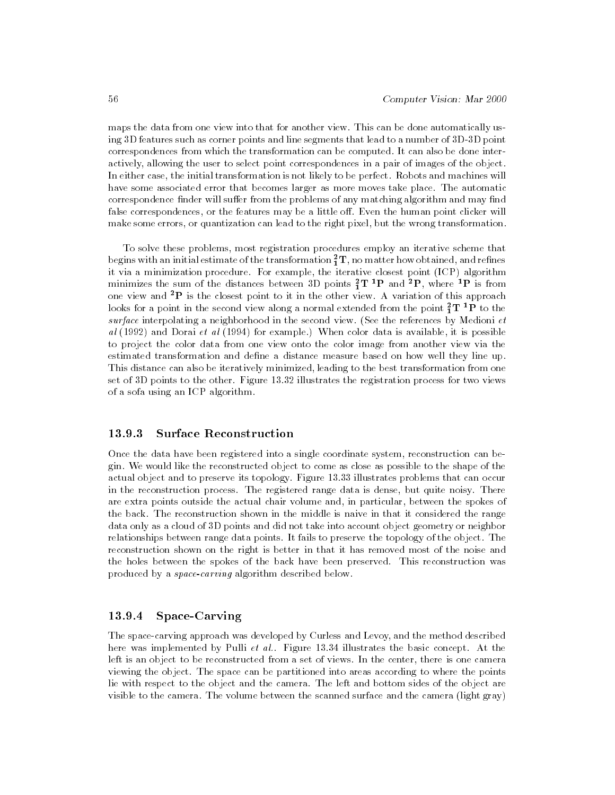maps the data from one view into that for another view. This can be done automatically using 3D features such as corner points and line segments that lead to a number of 3D-3D point correspondences from which the transformation can be computed. It can also be done interactively, allowing the user to select point correspondences in a pair of images of the object. In either case, the initial transformation is not likely to be perfect. Robots and machines will have some associated error that becomes larger as more moves take place. The automatic correspondence finder will suffer from the problems of any matching algorithm and may find false correspondences, or the features may be a little off. Even the human point clicker will make some errors, or quantization can lead to the right pixel, but the wrong transformation.

To solve these problems, most registration procedures employ an iterative scheme that begins with an initial estimate of the transformation  $\overline{1}\,\mathbf{I}$  , no matter how obtained, and refines it via a minimization procedure. For example, the iterative closest point (ICP) algorithm minimizes the sum of the distances between 3D points  $\overline{1}1$   $\overline{1}$  and  $\overline{1}$ , where  $\overline{1}$  is from one view and  ${}^{2}P$  is the closest point to it in the other view. A variation of this approach looks for a point in the second view along a normal extended from the point  $\frac{\tau}{1}$  1  $^{\circ}$  P to the surface interpolating a neighborhood in the second view. (See the references by Medioni  $et$ al  $(1992)$  and Dorai et al  $(1994)$  for example.) When color data is available, it is possible to project the color data from one view onto the color image from another view via the estimated transformation and define a distance measure based on how well they line up. This distance can also be iteratively minimized, leading to the best transformation from one set of 3D points to the other. Figure 13.32 illustrates the registration process for two views of a sofa using an ICP algorithm.

#### **Surface Reconstruction** 13.9.3

Once the data have been registered into a single coordinate system, reconstruction can begin. We would like the reconstructed object to come as close as possible to the shape of the actual object and to preserve its topology. Figure 13.33 illustrates problems that can occur in the reconstruction process. The registered range data is dense, but quite noisy. There are extra points outside the actual chair volume and, in particular, between the spokes of the back. The reconstruction shown in the middle is naive in that it considered the range data only as a cloud of 3D points and did not take into account object geometry or neighbor relationships between range data points. It fails to preserve the topology of the object. The reconstruction shown on the right is better in that it has removed most of the noise and the holes between the spokes of the back have been preserved. This reconstruction was produced by a space-carving algorithm described below.

#### 13.9.4 Space-Carving

The space-carving approach was developed by Curless and Levoy, and the method described here was implemented by Pulli *et al.*. Figure 13.34 illustrates the basic concept. At the left is an object to be reconstructed from a set of views. In the center, there is one camera viewing the object. The space can be partitioned into areas according to where the points lie with respect to the object and the camera. The left and bottom sides of the object are visible to the camera. The volume between the scanned surface and the camera (light gray)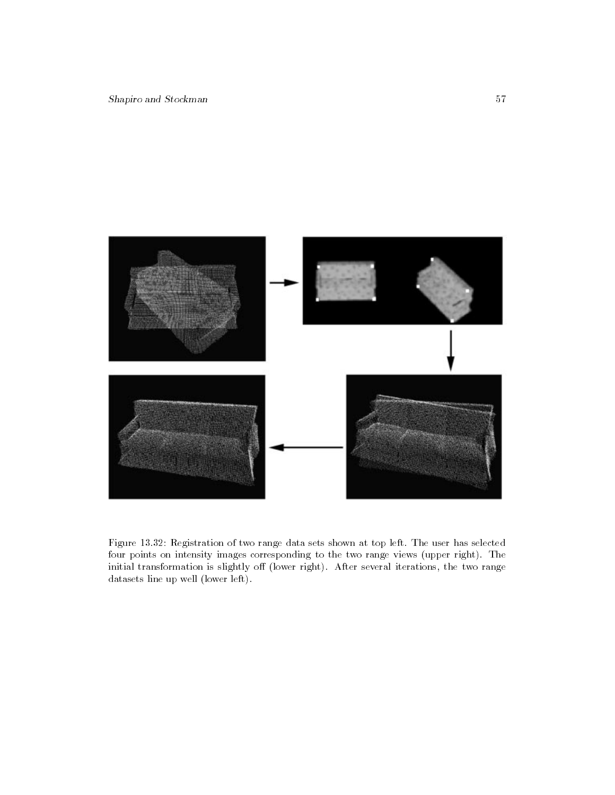



Figure 13.32: Registration of two range data sets shown at top left. The user has selected four points on intensity images corresponding to the two range views (upper right). The initial transformation is slightly off (lower right). After several iterations, the two range datasets line up well (lower left).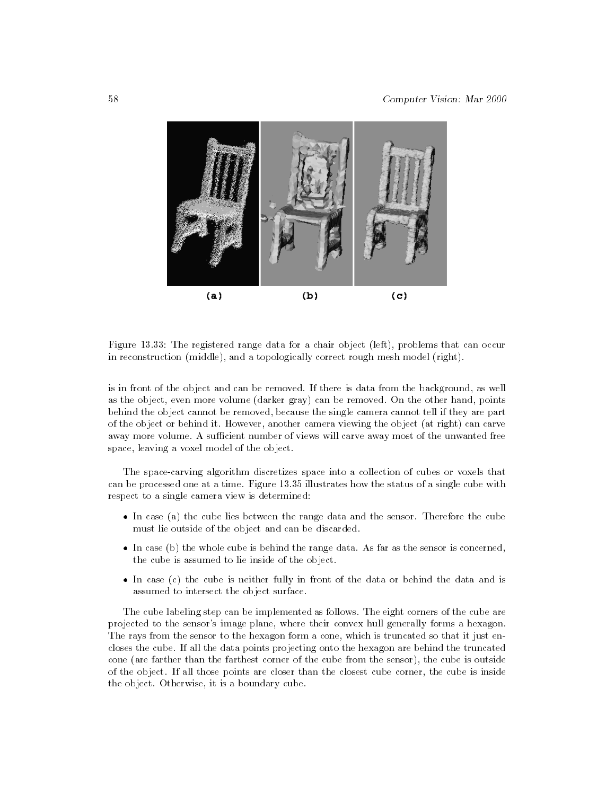

Figure 13.33: The registered range data for a chair object (left), problems that can occur in reconstruction (middle), and a topologically correct rough mesh model (right).

is in front of the object and can be removed. If there is data from the background, as well as the object, even more volume (darker gray) can be removed. On the other hand, points behind the object cannot be removed, because the single camera cannot tell if they are part of the object or behind it. However, another camera viewing the object (at right) can carve away more volume. A sufficient number of views will carve away most of the unwanted free space, leaving a voxel model of the object.

The space-carving algorithm discretizes space into a collection of cubes or voxels that can be processed one at a time. Figure 13.35 illustrates how the status of a single cube with respect to a single camera view is determined:

- In case (a) the cube lies between the range data and the sensor. Therefore the cube must lie outside of the object and can be discarded.
- $\bullet$  In case (b) the whole cube is behind the range data. As far as the sensor is concerned, the cube is assumed to lie inside of the object.
- In case (c) the cube is neither fully in front of the data or behind the data and is assumed to intersect the object surface.

The cube labeling step can be implemented as follows. The eight corners of the cube are projected to the sensor's image plane, where their convex hull generally forms a hexagon. The rays from the sensor to the hexagon form a cone, which is truncated so that it just encloses the cube. If all the data points projecting onto the hexagon are behind the truncated cone (are farther than the farthest corner of the cube from the sensor), the cube is outside of the object. If all those points are closer than the closest cube corner, the cube is inside the object. Otherwise, it is a boundary cube.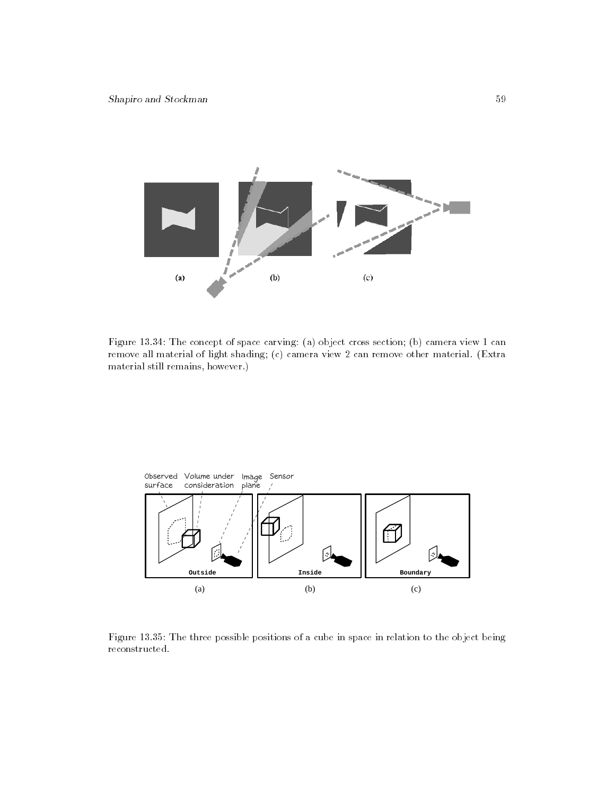

Figure 13.34: The concept of space carving: (a) object cross section; (b) camera view 1 can remove all material of light shading; (c) camera view 2 can remove other material. (Extra material still remains, however.)



Figure 13.35: The three possible positions of a cube in space in relation to the object being reconstructed.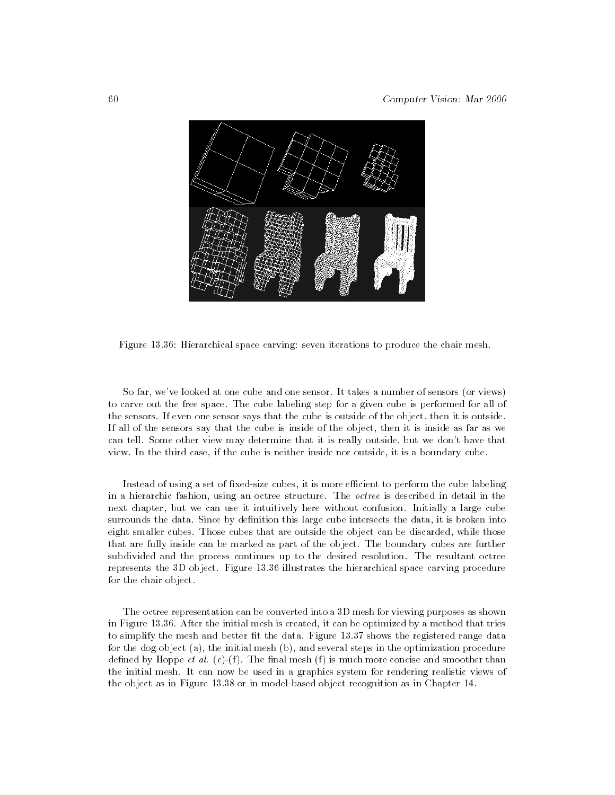

Figure 13.36: Hierarchical space carving: seven iterations to produce the chair mesh.

So far, we've looked at one cube and one sensor. It takes a number of sensors (or views) to carve out the free space. The cube labeling step for a given cube is performed for all of the sensors. If even one sensor says that the cube is outside of the object, then it is outside. If all of the sensors say that the cube is inside of the object, then it is inside as far as we can tell. Some other view may determine that it is really outside, but we don't have that view. In the third case, if the cube is neither inside nor outside, it is a boundary cube.

Instead of using a set of fixed-size cubes, it is more efficient to perform the cube labeling in a hierarchic fashion, using an octree structure. The octree is described in detail in the next chapter, but we can use it intuitively here without confusion. Initially a large cube surrounds the data. Since by definition this large cube intersects the data, it is broken into eight smaller cubes. Those cubes that are outside the object can be discarded, while those that are fully inside can be marked as part of the object. The boundary cubes are further subdivided and the process continues up to the desired resolution. The resultant octree represents the 3D object. Figure 13.36 illustrates the hierarchical space carving procedure for the chair object.

The octree representation can be converted into a 3D mesh for viewing purposes as shown in Figure 13.36. After the initial mesh is created, it can be optimized by a method that tries to simplify the mesh and better fit the data. Figure 13.37 shows the registered range data for the dog object (a), the initial mesh (b), and several steps in the optimization procedure defined by Hoppe *et al.* (c)-(f). The final mesh (f) is much more concise and smoother than the initial mesh. It can now be used in a graphics system for rendering realistic views of the object as in Figure 13.38 or in model-based object recognition as in Chapter 14.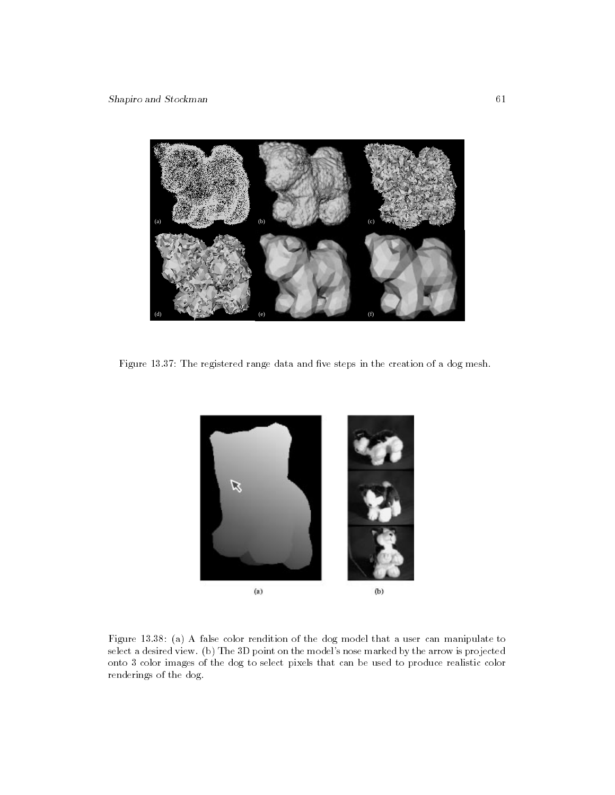

Figure 13.37: The registered range data and five steps in the creation of a dog mesh.



Figure 13.38: (a) A false color rendition of the dog model that a user can manipulate to select a desired view. (b) The 3D point on the model's nose marked by the arrow is projected onto 3 color images of the dog to select pixels that can be used to produce realistic color renderings of the dog.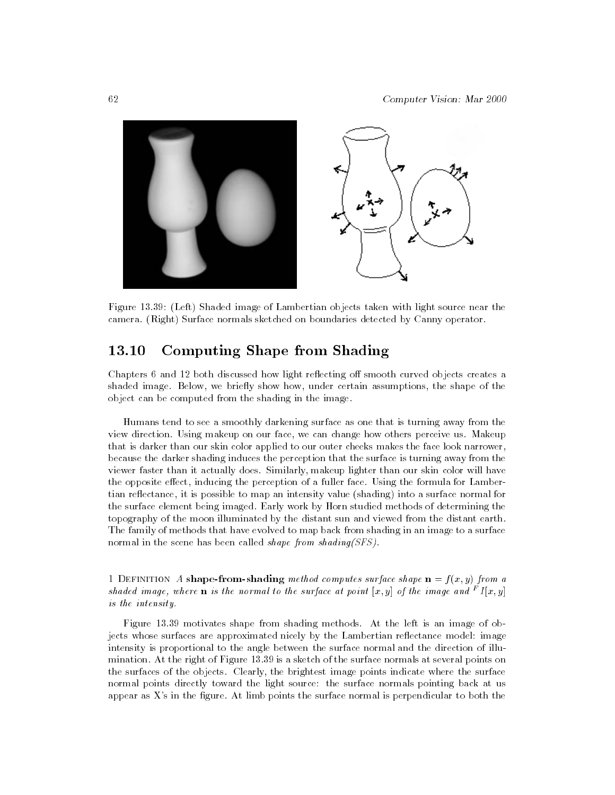

Figure 13.39: (Left) Shaded image of Lambertian objects taken with light source near the camera. (Right) Surface normals sketched on boundaries detected by Canny operator.

#### 13.10 Computing Shape from Shading

Chapters 6 and 12 both discussed how light reflecting off smooth curved objects creates a shaded image. Below, we briefly show how, under certain assumptions, the shape of the object can be computed from the shading in the image.

Humans tend to see a smoothly darkening surface as one that is turning away from the view direction. Using makeup on our face, we can change how others perceive us. Makeup that is darker than our skin color applied to our outer cheeks makes the face look narrower, because the darker shading induces the perception that the surface is turning away from the viewer faster than it actually does. Similarly, makeup lighter than our skin color will have the opposite effect, inducing the perception of a fuller face. Using the formula for Lambertian reflectance, it is possible to map an intensity value (shading) into a surface normal for the surface element being imaged. Early work by Horn studied methods of determining the topography of the moon illuminated by the distant sun and viewed from the distant earth. The family of methods that have evolved to map back from shading in an image to a surface normal in the scene has been called *shape from shading(SFS)*.

1 DEFINITION A shape-from-shading method computes surface shape  $\mathbf{n} = f(x, y)$  from a shaded image, where  ${\bf n}$  is the normal to the surface at point  $|x,y|$  of the image and  $\hat{\textbf{f}}$  [x,y] is the intensity.

Figure 13.39 motivates shape from shading methods. At the left is an image of objects whose surfaces are approximated nicely by the Lambertian reflectance model: image intensity is proportional to the angle between the surface normal and the direction of illumination. At the right of Figure 13.39 is a sketch of the surface normals at several points on the surfaces of the objects. Clearly, the brightest image points indicate where the surface normal points directly toward the light source: the surface normals pointing back at us appear as  $X$ 's in the figure. At limb points the surface normal is perpendicular to both the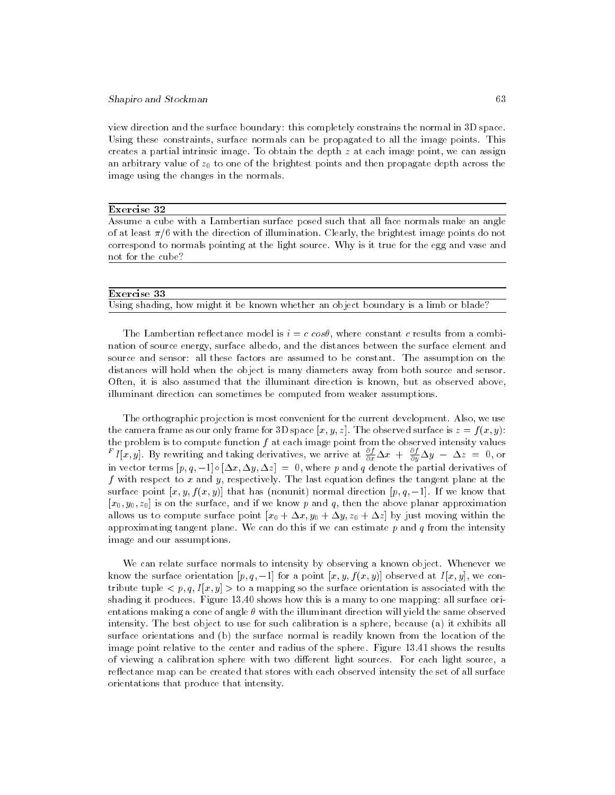view direction and the surface boundary: this completely constrains the normal in 3D space. Using these constraints, surface normals can be propagated to all the image points. This creates a partial intrinsic image. To obtain the depth  $z$  at each image point, we can assign an arbitrary value of  $z_0$  to one of the brightest points and then propagate depth across the image using the changes in the normals.

#### Exercise 32

Assume a cube with a Lambertian surface posed such that all face normals make an angle of at least  $\pi/6$  with the direction of illumination. Clearly, the brightest image points do not correspond to normals pointing at the light source. Why is it true for the egg and vase and not for the cube?

| Exercise 33 |                                                                                     |  |
|-------------|-------------------------------------------------------------------------------------|--|
|             | Using shading, how might it be known whether an object boundary is a limb or blade? |  |

The Lambertian reflectance model is  $i = c \cos\theta$ , where constant c results from a combination of source energy, surface albedo, and the distances between the surface element and source and sensor: all these factors are assumed to be constant. The assumption on the distances will hold when the object is many diameters away from both source and sensor. Often, it is also assumed that the illuminant direction is known, but as observed above, illuminant direction can sometimes be computed from weaker assumptions.

The orthographic projection is most convenient for the current development. Also, we use the camera frame as our only frame for 3D space  $[x, y, z]$ . The observed surface is  $z = f(x, y)$ : the problem is to compute function  $f$  at each image point from the observed intensity values  $f(x, y)$ . By rewriting and taking derivatives, we arrive at  $\frac{z}{\partial x}\Delta x + \frac{z}{\partial y}\Delta y - \Delta z = 0$ , or in vector terms  $[p, q, -1] \circ [\Delta x, \Delta y, \Delta z] = 0$ , where p and q denote the partial derivatives of f with respect to x and y, respectively. The last equation defines the tangent plane at the surface point  $[x, y, f(x, y)]$  that has (nonunit) normal direction  $[p, q, -1]$ . If we know that  $[x_0, y_0, z_0]$  is on the surface, and if we know p and q, then the above planar approximation allows us to compute surface point  $[x_0 + \Delta x, y_0 + \Delta y, z_0 + \Delta z]$  by just moving within the approximating tangent plane. We can do this if we can estimate  $p$  and  $q$  from the intensity image and our assumptions.

We can relate surface normals to intensity by observing a known object. Whenever we know the surface orientation  $[p, q, -1]$  for a point  $[x, y, f(x, y)]$  observed at  $I[x, y]$ , we contribute tuple  $\langle p, q, I[x, y] \rangle$  to a mapping so the surface orientation is associated with the shading it produces. Figure 13.40 shows how this is a many to one mapping: all surface orientations making a cone of angle  $\theta$  with the illuminant direction will yield the same observed intensity. The best object to use for such calibration is a sphere, because (a) it exhibits all surface orientations and (b) the surface normal is readily known from the location of the image point relative to the center and radius of the sphere. Figure 13.41 shows the results of viewing a calibration sphere with two different light sources. For each light source, a reflectance map can be created that stores with each observed intensity the set of all surface orientations that produce that intensity.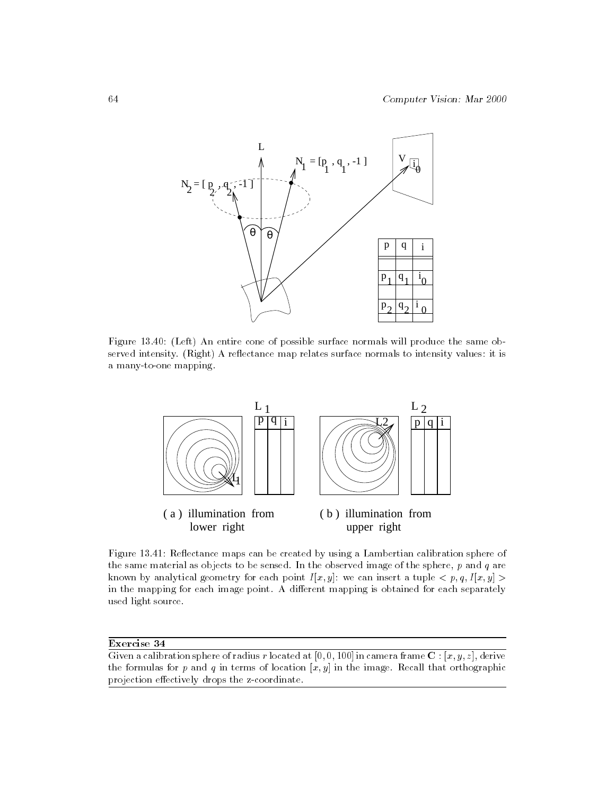

Figure 13.40: (Left) An entire cone of possible surface normals will produce the same observed intensity. (Right) A reflectance map relates surface normals to intensity values: it is a many-to-one mapping.



Figure 13.41: Reflectance maps can be created by using a Lambertian calibration sphere of the same material as objects to be sensed. In the observed image of the sphere,  $p$  and  $q$  are known by analytical geometry for each point  $I[x, y]$ : we can insert a tuple  $\langle p, q, I[x, y] \rangle$ in the mapping for each image point. A different mapping is obtained for each separately used light source.

Given a calibration sphere of radius r located at  $[0,0,100]$  in camera frame  $\mathbf{C}$ :  $[x, y, z]$ , derive the formulas for p and q in terms of location  $[x, y]$  in the image. Recall that orthographic projection effectively drops the z-coordinate.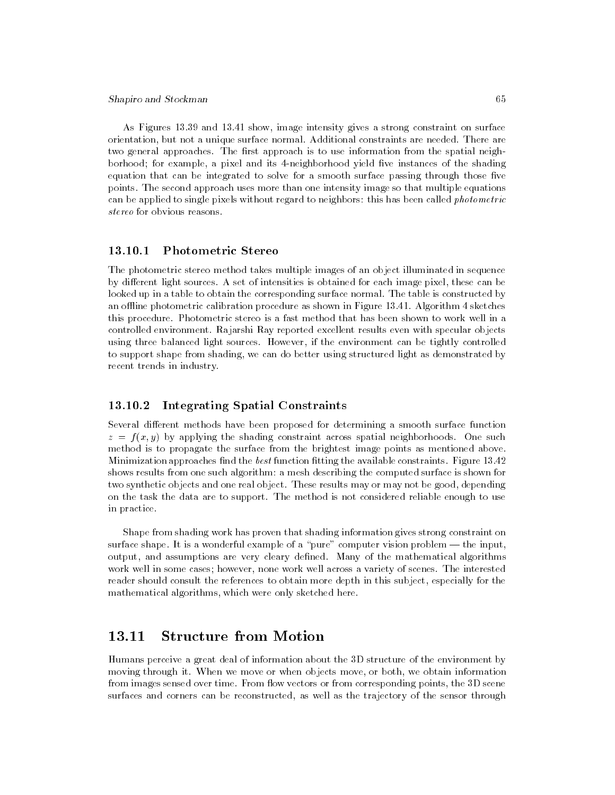As Figures 13.39 and 13.41 show, image intensity gives a strong constraint on surface orientation, but not a unique surface normal. Additional constraints are needed. There are two general approaches. The first approach is to use information from the spatial neighborhood; for example, a pixel and its 4-neighborhood yield five instances of the shading equation that can be integrated to solve for a smooth surface passing through those five points. The second approach uses more than one intensity image so that multiple equations can be applied to single pixels without regard to neighbors: this has been called *photometric* stereo for obvious reasons.

## 13.10.1 Photometric Stereo

The photometric stereo method takes multiple images of an object illuminated in sequence by different light sources. A set of intensities is obtained for each image pixel, these can be looked up in a table to obtain the corresponding surface normal. The table is constructed by an offline photometric calibration procedure as shown in Figure 13.41. Algorithm  $4$  sketches this procedure. Photometric stereo is a fast method that has been shown to work well in a controlled environment. Rajarshi Ray reported excellent results even with specular objects using three balanced light sources. However, if the environment can be tightly controlled to support shape from shading, we can do better using structured light as demonstrated by recent trends in industry.

# 13.10.2 Integrating Spatial Constraints

Several different methods have been proposed for determining a smooth surface function  $z = f(x, y)$  by applying the shading constraint across spatial neighborhoods. One such method is to propagate the surface from the brightest image points as mentioned above. Minimization approaches find the *best* function fitting the available constraints. Figure  $13.42$ shows results from one such algorithm: a mesh describing the computed surface is shown for two synthetic objects and one real object. These results may or may not be good, depending on the task the data are to support. The method is not considered reliable enough to use in practice.

Shape from shading work has proven that shading information gives strong constraint on surface shape. It is a wonderful example of a "pure" computer vision problem  $-$  the input, output, and assumptions are very cleary dened. Many of the mathematical algorithms work well in some cases; however, none work well across a variety of scenes. The interested reader should consult the references to obtain more depth in this subject, especially for the mathematical algorithms, which were only sketched here.

#### 13.11 **Structure from Motion**

Humans perceive a great deal of information about the 3D structure of the environment by moving through it. When we move or when objects move, or both, we obtain information from images sensed over time. From flow vectors or from corresponding points, the 3D scene surfaces and corners can be reconstructed, as well as the trajectory of the sensor through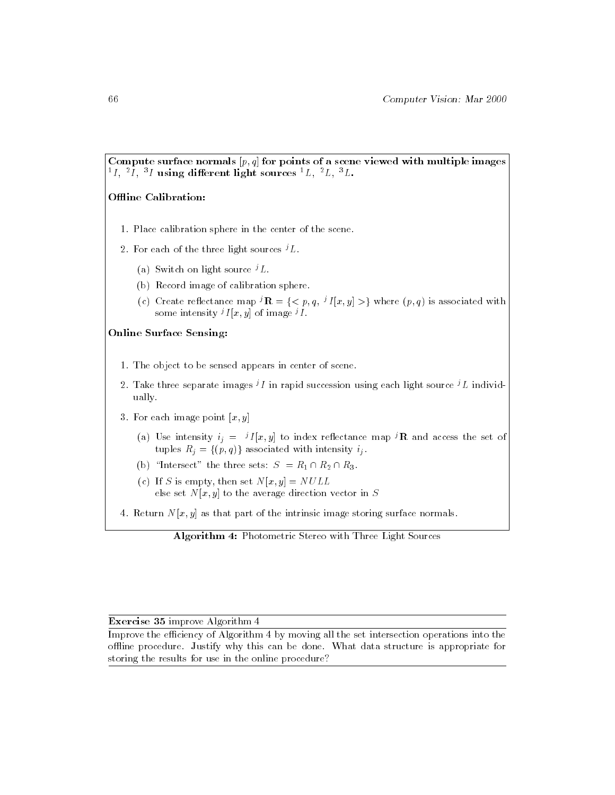Compute surface normals  $[p, q]$  for points of a scene viewed with multiple images  $^{1}I$ ,  $^{2}\overline{I}$ ,  $^{3}I$  using different light sources  $^{1}L$ ,  $^{2}L$ ,  $^{3}L$ .

## Offline Calibration:

- 1. Place calibration sphere in the center of the scene.
- 2. For each of the three light sources  ${}^{j}L$ .
	- (a) Switch on light source  $^{j}L$ .
	- (b) Record image of calibration sphere.
	- (c) Create reflectance map  ${}^{j}$ **R** = {  $\lt p, q, {}^{j}I[x, y]$  >} where  $(p, q)$  is associated with some intensity  $^{j}I[x, y]$  of image  $^{j}I$ .

#### Online Surface Sensing:

- 1. The object to be sensed appears in center of scene.
- 2. Take three separate images  $^{j}I$  in rapid succession using each light source  $^{j}L$  individually.
- 3. For each image point  $[x, y]$ 
	- (a) Use intensity  $i_j = \pm I |x, y|$  to index reflectance map  $\pm K$  and access the set of [ tuples Rigg = f(p; q)g associated with intensity if .
	- (b) "Intersect" the three sets:  $S = R_1 \cap R_2 \cap R_3$ .
	- (c) If S is empty, then set  $N[x, y] = NULL$ else set  $N[x, y]$  to the average direction vector in S
- 4. Return  $N[x, y]$  as that part of the intrinsic image storing surface normals.

Algorithm 4: Photometric Stereo with Three Light Sources

#### Exercise 35 improve Algorithm 4

Improve the efficiency of Algorithm 4 by moving all the set intersection operations into the offline procedure. Justify why this can be done. What data structure is appropriate for storing the results for use in the online procedure?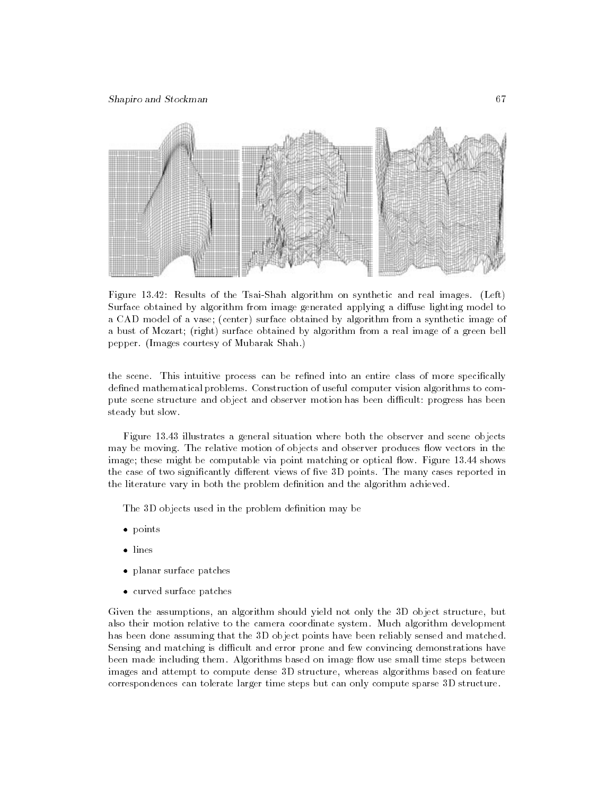

Figure 13.42: Results of the Tsai-Shah algorithm on synthetic and real images. (Left) Surface obtained by algorithm from image generated applying a diffuse lighting model to a CAD model of a vase; (center) surface obtained by algorithm from a synthetic image of a bust of Mozart; (right) surface obtained by algorithm from a real image of a green bell pepper. (Images courtesy of Mubarak Shah.)

the scene. This intuitive process can be refined into an entire class of more specifically defined mathematical problems. Construction of useful computer vision algorithms to compute scene structure and object and observer motion has been difficult: progress has been steady but slow.

Figure 13.43 illustrates a general situation where both the observer and scene objects may be moving. The relative motion of objects and observer produces flow vectors in the image; these might be computable via point matching or optical flow. Figure 13.44 shows the case of two significantly different views of five 3D points. The many cases reported in the literature vary in both the problem definition and the algorithm achieved.

The 3D objects used in the problem definition may be

- points
- $\bullet$  lines
- planar surface patches
- curved surface patches

Given the assumptions, an algorithm should yield not only the 3D object structure, but also their motion relative to the camera coordinate system. Much algorithm development has been done assuming that the 3D object points have been reliably sensed and matched. Sensing and matching is difficult and error prone and few convincing demonstrations have been made including them. Algorithms based on image flow use small time steps between images and attempt to compute dense 3D structure, whereas algorithms based on feature correspondences can tolerate larger time steps but can only compute sparse 3D structure.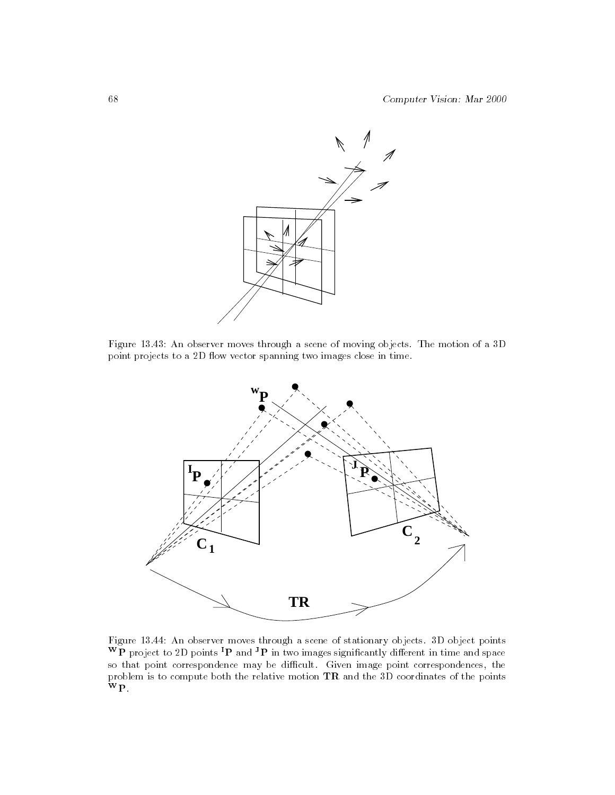

Figure 13.43: An observer moves through a scene of moving objects. The motion of a 3D point projects to a 2D 
ow vector spanning two images close in time.



Figure 13.44: An observer moves through a scene of stationary objects. 3D object points  $W\overleftrightarrow{P}$  project to 2D points  ${}^{I}P$  and  ${}^{J}P$  in two images significantly different in time and space so that point correspondence may be difficult. Given image point correspondences, the problem is to compute both the relative motion TR and the 3D coordinates of the points WP.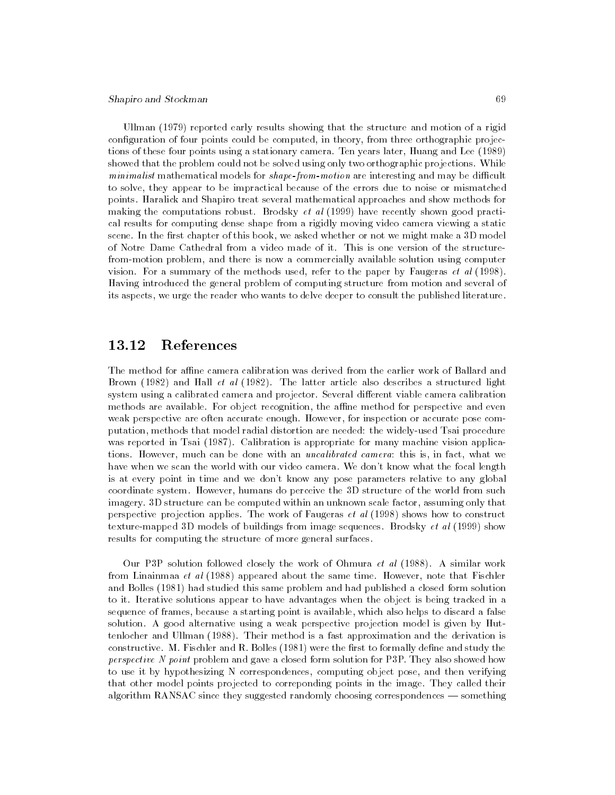Ullman (1979) reported early results showing that the structure and motion of a rigid configuration of four points could be computed, in theory, from three orthographic projections of these four points using a stationary camera. Ten years later, Huang and Lee (1989) showed that the problem could not be solved using only two orthographic projections. While  $minimalist$  mathematical models for  $shape$ -from-motion are interesting and may be difficult to solve, they appear to be impractical because of the errors due to noise or mismatched points. Haralick and Shapiro treat several mathematical approaches and show methods for making the computations robust. Brodsky *et al* (1999) have recently shown good practical results for computing dense shape from a rigidly moving video camera viewing a static scene. In the first chapter of this book, we asked whether or not we might make a 3D model of Notre Dame Cathedral from a video made of it. This is one version of the structurefrom-motion problem, and there is now a commercially available solution using computer vision. For a summary of the methods used, refer to the paper by Faugeras et al (1998). Having introduced the general problem of computing structure from motion and several of its aspects, we urge the reader who wants to delve deeper to consult the published literature.

# 13.12 References

The method for affine camera calibration was derived from the earlier work of Ballard and Brown (1982) and Hall et al (1982). The latter article also describes a structured light system using a calibrated camera and projector. Several different viable camera calibration methods are available. For object recognition, the affine method for perspective and even weak perspective are often accurate enough. However, for inspection or accurate pose computation, methods that model radial distortion are needed: the widely-used Tsai procedure was reported in Tsai (1987). Calibration is appropriate for many machine vision applications. However, much can be done with an uncalibrated camera: this is, in fact, what we have when we scan the world with our video camera. We don't know what the focal length is at every point in time and we don't know any pose parameters relative to any global coordinate system. However, humans do perceive the 3D structure of the world from such imagery. 3D structure can be computed within an unknown scale factor, assuming only that perspective projection applies. The work of Faugeras et al (1998) shows how to construct texture-mapped 3D models of buildings from image sequences. Brodsky et al (1999) show results for computing the structure of more general surfaces.

Our P3P solution followed closely the work of Ohmura et al (1988). A similar work from Linainmaa et al  $(1988)$  appeared about the same time. However, note that Fischler and Bolles (1981) had studied this same problem and had published a closed form solution to it. Iterative solutions appear to have advantages when the object is being tracked in a sequence of frames, because a starting point is available, which also helps to discard a false solution. A good alternative using a weak perspective projection model is given by Huttenlocher and Ullman (1988). Their method is a fast approximation and the derivation is constructive. M. Fischler and  $R$ . Bolles (1981) were the first to formally define and study the perspective N point problem and gave a closed form solution for P3P. They also showed how to use it by hypothesizing N correspondences, computing object pose, and then verifying that other model points projected to correponding points in the image. They called their algorithm RANSAC since they suggested randomly choosing correspondences  $-$  something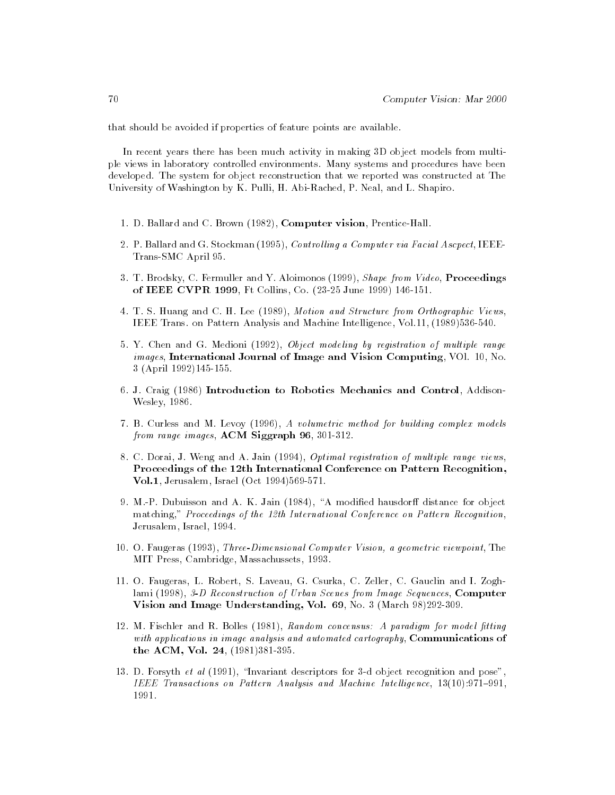that should be avoided if properties of feature points are available.

In recent years there has been much activity in making 3D object models from multiple views in laboratory controlled environments. Many systems and procedures have been developed. The system for object reconstruction that we reported was constructed at The University of Washington by K. Pulli, H. Abi-Rached, P. Neal, and L. Shapiro.

- 1. D. Ballard and C. Brown (1982), Computer vision, Prentice-Hall.
- 2. P. Ballard and G. Stockman (1995), Controlling a Computer via Facial Ascpect, IEEE-Trans-SMC April 95.
- 3. T. Brodsky, C. Fermuller and Y. Aloimonos (1999), *Shape from Video*, **Proceedings** of IEEE CVPR 1999, Ft Collins, Co. (23-25 June 1999) 146-151.
- 4. T. S. Huang and C. H. Lee (1989), Motion and Structure from Orthographic Views, IEEE Trans. on Pattern Analysis and Machine Intelligence, Vol.11, (1989)536-540.
- 5. Y. Chen and G. Medioni (1992), Object modeling by registration of multiple range images, International Journal of Image and Vision Computing, VOl. 10, No. 3 (April 1992)145-155.
- 6. J. Craig (1986) Introduction to Robotics Mechanics and Control, Addison-Wesley, 1986.
- 7. B. Curless and M. Levoy (1996), A volumetric method for building complex models from range images, ACM Siggraph 96, 301-312.
- 8. C. Dorai, J. Weng and A. Jain (1994), Optimal registration of multiple range views, Proceedings of the 12th International Conference on Pattern Recognition, Vol.1, Jerusalem, Israel (Oct 1994)569-571.
- 9. M.-P. Dubuisson and A. K. Jain  $(1984)$ , "A modified hausdorff distance for object matching," Proceedings of the 12th International Conference on Pattern Recognition, Jerusalem, Israel, 1994.
- 10. O. Faugeras (1993), Three-Dimensional Computer Vision, a geometric viewpoint, The MIT Press, Cambridge, Massachussets, 1993.
- 11. O. Faugeras, L. Robert, S. Laveau, G. Csurka, C. Zeller, C. Gauclin and I. Zoghlami (1998), 3-D Reconstruction of Urban Scenes from Image Sequences, Computer Vision and Image Understanding, Vol. 69, No. 3 (March 98)292-309.
- 12. M. Fischler and R. Bolles (1981), Random concensus: A paradigm for model fitting with applications in image analysis and automated cartography, Communications of the ACM, Vol. 24, (1981)381-395.
- 13. D. Forsyth et al  $(1991)$ , "Invariant descriptors for 3-d object recognition and pose", IEEE Transactions on Pattern Analysis and Machine Intelligence,  $13(10):971{-}991$ , 1991.